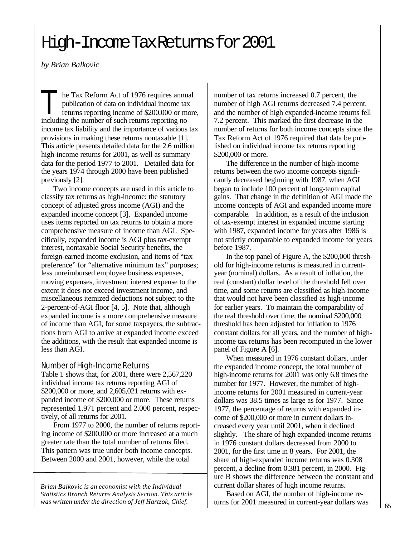*by Brian Balkovic*

 $\prod_{\text{total}}$ he Tax Reform Act of 1976 requires annual publication of data on individual income tax returns reporting income of \$200,000 or more, including the number of such returns reporting no income tax liability and the importance of various tax provisions in making these returns nontaxable [1]. This article presents detailed data for the 2.6 million high-income returns for 2001, as well as summary data for the period 1977 to 2001. Detailed data for the years 1974 through 2000 have been published previously [2].

Two income concepts are used in this article to classify tax returns as high-income: the statutory concept of adjusted gross income (AGI) and the expanded income concept [3]. Expanded income uses items reported on tax returns to obtain a more comprehensive measure of income than AGI. Specifically, expanded income is AGI plus tax-exempt interest, nontaxable Social Security benefits, the foreign-earned income exclusion, and items of "tax preference" for "alternative minimum tax" purposes; less unreimbursed employee business expenses, moving expenses, investment interest expense to the extent it does not exceed investment income, and miscellaneous itemized deductions not subject to the 2-percent-of-AGI floor [4, 5]. Note that, although expanded income is a more comprehensive measure of income than AGI, for some taxpayers, the subtractions from AGI to arrive at expanded income exceed the additions, with the result that expanded income is less than AGI.

## Number of High-Income Returns

Table 1 shows that, for 2001, there were 2,567,220 individual income tax returns reporting AGI of \$200,000 or more, and 2,605,021 returns with expanded income of \$200,000 or more. These returns represented 1.971 percent and 2.000 percent, respectively, of all returns for 2001.

From 1977 to 2000, the number of returns reporting income of \$200,000 or more increased at a much greater rate than the total number of returns filed. This pattern was true under both income concepts. Between 2000 and 2001, however, while the total

*Brian Balkovic is an economist with the Individual Statistics Branch Returns Analysis Section. This article was written under the direction of Jeff Hartzok, Chief.*

number of tax returns increased 0.7 percent, the number of high AGI returns decreased 7.4 percent, and the number of high expanded-income returns fell 7.2 percent. This marked the first decrease in the number of returns for both income concepts since the Tax Reform Act of 1976 required that data be published on individual income tax returns reporting \$200,000 or more.

The difference in the number of high-income returns between the two income concepts significantly decreased beginning with 1987, when AGI began to include 100 percent of long-term capital gains. That change in the definition of AGI made the income concepts of AGI and expanded income more comparable. In addition, as a result of the inclusion of tax-exempt interest in expanded income starting with 1987, expanded income for years after 1986 is not strictly comparable to expanded income for years before 1987.

In the top panel of Figure A, the \$200,000 threshold for high-income returns is measured in currentyear (nominal) dollars. As a result of inflation, the real (constant) dollar level of the threshold fell over time, and some returns are classified as high-income that would not have been classified as high-income for earlier years. To maintain the comparability of the real threshold over time, the nominal \$200,000 threshold has been adjusted for inflation to 1976 constant dollars for all years, and the number of highincome tax returns has been recomputed in the lower panel of Figure A [6].

When measured in 1976 constant dollars, under the expanded income concept, the total number of high-income returns for 2001 was only 6.8 times the number for 1977. However, the number of highincome returns for 2001 measured in current-year dollars was 38.5 times as large as for 1977. Since 1977, the percentage of returns with expanded income of \$200,000 or more in current dollars increased every year until 2001, when it declined slightly. The share of high expanded-income returns in 1976 constant dollars decreased from 2000 to 2001, for the first time in 8 years. For 2001, the share of high-expanded income returns was 0.308 percent, a decline from 0.381 percent, in 2000. Figure B shows the difference between the constant and current dollar shares of high income returns.

Based on AGI, the number of high-income returns for 2001 measured in current-year dollars was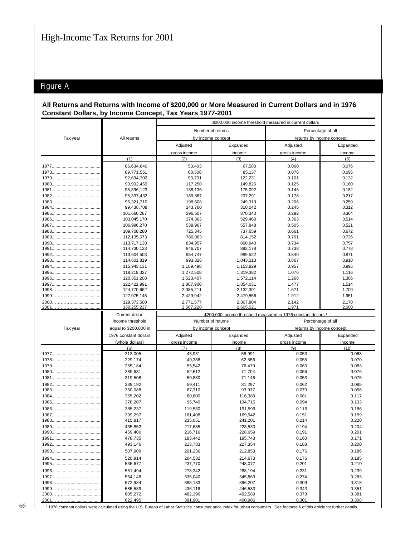# Figure A

## All Returns and Returns with Income of \$200,000 or More Measured in Current Dollars and in 1976 Constant Dollars, by Income Concept, Tax Years 1977-2001

|          |                            | \$200,000 income threshold measured in current dollars |                      |                                                                           |                           |  |  |
|----------|----------------------------|--------------------------------------------------------|----------------------|---------------------------------------------------------------------------|---------------------------|--|--|
|          |                            | Number of returns                                      |                      |                                                                           | Percentage of all         |  |  |
| Tax year | All returns                |                                                        | by income concept    |                                                                           | returns by income concept |  |  |
|          |                            | Adjusted                                               | Expanded             | Adjusted                                                                  | Expanded                  |  |  |
|          |                            | gross income                                           | income               | gross income                                                              | income                    |  |  |
|          | (1)                        | (2)                                                    | (3)                  | (4)                                                                       | (5)                       |  |  |
|          | 86,634,640                 | 53,403                                                 | 67,580               | 0.060                                                                     | 0.076                     |  |  |
|          | 89,771,551                 | 68,506                                                 | 85,137               | 0.076                                                                     | 0.095                     |  |  |
|          | 92,694,302                 | 93,731                                                 | 122,231              | 0.101                                                                     | 0.132                     |  |  |
|          | 93,902,459                 | 117,250                                                | 149,826              | 0.125                                                                     | 0.160                     |  |  |
|          | 95,396,123                 | 138,136                                                | 175,092              | 0.143                                                                     | 0.182                     |  |  |
|          | 95,337,432                 | 169,367                                                | 207,291              | 0.178                                                                     | 0.217                     |  |  |
|          | 96.321.310<br>99,438,708   | 198,608<br>243,760                                     | 249,319<br>310,042   | 0.206<br>0.245                                                            | 0.259<br>0.312            |  |  |
|          | 101,660,287                | 296,507                                                | 370,340              | 0.292                                                                     | 0.364                     |  |  |
|          | 103,045,170                | 374,363                                                | 529,460              | 0.363                                                                     | 0.514                     |  |  |
|          | 106,996,270                | 539,967                                                | 557,848              | 0.505                                                                     | 0.521                     |  |  |
|          | 109,708,280                | 725,345                                                | 737,659              | 0.661                                                                     | 0.672                     |  |  |
|          | 112,135,673                | 786,063                                                | 814,152              | 0.701                                                                     | 0.726                     |  |  |
|          | 113,717,138                | 834,957                                                | 860,940              | 0.734                                                                     | 0.757                     |  |  |
|          | 114,730,123                | 846,707                                                | 892,178              | 0.738                                                                     | 0.778                     |  |  |
|          | 113.604.503<br>114,601,819 | 954,747<br>993,326                                     | 989,522<br>1,043,213 | 0.840<br>0.867                                                            | 0.871<br>0.910            |  |  |
|          | 115,943,131                | 1,109,498                                              | 1,153,829            | 0.957                                                                     | 0.995                     |  |  |
|          | 118,218,327                | 1,272,508                                              | 1,319,382            | 1.076                                                                     | 1.116                     |  |  |
|          | 120,351,208                | 1,523,407                                              | 1,572,114            | 1.266                                                                     | 1.306                     |  |  |
|          | 122,421,991                | 1,807,900                                              | 1,854,031            | 1.477                                                                     | 1.514                     |  |  |
|          | 124,770,662                | 2,085,211                                              | 2,132,301            | 1.671                                                                     | 1.709                     |  |  |
|          | 127,075,145                | 2,429,942                                              | 2,479,556            | 1.912                                                                     | 1.951                     |  |  |
|          | 129,373,500                | 2,771,577                                              | 2,807,804            | 2.142                                                                     | 2.170                     |  |  |
|          | 130,255,237                | 2,567,220                                              | 2,605,021            | 1.971                                                                     | 2.000                     |  |  |
|          |                            |                                                        |                      |                                                                           |                           |  |  |
|          | Current dollar             |                                                        |                      | \$200,000 income threshold measured in 1976 constant dollars <sup>1</sup> |                           |  |  |
|          | income threshold           | Number of returns                                      |                      |                                                                           | Percentage of all         |  |  |
| Tax year | equal to \$200,000 in      |                                                        | by income concept    |                                                                           | returns by income concept |  |  |
|          | 1976 constant dollars      | Adjusted                                               | Expanded             | Adjusted                                                                  | Expanded                  |  |  |
|          | (whole dollars)            | gross income                                           | income               | gross income                                                              | income                    |  |  |
|          | (6)                        | (7)                                                    | (8)                  | (9)                                                                       | (10)                      |  |  |
|          | 213,005                    | 45,931                                                 | 58,991               | 0.053                                                                     | 0.068                     |  |  |
|          | 229,174<br>255,184         | 49,388<br>55,542                                       | 62,556<br>76,479     | 0.055<br>0.060                                                            | 0.070<br>0.083            |  |  |
|          | 289,631                    | 52,512                                                 | 71,704               | 0.056                                                                     | 0.076                     |  |  |
|          | 319,508                    | 50,880                                                 | 71,146               | 0.053                                                                     | 0.075                     |  |  |
|          | 339,192                    | 59,411                                                 | 81,297               | 0.062                                                                     | 0.085                     |  |  |
|          | 350,088                    | 67,310                                                 | 93,977               | 0.070                                                                     | 0.098                     |  |  |
|          | 365,202                    | 80,800                                                 | 116,389              | 0.081                                                                     | 0.117                     |  |  |
|          | 378,207                    | 95,740                                                 | 134,715              | 0.094                                                                     | 0.133                     |  |  |
|          | 385,237                    | 119,550                                                | 191,596              | 0.116                                                                     | 0.186                     |  |  |
| 1988.    | 399,297                    | 161,408                                                | 169,942              | 0.151                                                                     | 0.159                     |  |  |
|          | 415,817                    | 235,051                                                | 241,201              | 0.214                                                                     | 0.220                     |  |  |
|          | 435,852<br>459,400         | 217,685<br>216,716                                     | 228,530<br>228,659   | 0.194<br>0.191                                                            | 0.204<br>0.201            |  |  |
|          | 478,735                    | 183,442                                                | 195,743              | 0.160                                                                     | 0.171                     |  |  |
|          | 493,146                    | 213,783                                                | 227,354              | 0.188                                                                     | 0.200                     |  |  |
|          | 507,909                    | 201,236                                                | 212,853              | 0.176                                                                     | 0.186                     |  |  |
|          | 520,914                    | 204,532                                                | 214,673              | 0.176                                                                     | 0.185                     |  |  |
|          | 535,677                    | 237,770                                                | 248,077              | 0.201                                                                     | 0.210                     |  |  |
|          | 551,494                    | 278,342                                                | 288,194              | 0.231                                                                     | 0.239                     |  |  |
|          | 564,148                    | 335,040                                                | 345,869              | 0.274                                                                     | 0.283                     |  |  |
|          | 572,934                    | 385,183                                                | 396,207              | 0.309                                                                     | 0.318                     |  |  |
|          | 585,589                    | 436,118                                                | 446,583              | 0.343                                                                     | 0.351                     |  |  |
| 2001     | 605,272<br>622,495         | 482,396<br>391,901                                     | 492,589<br>400,906   | 0.373<br>0.301                                                            | 0.381<br>0.308            |  |  |

1 1976 constant dollars were calculated using the U.S. Bureau of Labor Statistics' consumer price index for urban consumers. See footnote 6 of this article for further details.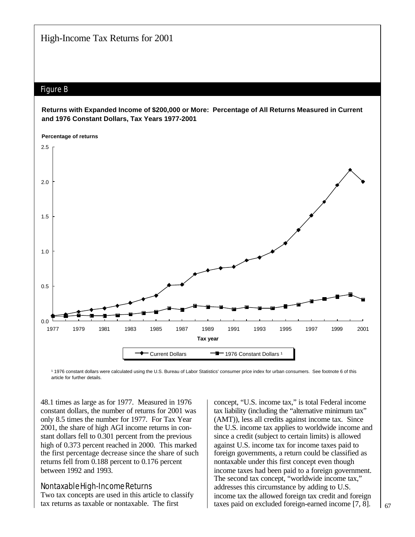# Figure B

#### **Returns with Expanded Income of \$200,000 or More: Percentage of All Returns Measured in Current and 1976 Constant Dollars, Tax Years 1977-2001**



1 1976 constant dollars were calculated using the U.S. Bureau of Labor Statistics' consumer price index for urban consumers. See footnote 6 of this article for further details.

48.1 times as large as for 1977. Measured in 1976 constant dollars, the number of returns for 2001 was only 8.5 times the number for 1977. For Tax Year 2001, the share of high AGI income returns in constant dollars fell to 0.301 percent from the previous high of 0.373 percent reached in 2000. This marked the first percentage decrease since the share of such returns fell from 0.188 percent to 0.176 percent between 1992 and 1993.

Nontaxable High-Income Returns Two tax concepts are used in this article to classify tax returns as taxable or nontaxable. The first

concept, "U.S. income tax," is total Federal income tax liability (including the "alternative minimum tax" (AMT)), less all credits against income tax. Since the U.S. income tax applies to worldwide income and since a credit (subject to certain limits) is allowed against U.S. income tax for income taxes paid to foreign governments, a return could be classified as nontaxable under this first concept even though income taxes had been paid to a foreign government. The second tax concept, "worldwide income tax," addresses this circumstance by adding to U.S. income tax the allowed foreign tax credit and foreign taxes paid on excluded foreign-earned income [7, 8].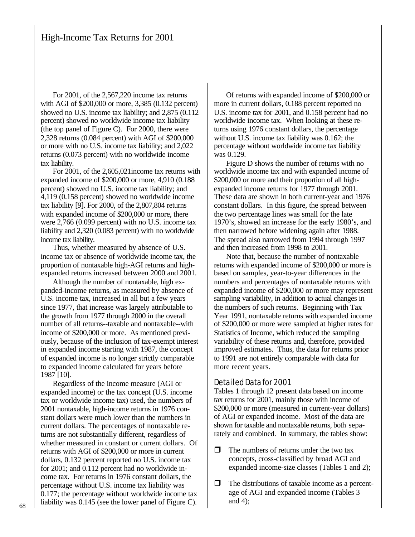For 2001, of the 2,567,220 income tax returns with AGI of \$200,000 or more, 3,385 (0.132 percent) showed no U.S. income tax liability; and 2,875 (0.112 percent) showed no worldwide income tax liability (the top panel of Figure C). For 2000, there were 2,328 returns (0.084 percent) with AGI of \$200,000 or more with no U.S. income tax liability; and 2,022 returns (0.073 percent) with no worldwide income tax liability.

For 2001, of the 2,605,021income tax returns with expanded income of \$200,000 or more, 4,910 (0.188 percent) showed no U.S. income tax liability; and 4,119 (0.158 percent) showed no worldwide income tax liability [9]. For 2000, of the 2,807,804 returns with expanded income of \$200,000 or more, there were 2,766 (0.099 percent) with no U.S. income tax liability and 2,320 (0.083 percent) with no worldwide income tax liability.

Thus, whether measured by absence of U.S. income tax or absence of worldwide income tax, the proportion of nontaxable high-AGI returns and highexpanded returns increased between 2000 and 2001.

Although the number of nontaxable, high expanded-income returns, as measured by absence of U.S. income tax, increased in all but a few years since 1977, that increase was largely attributable to the growth from 1977 through 2000 in the overall number of all returns--taxable and nontaxable--with income of \$200,000 or more. As mentioned previously, because of the inclusion of tax-exempt interest in expanded income starting with 1987, the concept of expanded income is no longer strictly comparable to expanded income calculated for years before 1987 [10].

Regardless of the income measure (AGI or expanded income) or the tax concept (U.S. income tax or worldwide income tax) used, the numbers of 2001 nontaxable, high-income returns in 1976 constant dollars were much lower than the numbers in current dollars. The percentages of nontaxable returns are not substantially different, regardless of whether measured in constant or current dollars. Of returns with AGI of \$200,000 or more in current dollars, 0.132 percent reported no U.S. income tax for 2001; and 0.112 percent had no worldwide income tax. For returns in 1976 constant dollars, the percentage without U.S. income tax liability was 0.177; the percentage without worldwide income tax liability was 0.145 (see the lower panel of Figure C).

Of returns with expanded income of \$200,000 or more in current dollars, 0.188 percent reported no U.S. income tax for 2001, and 0.158 percent had no worldwide income tax. When looking at these returns using 1976 constant dollars, the percentage without U.S. income tax liability was 0.162; the percentage without worldwide income tax liability was 0.129.

Figure D shows the number of returns with no worldwide income tax and with expanded income of \$200,000 or more and their proportion of all highexpanded income returns for 1977 through 2001. These data are shown in both current-year and 1976 constant dollars. In this figure, the spread between the two percentage lines was small for the late 1970's, showed an increase for the early 1980's, and then narrowed before widening again after 1988. The spread also narrowed from 1994 through 1997 and then increased from 1998 to 2001.

Note that, because the number of nontaxable returns with expanded income of \$200,000 or more is based on samples, year-to-year differences in the numbers and percentages of nontaxable returns with expanded income of \$200,000 or more may represent sampling variability, in addition to actual changes in the numbers of such returns. Beginning with Tax Year 1991, nontaxable returns with expanded income of \$200,000 or more were sampled at higher rates for Statistics of Income, which reduced the sampling variability of these returns and, therefore, provided improved estimates. Thus, the data for returns prior to 1991 are not entirely comparable with data for more recent years.

#### Detailed Data for 2001

Tables 1 through 12 present data based on income tax returns for 2001, mainly those with income of \$200,000 or more (measured in current-year dollars) of AGI or expanded income. Most of the data are shown for taxable and nontaxable returns, both separately and combined. In summary, the tables show:

- $\Box$  The numbers of returns under the two tax concepts, cross-classified by broad AGI and expanded income-size classes (Tables 1 and 2);
- $\Box$  The distributions of taxable income as a percentage of AGI and expanded income (Tables 3 and 4);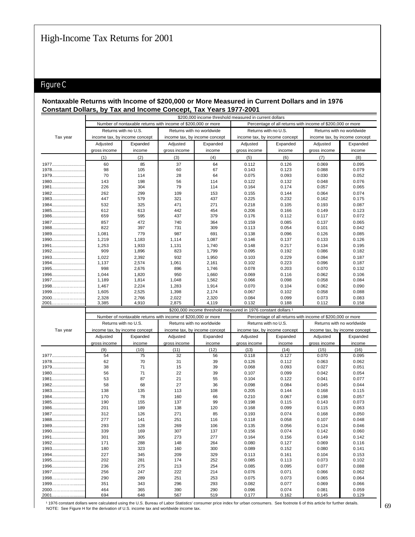# Figure C

### **Nontaxable Returns with Income of \$200,000 or More Measured in Current Dollars and in 1976 Constant Dollars, by Tax and Income Concept, Tax Years 1977-2001**

|              |              |                                                               |              |                                                                |                      | \$200,000 income threshold measured in current dollars     |                           |                               |  |
|--------------|--------------|---------------------------------------------------------------|--------------|----------------------------------------------------------------|----------------------|------------------------------------------------------------|---------------------------|-------------------------------|--|
|              |              | Number of nontaxable returns with income of \$200,000 or more |              |                                                                |                      | Percentage of all returns with income of \$200,000 or more |                           |                               |  |
|              |              | Returns with no U.S.                                          |              | Returns with no worldwide                                      | Returns with no U.S. |                                                            | Returns with no worldwide |                               |  |
| Tax year     |              | income tax, by income concept                                 |              | income tax, by income concept                                  |                      | income tax, by income concept                              |                           | income tax, by income concept |  |
|              | Adjusted     | Expanded                                                      | Adjusted     | Expanded                                                       | Adjusted             | Expanded                                                   | Adjusted                  | Expanded                      |  |
|              | gross income | income                                                        | gross income | income                                                         | gross income         | income                                                     | gross income              | income                        |  |
|              | (1)          | (2)                                                           | (3)          | (4)                                                            | (5)                  | (6)                                                        | (7)                       | (8)                           |  |
| 1977         | 60           | 85                                                            | 37           | 64                                                             | 0.112                | 0.126                                                      | 0.069                     | 0.095                         |  |
| 1978         | 98           | 105                                                           | 60           | 67                                                             | 0.143                | 0.123                                                      | 0.088                     | 0.079                         |  |
| 1979         | 70           | 114                                                           | 28           | 64                                                             | 0.075                | 0.093                                                      | 0.030                     | 0.052                         |  |
| 1980         | 143          | 198                                                           | 56           | 114                                                            | 0.122                | 0.132                                                      | 0.048                     | 0.076                         |  |
| 1981         | 226          | 304                                                           | 79           | 114                                                            | 0.164                | 0.174                                                      | 0.057                     | 0.065                         |  |
| 1982         | 262          | 299                                                           | 109          | 153                                                            | 0.155                | 0.144                                                      | 0.064                     | 0.074                         |  |
| 1983         | 447          | 579                                                           | 321          | 437                                                            | 0.225                | 0.232                                                      | 0.162                     | 0.175                         |  |
| 1984         | 532          | 325                                                           | 471          | 271                                                            | 0.218                | 0.105                                                      | 0.193                     | 0.087                         |  |
| 1985         | 612          | 613                                                           | 442          | 454                                                            | 0.206                | 0.166                                                      | 0.149                     | 0.123                         |  |
| 1986         | 659          | 595                                                           | 437          | 379                                                            | 0.176                | 0.112                                                      | 0.117                     | 0.072                         |  |
| 1987         | 857          | 472                                                           | 740          | 364                                                            | 0.159                | 0.085                                                      | 0.137                     | 0.065                         |  |
| 1988         | 822          | 397                                                           | 731          | 309                                                            | 0.113                | 0.054                                                      | 0.101                     | 0.042                         |  |
| 1989         | 1.081        | 779                                                           | 987          | 691                                                            | 0.138                | 0.096                                                      | 0.126                     | 0.085                         |  |
| 1990         | 1.219        | 1.183                                                         | 1.114        | 1.087                                                          | 0.146                | 0.137                                                      | 0.133                     | 0.126                         |  |
| 1991         | 1,253        | 1,933                                                         | 1,131        | 1,740                                                          | 0.148                | 0.217                                                      | 0.134                     | 0.195                         |  |
| 1992         | 909          | 1,896                                                         | 823          | 1,799                                                          | 0.095                | 0.192                                                      | 0.086                     | 0.182                         |  |
| 1993         | 1.022        | 2,392                                                         | 932          | 1.950                                                          | 0.103                | 0.229                                                      | 0.094                     | 0.187                         |  |
| 1994         | 1,137        | 2,574                                                         | 1,061        | 2,161                                                          | 0.102                | 0.223                                                      | 0.096                     | 0.187                         |  |
| 1995         | 998          | 2,676                                                         | 896          | 1.746                                                          | 0.078                | 0.203                                                      | 0.070                     | 0.132                         |  |
| 1996         | 1.044        | 1,820                                                         | 950          | 1.660                                                          | 0.069                | 0.116                                                      | 0.062                     | 0.106                         |  |
| 1997         | 1,189        | 1,814                                                         | 1,048        | 1,562                                                          | 0.066                | 0.098                                                      | 0.058                     | 0.084                         |  |
| $1998$       | 1,467        | 2,224                                                         | 1,283        | 1,914                                                          | 0.070                | 0.104                                                      | 0.062                     | 0.090                         |  |
| 1999         | 1,605        | 2,525                                                         | 1,398        | 2.174                                                          | 0.067                | 0.102                                                      | 0.058                     | 0.088                         |  |
| 2000         | 2,328        | 2.766                                                         | 2,022        | 2,320                                                          | 0.084                | 0.099                                                      | 0.073                     | 0.083                         |  |
| 2001 <u></u> | 3,385        | 4,910                                                         | 2,875        | 4,119                                                          | 0.132                | 0.188                                                      | 0.112                     | 0.158                         |  |
|              |              |                                                               |              | \$200,000 income threshold measured in 1976 constant dollars 1 |                      |                                                            |                           |                               |  |

|          |              | Number of nontaxable returns with income of \$200,000 or more |              |                               |                      | Percentage of all returns with income of \$200,000 or more |                               |          |  |
|----------|--------------|---------------------------------------------------------------|--------------|-------------------------------|----------------------|------------------------------------------------------------|-------------------------------|----------|--|
|          |              | Returns with no U.S.                                          |              | Returns with no worldwide     | Returns with no U.S. |                                                            | Returns with no worldwide     |          |  |
| Tax year |              | income tax, by income concept                                 |              | income tax, by income concept |                      | income tax, by income concept                              | income tax, by income concept |          |  |
|          | Adjusted     | Expanded                                                      | Adjusted     | Expanded                      | Adjusted             | Expanded                                                   | Adjusted                      | Expanded |  |
|          | gross income | income                                                        | gross income | income                        | gross income         | income                                                     | gross income                  | income   |  |
|          | (9)          | (10)                                                          | (11)         | (12)                          | (13)                 | (14)                                                       | (15)                          | (16)     |  |
| 1977     | 54           | 75                                                            | 32           | 56                            | 0.118                | 0.127                                                      | 0.070                         | 0.095    |  |
| 1978     | 62           | 70                                                            | 31           | 39                            | 0.126                | 0.112                                                      | 0.063                         | 0.062    |  |
| 1979     | 38           | 71                                                            | 15           | 39                            | 0.068                | 0.093                                                      | 0.027                         | 0.051    |  |
| 1980     | 56           | 71                                                            | 22           | 39                            | 0.107                | 0.099                                                      | 0.042                         | 0.054    |  |
| 1981     | 53           | 87                                                            | 21           | 55                            | 0.104                | 0.122                                                      | 0.041                         | 0.077    |  |
| 1982     | 58           | 68                                                            | 27           | 36                            | 0.098                | 0.084                                                      | 0.045                         | 0.044    |  |
| 1983     | 138          | 135                                                           | 113          | 108                           | 0.205                | 0.144                                                      | 0.168                         | 0.115    |  |
| 1984     | 170          | 78                                                            | 160          | 66                            | 0.210                | 0.067                                                      | 0.198                         | 0.057    |  |
| 1985     | 190          | 155                                                           | 137          | 99                            | 0.198                | 0.115                                                      | 0.143                         | 0.073    |  |
| 1986     | 201          | 189                                                           | 138          | 120                           | 0.168                | 0.099                                                      | 0.115                         | 0.063    |  |
| 1987     | 312          | 126                                                           | 271          | 85                            | 0.193                | 0.074                                                      | 0.168                         | 0.050    |  |
| 1988     | 277          | 141                                                           | 251          | 116                           | 0.118                | 0.058                                                      | 0.107                         | 0.048    |  |
| 1989     | 293          | 128                                                           | 269          | 106                           | 0.135                | 0.056                                                      | 0.124                         | 0.046    |  |
| 1990     | 339          | 169                                                           | 307          | 137                           | 0.156                | 0.074                                                      | 0.142                         | 0.060    |  |
| 1991     | 301          | 305                                                           | 273          | 277                           | 0.164                | 0.156                                                      | 0.149                         | 0.142    |  |
| 1992     | 171          | 288                                                           | 148          | 264                           | 0.080                | 0.127                                                      | 0.069                         | 0.116    |  |
| 1993     | 180          | 323                                                           | 160          | 300                           | 0.089                | 0.152                                                      | 0.080                         | 0.141    |  |
| 1994     | 227          | 345                                                           | 209          | 329                           | 0.113                | 0.161                                                      | 0.104                         | 0.153    |  |
| 1995     | 202          | 281                                                           | 174          | 252                           | 0.085                | 0.113                                                      | 0.073                         | 0.102    |  |
| 1996     | 236          | 275                                                           | 213          | 254                           | 0.085                | 0.095                                                      | 0.077                         | 0.088    |  |
| 1997     | 256          | 247                                                           | 222          | 214                           | 0.076                | 0.071                                                      | 0.066                         | 0.062    |  |
| 1998     | 290          | 289                                                           | 251          | 253                           | 0.075                | 0.073                                                      | 0.065                         | 0.064    |  |
| 1999     | 351          | 343                                                           | 296          | 293                           | 0.082                | 0.077                                                      | 0.069                         | 0.066    |  |
| 2000     | 464          | 365                                                           | 390          | 290                           | 0.096                | 0.074                                                      | 0.081                         | 0.059    |  |
| 2001     | 694          | 648                                                           | 567          | 519                           | 0.177                | 0.162                                                      | 0.145                         | 0.129    |  |

1976 constant dollars were calculated using the U.S. Bureau of Labor Statistics' consumer price index for urban consumers. See footnote 6 of this article for further details. NOTE: See Figure H for the derivation of U.S. income tax and worldwide income tax.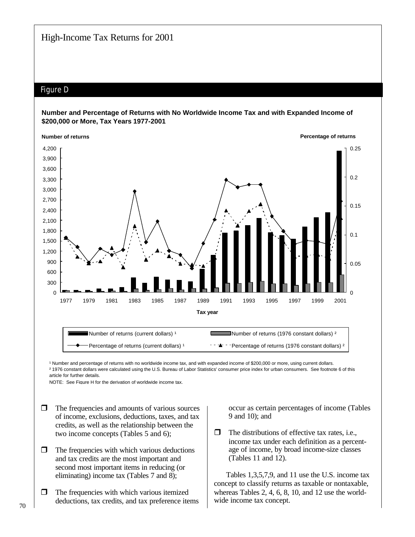## Figure D

### **Number and Percentage of Returns with No Worldwide Income Tax and with Expanded Income of \$200,000 or More, Tax Years 1977-2001**



<sup>1</sup> Number and percentage of returns with no worldwide income tax, and with expanded income of \$200,000 or more, using current dollars. ² 1976 constant dollars were calculated using the U.S. Bureau of Labor Statistics' consumer price index for urban consumers. See footnote 6 of this article for further details.

 $NOTF: See Figure H for the derivation of worldwide income tax.$ 

- $\Box$  The frequencies and amounts of various sources of income, exclusions, deductions, taxes, and tax credits, as well as the relationship between the two income concepts (Tables 5 and 6);
- $\Box$  The frequencies with which various deductions and tax credits are the most important and second most important items in reducing (or eliminating) income tax (Tables 7 and 8);
- $\Box$  The frequencies with which various itemized deductions, tax credits, and tax preference items

occur as certain percentages of income (Tables 9 and 10); and

 $\Box$  The distributions of effective tax rates, i.e., income tax under each definition as a percentage of income, by broad income-size classes (Tables 11 and 12).

Tables 1,3,5,7,9, and 11 use the U.S. income tax concept to classify returns as taxable or nontaxable, whereas Tables 2, 4, 6, 8, 10, and 12 use the worldwide income tax concept.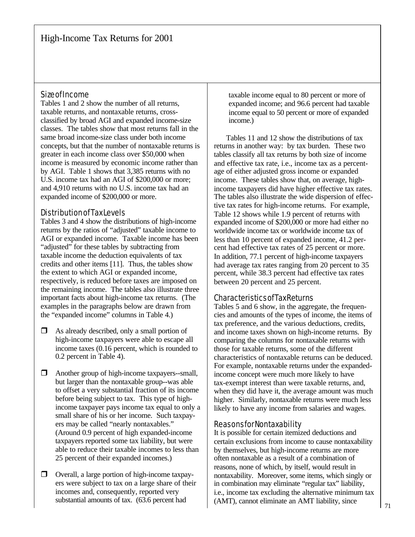## Size of Income

Tables 1 and 2 show the number of all returns, taxable returns, and nontaxable returns, crossclassified by broad AGI and expanded income-size classes. The tables show that most returns fall in the same broad income-size class under both income concepts, but that the number of nontaxable returns is greater in each income class over \$50,000 when income is measured by economic income rather than by AGI. Table 1 shows that 3,385 returns with no U.S. income tax had an AGI of \$200,000 or more; and 4,910 returns with no U.S. income tax had an expanded income of \$200,000 or more.

## Distribution of Tax Levels

Tables 3 and 4 show the distributions of high-income returns by the ratios of "adjusted" taxable income to AGI or expanded income. Taxable income has been "adjusted" for these tables by subtracting from taxable income the deduction equivalents of tax credits and other items [11]. Thus, the tables show the extent to which AGI or expanded income, respectively, is reduced before taxes are imposed on the remaining income. The tables also illustrate three important facts about high-income tax returns. (The examples in the paragraphs below are drawn from the "expanded income" columns in Table 4.)

- $\Box$  As already described, only a small portion of high-income taxpayers were able to escape all income taxes (0.16 percent, which is rounded to 0.2 percent in Table 4).
- $\Box$  Another group of high-income taxpayers--small, but larger than the nontaxable group--was able to offset a very substantial fraction of its income before being subject to tax. This type of highincome taxpayer pays income tax equal to only a small share of his or her income. Such taxpayers may be called "nearly nontaxables." (Around 0.9 percent of high expanded-income taxpayers reported some tax liability, but were able to reduce their taxable incomes to less than 25 percent of their expanded incomes.)
- $\Box$  Overall, a large portion of high-income taxpayers were subject to tax on a large share of their incomes and, consequently, reported very substantial amounts of tax. (63.6 percent had

taxable income equal to 80 percent or more of expanded income; and 96.6 percent had taxable income equal to 50 percent or more of expanded income.)

Tables 11 and 12 show the distributions of tax returns in another way: by tax burden. These two tables classify all tax returns by both size of income and effective tax rate, i.e., income tax as a percentage of either adjusted gross income or expanded income. These tables show that, on average, highincome taxpayers did have higher effective tax rates. The tables also illustrate the wide dispersion of effective tax rates for high-income returns. For example, Table 12 shows while 1.9 percent of returns with expanded income of \$200,000 or more had either no worldwide income tax or worldwide income tax of less than 10 percent of expanded income, 41.2 percent had effective tax rates of 25 percent or more. In addition, 77.1 percent of high-income taxpayers had average tax rates ranging from 20 percent to 35 percent, while 38.3 percent had effective tax rates between 20 percent and 25 percent.

## Characteristics of Tax Returns

Tables 5 and 6 show, in the aggregate, the frequencies and amounts of the types of income, the items of tax preference, and the various deductions, credits, and income taxes shown on high-income returns. By comparing the columns for nontaxable returns with those for taxable returns, some of the different characteristics of nontaxable returns can be deduced. For example, nontaxable returns under the expandedincome concept were much more likely to have tax-exempt interest than were taxable returns, and, when they did have it, the average amount was much higher. Similarly, nontaxable returns were much less likely to have any income from salaries and wages.

## Reasons for Nontaxability

It is possible for certain itemized deductions and certain exclusions from income to cause nontaxability by themselves, but high-income returns are more often nontaxable as a result of a combination of reasons, none of which, by itself, would result in nontaxability. Moreover, some items, which singly or in combination may eliminate "regular tax" liability, i.e., income tax excluding the alternative minimum tax (AMT), cannot eliminate an AMT liability, since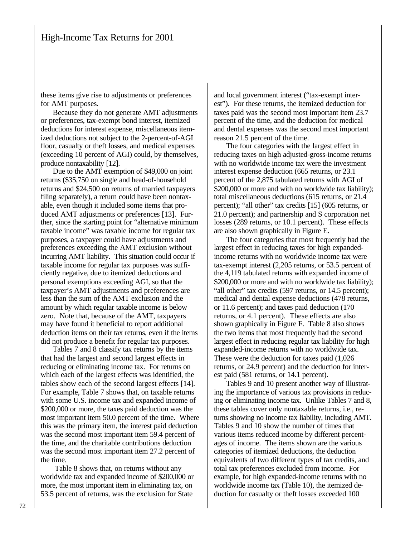these items give rise to adjustments or preferences for AMT purposes.

Because they do not generate AMT adjustments or preferences, tax-exempt bond interest, itemized deductions for interest expense, miscellaneous itemized deductions not subject to the 2-percent-of-AGI floor, casualty or theft losses, and medical expenses (exceeding 10 percent of AGI) could, by themselves, produce nontaxability [12].

Due to the AMT exemption of \$49,000 on joint returns (\$35,750 on single and head-of-household returns and \$24,500 on returns of married taxpayers filing separately), a return could have been nontaxable, even though it included some items that produced AMT adjustments or preferences [13]. Further, since the starting point for "alternative minimum taxable income" was taxable income for regular tax purposes, a taxpayer could have adjustments and preferences exceeding the AMT exclusion without incurring AMT liability. This situation could occur if taxable income for regular tax purposes was sufficiently negative, due to itemized deductions and personal exemptions exceeding AGI, so that the taxpayer's AMT adjustments and preferences are less than the sum of the AMT exclusion and the amount by which regular taxable income is below zero. Note that, because of the AMT, taxpayers may have found it beneficial to report additional deduction items on their tax returns, even if the items did not produce a benefit for regular tax purposes.

Tables 7 and 8 classify tax returns by the items that had the largest and second largest effects in reducing or eliminating income tax. For returns on which each of the largest effects was identified, the tables show each of the second largest effects [14]. For example, Table 7 shows that, on taxable returns with some U.S. income tax and expanded income of \$200,000 or more, the taxes paid deduction was the most important item 50.0 percent of the time. Where this was the primary item, the interest paid deduction was the second most important item 59.4 percent of the time, and the charitable contributions deduction was the second most important item 27.2 percent of the time.

 Table 8 shows that, on returns without any worldwide tax and expanded income of \$200,000 or more, the most important item in eliminating tax, on 53.5 percent of returns, was the exclusion for State

and local government interest ("tax-exempt interest"). For these returns, the itemized deduction for taxes paid was the second most important item 23.7 percent of the time, and the deduction for medical and dental expenses was the second most important reason 21.5 percent of the time.

The four categories with the largest effect in reducing taxes on high adjusted-gross-income returns with no worldwide income tax were the investment interest expense deduction (665 returns, or 23.1 percent of the 2,875 tabulated returns with AGI of \$200,000 or more and with no worldwide tax liability); total miscellaneous deductions (615 returns, or 21.4 percent); "all other" tax credits [15] (605 returns, or 21.0 percent); and partnership and S corporation net losses (289 returns, or 10.1 percent). These effects are also shown graphically in Figure E.

The four categories that most frequently had the largest effect in reducing taxes for high expandedincome returns with no worldwide income tax were tax-exempt interest (2,205 returns, or 53.5 percent of the 4,119 tabulated returns with expanded income of \$200,000 or more and with no worldwide tax liability); "all other" tax credits (597 returns, or 14.5 percent); medical and dental expense deductions (478 returns, or 11.6 percent); and taxes paid deduction (170 returns, or 4.1 percent). These effects are also shown graphically in Figure F. Table 8 also shows the two items that most frequently had the second largest effect in reducing regular tax liability for high expanded-income returns with no worldwide tax. These were the deduction for taxes paid (1,026 returns, or 24.9 percent) and the deduction for interest paid (581 returns, or 14.1 percent).

Tables 9 and 10 present another way of illustrating the importance of various tax provisions in reducing or eliminating income tax. Unlike Tables 7 and 8, these tables cover only nontaxable returns, i.e., returns showing no income tax liability, including AMT. Tables 9 and 10 show the number of times that various items reduced income by different percentages of income. The items shown are the various categories of itemized deductions, the deduction equivalents of two different types of tax credits, and total tax preferences excluded from income. For example, for high expanded-income returns with no worldwide income tax (Table 10), the itemized deduction for casualty or theft losses exceeded 100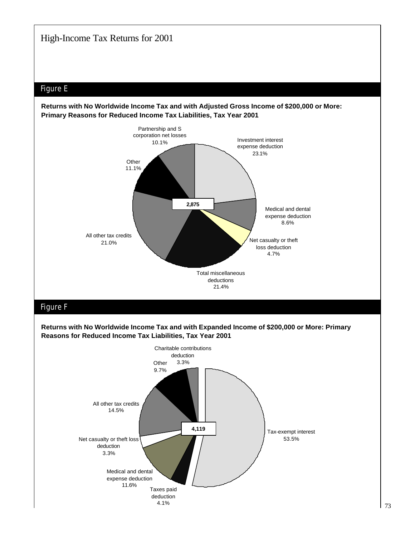# Figure E





# Figure F

**Returns with No Worldwide Income Tax and with Expanded Income of \$200,000 or More: Primary Reasons for Reduced Income Tax Liabilities, Tax Year 2001**

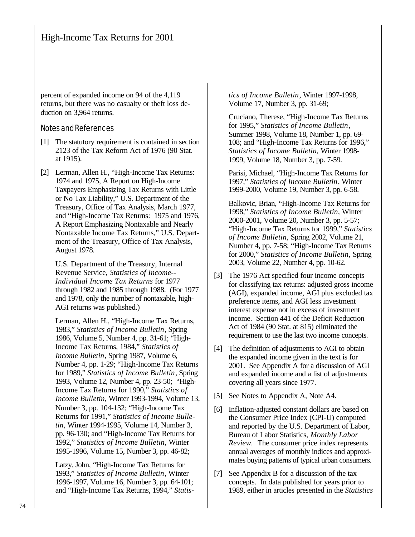percent of expanded income on 94 of the 4,119 returns, but there was no casualty or theft loss deduction on 3,964 returns.

## Notes and References

- [1] The statutory requirement is contained in section 2123 of the Tax Reform Act of 1976 (90 Stat. at 1915).
- [2] Lerman, Allen H., "High-Income Tax Returns: 1974 and 1975, A Report on High-Income Taxpayers Emphasizing Tax Returns with Little or No Tax Liability," U.S. Department of the Treasury, Office of Tax Analysis, March 1977, and "High-Income Tax Returns: 1975 and 1976, A Report Emphasizing Nontaxable and Nearly Nontaxable Income Tax Returns," U.S. Department of the Treasury, Office of Tax Analysis, August 1978.

U.S. Department of the Treasury, Internal Revenue Service, *Statistics of Income-- Individual Income Tax Returns* for 1977 through 1982 and 1985 through 1988. (For 1977 and 1978, only the number of nontaxable, high-AGI returns was published.)

Lerman, Allen H., "High-Income Tax Returns, 1983," *Statistics of Income Bulletin*, Spring 1986, Volume 5, Number 4, pp. 31-61; "High-Income Tax Returns, 1984," *Statistics of Income Bulletin*, Spring 1987, Volume 6, Number 4, pp. 1-29; "High-Income Tax Returns for 1989," *Statistics of Income Bulletin*, Spring 1993, Volume 12, Number 4, pp. 23-50; "High-Income Tax Returns for 1990," *Statistics of Income Bulletin,* Winter 1993-1994, Volume 13, Number 3, pp. 104-132; "High-Income Tax Returns for 1991," *Statistics of Income Bulletin,* Winter 1994-1995, Volume 14, Number 3, pp. 96-130; and "High-Income Tax Returns for 1992," *Statistics of Income Bulletin,* Winter 1995-1996, Volume 15, Number 3, pp. 46-82;

Latzy, John, "High-Income Tax Returns for 1993," *Statistics of Income Bulletin*, Winter 1996-1997, Volume 16, Number 3, pp. 64-101; and "High-Income Tax Returns, 1994," *Statis-* *tics of Income Bulletin*, Winter 1997-1998, Volume 17, Number 3, pp. 31-69;

Cruciano, Therese, "High-Income Tax Returns for 1995," *Statistics of Income Bulletin*, Summer 1998, Volume 18, Number 1, pp. 69- 108; and "High-Income Tax Returns for 1996," *Statistics of Income Bulletin,* Winter 1998- 1999, Volume 18, Number 3, pp. 7-59.

Parisi, Michael, "High-Income Tax Returns for 1997," *Statistics of Income Bulletin*, Winter 1999-2000, Volume 19, Number 3, pp. 6-58.

Balkovic, Brian, "High-Income Tax Returns for 1998," *Statistics of Income Bulletin,* Winter 2000-2001, Volume 20, Number 3, pp. 5-57; "High-Income Tax Returns for 1999," *Statistics of Income Bulletin,* Spring 2002, Volume 21, Number 4, pp. 7-58; "High-Income Tax Returns for 2000," *Statistics of Income Bulletin,* Spring 2003, Volume 22, Number 4, pp. 10-62.

- [3] The 1976 Act specified four income concepts for classifying tax returns: adjusted gross income (AGI), expanded income, AGI plus excluded tax preference items, and AGI less investment interest expense not in excess of investment income. Section 441 of the Deficit Reduction Act of 1984 (90 Stat. at 815) eliminated the requirement to use the last two income concepts.
- [4] The definition of adjustments to AGI to obtain the expanded income given in the text is for 2001. See Appendix A for a discussion of AGI and expanded income and a list of adjustments covering all years since 1977.
- [5] See Notes to Appendix A, Note A4.
- [6] Inflation-adjusted constant dollars are based on the Consumer Price Index (CPI-U) computed and reported by the U.S. Department of Labor, Bureau of Labor Statistics, *Monthly Labor Review*. The consumer price index represents annual averages of monthly indices and approximates buying patterns of typical urban consumers.
- [7] See Appendix B for a discussion of the tax concepts. In data published for years prior to 1989, either in articles presented in the *Statistics*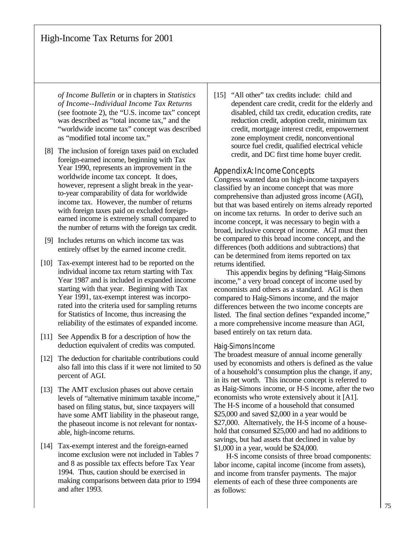*of Income Bulletin* or in chapters in *Statistics of Income--Individual Income Tax Returns* (see footnote 2), the "U.S. income tax" concept was described as "total income tax," and the "worldwide income tax" concept was described as "modified total income tax."

- [8] The inclusion of foreign taxes paid on excluded foreign-earned income, beginning with Tax Year 1990, represents an improvement in the worldwide income tax concept. It does, however, represent a slight break in the yearto-year comparability of data for worldwide income tax. However, the number of returns with foreign taxes paid on excluded foreignearned income is extremely small compared to the number of returns with the foreign tax credit.
- [9] Includes returns on which income tax was entirely offset by the earned income credit.
- [10] Tax-exempt interest had to be reported on the individual income tax return starting with Tax Year 1987 and is included in expanded income starting with that year. Beginning with Tax Year 1991, tax-exempt interest was incorporated into the criteria used for sampling returns for Statistics of Income, thus increasing the reliability of the estimates of expanded income.
- [11] See Appendix B for a description of how the deduction equivalent of credits was computed.
- [12] The deduction for charitable contributions could also fall into this class if it were not limited to 50 percent of AGI.
- [13] The AMT exclusion phases out above certain levels of "alternative minimum taxable income," based on filing status, but, since taxpayers will have some AMT liability in the phaseout range, the phaseout income is not relevant for nontaxable, high-income returns.
- [14] Tax-exempt interest and the foreign-earned income exclusion were not included in Tables 7 and 8 as possible tax effects before Tax Year 1994. Thus, caution should be exercised in making comparisons between data prior to 1994 and after 1993.

[15] "All other" tax credits include: child and dependent care credit, credit for the elderly and disabled, child tax credit, education credits, rate reduction credit, adoption credit, minimum tax credit, mortgage interest credit, empowerment zone employment credit, nonconventional source fuel credit, qualified electrical vehicle credit, and DC first time home buyer credit.

## Appendix A: Income Concepts

Congress wanted data on high-income taxpayers classified by an income concept that was more comprehensive than adjusted gross income (AGI), but that was based entirely on items already reported on income tax returns. In order to derive such an income concept, it was necessary to begin with a broad, inclusive concept of income. AGI must then be compared to this broad income concept, and the differences (both additions and subtractions) that can be determined from items reported on tax returns identified.

This appendix begins by defining "Haig-Simons income," a very broad concept of income used by economists and others as a standard. AGI is then compared to Haig-Simons income, and the major differences between the two income concepts are listed. The final section defines "expanded income," a more comprehensive income measure than AGI, based entirely on tax return data.

## Haig-Simons Income

The broadest measure of annual income generally used by economists and others is defined as the value of a household's consumption plus the change, if any, in its net worth. This income concept is referred to as Haig-Simons income, or H-S income, after the two economists who wrote extensively about it [A1]. The H-S income of a household that consumed \$25,000 and saved \$2,000 in a year would be \$27,000. Alternatively, the H-S income of a household that consumed \$25,000 and had no additions to savings, but had assets that declined in value by \$1,000 in a year, would be \$24,000.

H-S income consists of three broad components: labor income, capital income (income from assets), and income from transfer payments. The major elements of each of these three components are as follows: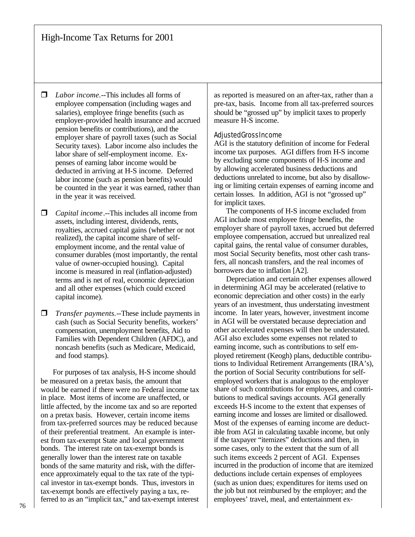- □ *Labor income.*--This includes all forms of employee compensation (including wages and salaries), employee fringe benefits (such as employer-provided health insurance and accrued pension benefits or contributions), and the employer share of payroll taxes (such as Social Security taxes). Labor income also includes the labor share of self-employment income. Expenses of earning labor income would be deducted in arriving at H-S income. Deferred labor income (such as pension benefits) would be counted in the year it was earned, rather than in the year it was received.
- $\Box$  *Capital income*.--This includes all income from assets, including interest, dividends, rents, royalties, accrued capital gains (whether or not realized), the capital income share of selfemployment income, and the rental value of consumer durables (most importantly, the rental value of owner-occupied housing). Capital income is measured in real (inflation-adjusted) terms and is net of real, economic depreciation and all other expenses (which could exceed capital income).
- **T** *Transfer payments.*--These include payments in cash (such as Social Security benefits, workers' compensation, unemployment benefits, Aid to Families with Dependent Children (AFDC), and noncash benefits (such as Medicare, Medicaid, and food stamps).

For purposes of tax analysis, H-S income should be measured on a pretax basis, the amount that would be earned if there were no Federal income tax in place. Most items of income are unaffected, or little affected, by the income tax and so are reported on a pretax basis. However, certain income items from tax-preferred sources may be reduced because of their preferential treatment. An example is interest from tax-exempt State and local government bonds. The interest rate on tax-exempt bonds is generally lower than the interest rate on taxable bonds of the same maturity and risk, with the difference approximately equal to the tax rate of the typical investor in tax-exempt bonds. Thus, investors in tax-exempt bonds are effectively paying a tax, referred to as an "implicit tax," and tax-exempt interest

as reported is measured on an after-tax, rather than a pre-tax, basis. Income from all tax-preferred sources should be "grossed up" by implicit taxes to properly measure H-S income.

### Adjusted Gross Income

AGI is the statutory definition of income for Federal income tax purposes. AGI differs from H-S income by excluding some components of H-S income and by allowing accelerated business deductions and deductions unrelated to income, but also by disallowing or limiting certain expenses of earning income and certain losses. In addition, AGI is not "grossed up" for implicit taxes.

The components of H-S income excluded from AGI include most employee fringe benefits, the employer share of payroll taxes, accrued but deferred employee compensation, accrued but unrealized real capital gains, the rental value of consumer durables, most Social Security benefits, most other cash transfers, all noncash transfers, and the real incomes of borrowers due to inflation [A2].

Depreciation and certain other expenses allowed in determining AGI may be accelerated (relative to economic depreciation and other costs) in the early years of an investment, thus understating investment income. In later years, however, investment income in AGI will be overstated because depreciation and other accelerated expenses will then be understated. AGI also excludes some expenses not related to earning income, such as contributions to self employed retirement (Keogh) plans, deductible contributions to Individual Retirement Arrangements (IRA's), the portion of Social Security contributions for selfemployed workers that is analogous to the employer share of such contributions for employees, and contributions to medical savings accounts. AGI generally exceeds H-S income to the extent that expenses of earning income and losses are limited or disallowed. Most of the expenses of earning income are deductible from AGI in calculating taxable income, but only if the taxpayer "itemizes" deductions and then, in some cases, only to the extent that the sum of all such items exceeds 2 percent of AGI. Expenses incurred in the production of income that are itemized deductions include certain expenses of employees (such as union dues; expenditures for items used on the job but not reimbursed by the employer; and the employees' travel, meal, and entertainment ex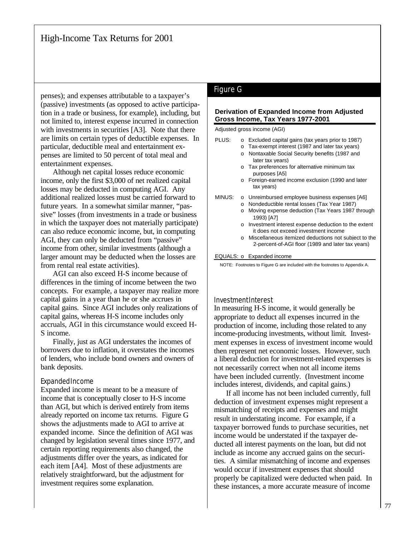penses); and expenses attributable to a taxpayer's (passive) investments (as opposed to active participation in a trade or business, for example), including, but not limited to, interest expense incurred in connection with investments in securities [A3]. Note that there are limits on certain types of deductible expenses. In particular, deductible meal and entertainment expenses are limited to 50 percent of total meal and entertainment expenses.

Although net capital losses reduce economic income, only the first \$3,000 of net realized capital losses may be deducted in computing AGI. Any additional realized losses must be carried forward to future years. In a somewhat similar manner, "passive" losses (from investments in a trade or business in which the taxpayer does not materially participate) can also reduce economic income, but, in computing AGI, they can only be deducted from "passive" income from other, similar investments (although a larger amount may be deducted when the losses are from rental real estate activities).

AGI can also exceed H-S income because of differences in the timing of income between the two concepts. For example, a taxpayer may realize more capital gains in a year than he or she accrues in capital gains. Since AGI includes only realizations of capital gains, whereas H-S income includes only accruals, AGI in this circumstance would exceed H-S income.

Finally, just as AGI understates the incomes of borrowers due to inflation, it overstates the incomes of lenders, who include bond owners and owners of bank deposits.

#### Expanded Income

Expanded income is meant to be a measure of income that is conceptually closer to H-S income than AGI, but which is derived entirely from items already reported on income tax returns. Figure G shows the adjustments made to AGI to arrive at expanded income. Since the definition of AGI was changed by legislation several times since 1977, and certain reporting requirements also changed, the adjustments differ over the years, as indicated for each item [A4]. Most of these adjustments are relatively straightforward, but the adjustment for investment requires some explanation.

# Figure G

#### **Derivation of Expanded Income from Adjusted Gross Income, Tax Years 1977-2001**

Adjusted gross income (AGI)

| PLUS:  | $\Omega$<br>O<br>O | Excluded capital gains (tax years prior to 1987)<br>Tax-exempt interest (1987 and later tax years)<br>Nontaxable Social Security benefits (1987 and<br>later tax vears)<br>o Tax preferences for alternative minimum tax<br>purposes [A5]<br>o Foreign-earned income exclusion (1990 and later |
|--------|--------------------|------------------------------------------------------------------------------------------------------------------------------------------------------------------------------------------------------------------------------------------------------------------------------------------------|
|        |                    | tax vears)                                                                                                                                                                                                                                                                                     |
| MINUS: |                    | o Unreimbursed employee business expenses [A6]                                                                                                                                                                                                                                                 |
|        | O                  | Nondeductible rental losses (Tax Year 1987)                                                                                                                                                                                                                                                    |
|        | o                  | Moving expense deduction (Tax Years 1987 through<br>1993) [A7]                                                                                                                                                                                                                                 |
|        |                    | o Investment interest expense deduction to the extent<br>it does not exceed investment income                                                                                                                                                                                                  |
|        |                    | o Miscellaneous itemized deductions not subiect to the<br>2-percent-of-AGI floor (1989 and later tax vears)                                                                                                                                                                                    |
|        |                    | EQUALS: o Expanded income                                                                                                                                                                                                                                                                      |

NOTE: Footnotes to Figure G are included with the footnotes to Appendix A.

#### Investment Interest

In measuring H-S income, it would generally be appropriate to deduct all expenses incurred in the production of income, including those related to any income-producing investments, without limit. Investment expenses in excess of investment income would then represent net economic losses. However, such a liberal deduction for investment-related expenses is not necessarily correct when not all income items have been included currently. (Investment income includes interest, dividends, and capital gains.)

If all income has not been included currently, full deduction of investment expenses might represent a mismatching of receipts and expenses and might result in understating income. For example, if a taxpayer borrowed funds to purchase securities, net income would be understated if the taxpayer deducted all interest payments on the loan, but did not include as income any accrued gains on the securities. A similar mismatching of income and expenses would occur if investment expenses that should properly be capitalized were deducted when paid. In these instances, a more accurate measure of income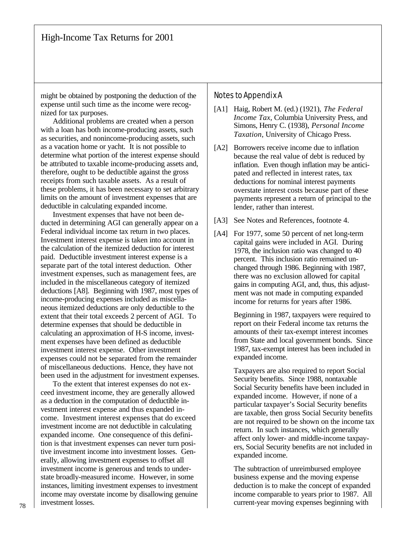might be obtained by postponing the deduction of the expense until such time as the income were recognized for tax purposes.

Additional problems are created when a person with a loan has both income-producing assets, such as securities, and nonincome-producing assets, such as a vacation home or yacht. It is not possible to determine what portion of the interest expense should be attributed to taxable income-producing assets and, therefore, ought to be deductible against the gross receipts from such taxable assets. As a result of these problems, it has been necessary to set arbitrary limits on the amount of investment expenses that are deductible in calculating expanded income.

Investment expenses that have not been deducted in determining AGI can generally appear on a Federal individual income tax return in two places. Investment interest expense is taken into account in the calculation of the itemized deduction for interest paid. Deductible investment interest expense is a separate part of the total interest deduction. Other investment expenses, such as management fees, are included in the miscellaneous category of itemized deductions [A8]. Beginning with 1987, most types of income-producing expenses included as miscellaneous itemized deductions are only deductible to the extent that their total exceeds 2 percent of AGI. To determine expenses that should be deductible in calculating an approximation of H-S income, investment expenses have been defined as deductible investment interest expense. Other investment expenses could not be separated from the remainder of miscellaneous deductions. Hence, they have not been used in the adjustment for investment expenses.

To the extent that interest expenses do not exceed investment income, they are generally allowed as a deduction in the computation of deductible investment interest expense and thus expanded income. Investment interest expenses that do exceed investment income are not deductible in calculating expanded income. One consequence of this definition is that investment expenses can never turn positive investment income into investment losses. Generally, allowing investment expenses to offset all investment income is generous and tends to understate broadly-measured income. However, in some instances, limiting investment expenses to investment income may overstate income by disallowing genuine investment losses.

## Notes to Appendix A

- [A1] Haig, Robert M. (ed.) (1921), *The Federal Income Tax*, Columbia University Press, and Simons, Henry C. (1938), *Personal Income Taxation*, University of Chicago Press.
- [A2] Borrowers receive income due to inflation because the real value of debt is reduced by inflation. Even though inflation may be anticipated and reflected in interest rates, tax deductions for nominal interest payments overstate interest costs because part of these payments represent a return of principal to the lender, rather than interest.
- [A3] See Notes and References, footnote 4.
- [A4] For 1977, some 50 percent of net long-term capital gains were included in AGI. During 1978, the inclusion ratio was changed to 40 percent. This inclusion ratio remained unchanged through 1986. Beginning with 1987, there was no exclusion allowed for capital gains in computing AGI, and, thus, this adjustment was not made in computing expanded income for returns for years after 1986.

Beginning in 1987, taxpayers were required to report on their Federal income tax returns the amounts of their tax-exempt interest incomes from State and local government bonds. Since 1987, tax-exempt interest has been included in expanded income.

Taxpayers are also required to report Social Security benefits. Since 1988, nontaxable Social Security benefits have been included in expanded income. However, if none of a particular taxpayer's Social Security benefits are taxable, then gross Social Security benefits are not required to be shown on the income tax return. In such instances, which generally affect only lower- and middle-income taxpayers, Social Security benefits are not included in expanded income.

The subtraction of unreimbursed employee business expense and the moving expense deduction is to make the concept of expanded income comparable to years prior to 1987. All current-year moving expenses beginning with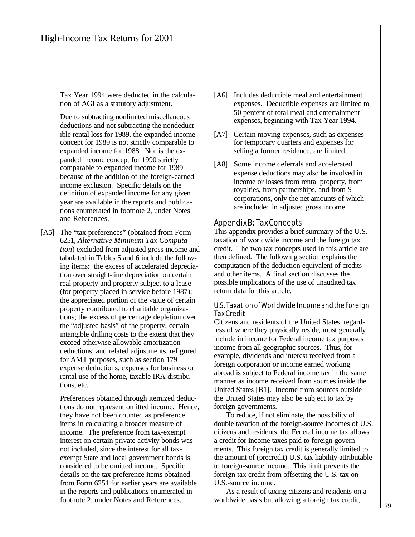Tax Year 1994 were deducted in the calculation of AGI as a statutory adjustment.

Due to subtracting nonlimited miscellaneous deductions and not subtracting the nondeductible rental loss for 1989, the expanded income concept for 1989 is not strictly comparable to expanded income for 1988. Nor is the expanded income concept for 1990 strictly comparable to expanded income for 1989 because of the addition of the foreign-earned income exclusion. Specific details on the definition of expanded income for any given year are available in the reports and publications enumerated in footnote 2, under Notes and References.

[A5] The "tax preferences" (obtained from Form 6251, *Alternative Minimum Tax Computation*) excluded from adjusted gross income and tabulated in Tables 5 and 6 include the following items: the excess of accelerated depreciation over straight-line depreciation on certain real property and property subject to a lease (for property placed in service before 1987); the appreciated portion of the value of certain property contributed to charitable organizations; the excess of percentage depletion over the "adjusted basis" of the property; certain intangible drilling costs to the extent that they exceed otherwise allowable amortization deductions; and related adjustments, refigured for AMT purposes, such as section 179 expense deductions, expenses for business or rental use of the home, taxable IRA distributions, etc.

> Preferences obtained through itemized deductions do not represent omitted income. Hence, they have not been counted as preference items in calculating a broader measure of income. The preference from tax-exempt interest on certain private activity bonds was not included, since the interest for all taxexempt State and local government bonds is considered to be omitted income. Specific details on the tax preference items obtained from Form 6251 for earlier years are available in the reports and publications enumerated in footnote 2, under Notes and References.

- [A6] Includes deductible meal and entertainment expenses. Deductible expenses are limited to 50 percent of total meal and entertainment expenses, beginning with Tax Year 1994.
- [A7] Certain moving expenses, such as expenses for temporary quarters and expenses for selling a former residence, are limited.
- [A8] Some income deferrals and accelerated expense deductions may also be involved in income or losses from rental property, from royalties, from partnerships, and from S corporations, only the net amounts of which are included in adjusted gross income.

### Appendix B: Tax Concepts

This appendix provides a brief summary of the U.S. taxation of worldwide income and the foreign tax credit. The two tax concepts used in this article are then defined. The following section explains the computation of the deduction equivalent of credits and other items. A final section discusses the possible implications of the use of unaudited tax return data for this article.

### U.S. Taxation of Worldwide Income and the Foreign Tax Credit

Citizens and residents of the United States, regardless of where they physically reside, must generally include in income for Federal income tax purposes income from all geographic sources. Thus, for example, dividends and interest received from a foreign corporation or income earned working abroad is subject to Federal income tax in the same manner as income received from sources inside the United States [B1]. Income from sources outside the United States may also be subject to tax by foreign governments.

To reduce, if not eliminate, the possibility of double taxation of the foreign-source incomes of U.S. citizens and residents, the Federal income tax allows a credit for income taxes paid to foreign governments. This foreign tax credit is generally limited to the amount of (precredit) U.S. tax liability attributable to foreign-source income. This limit prevents the foreign tax credit from offsetting the U.S. tax on U.S.-source income.

As a result of taxing citizens and residents on a worldwide basis but allowing a foreign tax credit,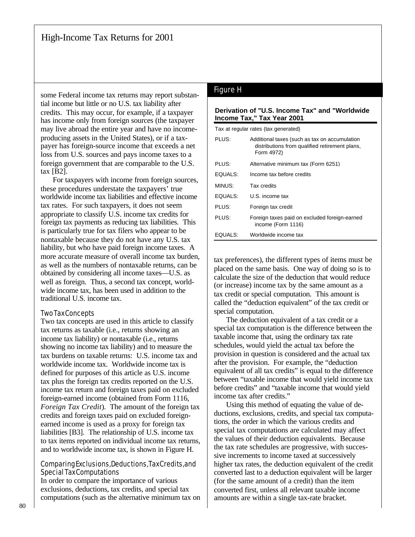some Federal income tax returns may report substantial income but little or no U.S. tax liability after credits. This may occur, for example, if a taxpayer has income only from foreign sources (the taxpayer may live abroad the entire year and have no incomeproducing assets in the United States), or if a taxpayer has foreign-source income that exceeds a net loss from U.S. sources and pays income taxes to a foreign government that are comparable to the U.S. tax [B2].

For taxpayers with income from foreign sources, these procedures understate the taxpayers' true worldwide income tax liabilities and effective income tax rates. For such taxpayers, it does not seem appropriate to classify U.S. income tax credits for foreign tax payments as reducing tax liabilities. This is particularly true for tax filers who appear to be nontaxable because they do not have any U.S. tax liability, but who have paid foreign income taxes. A more accurate measure of overall income tax burden, as well as the numbers of nontaxable returns, can be obtained by considering all income taxes—U.S. as well as foreign. Thus, a second tax concept, worldwide income tax, has been used in addition to the traditional U.S. income tax.

## Two Tax Concepts

Two tax concepts are used in this article to classify tax returns as taxable (i.e., returns showing an income tax liability) or nontaxable (i.e., returns showing no income tax liability) and to measure the tax burdens on taxable returns: U.S. income tax and worldwide income tax. Worldwide income tax is defined for purposes of this article as U.S. income tax plus the foreign tax credits reported on the U.S. income tax return and foreign taxes paid on excluded foreign-earned income (obtained from Form 1116, *Foreign Tax Credit*). The amount of the foreign tax credits and foreign taxes paid on excluded foreignearned income is used as a proxy for foreign tax liabilities [B3]. The relationship of U.S. income tax to tax items reported on individual income tax returns, and to worldwide income tax, is shown in Figure H.

### Comparing Exclusions, Deductions, Tax Credits, and Special Tax Computations

In order to compare the importance of various exclusions, deductions, tax credits, and special tax computations (such as the alternative minimum tax on

# Figure H

#### **Derivation of "U.S. Income Tax" and "Worldwide Income Tax," Tax Year 2001**

Tax at regular rates (tax generated)

| PLUS:   | Additional taxes (such as tax on accumulation<br>distributions from qualified retirement plans,<br>Form 4972) |
|---------|---------------------------------------------------------------------------------------------------------------|
| PLUS:   | Alternative minimum tax (Form 6251)                                                                           |
| EQUALS: | Income tax before credits                                                                                     |
| MINUS:  | Tax credits                                                                                                   |
| EQUALS: | U.S. income tax                                                                                               |
| PLUS:   | Foreign tax credit                                                                                            |
| PLUS:   | Foreign taxes paid on excluded foreign-earned<br>income (Form 1116)                                           |
| EQUALS: | Worldwide income tax                                                                                          |

tax preferences), the different types of items must be placed on the same basis. One way of doing so is to calculate the size of the deduction that would reduce (or increase) income tax by the same amount as a tax credit or special computation. This amount is called the "deduction equivalent" of the tax credit or special computation.

The deduction equivalent of a tax credit or a special tax computation is the difference between the taxable income that, using the ordinary tax rate schedules, would yield the actual tax before the provision in question is considered and the actual tax after the provision. For example, the "deduction equivalent of all tax credits" is equal to the difference between "taxable income that would yield income tax before credits" and "taxable income that would yield income tax after credits."

Using this method of equating the value of deductions, exclusions, credits, and special tax computations, the order in which the various credits and special tax computations are calculated may affect the values of their deduction equivalents. Because the tax rate schedules are progressive, with successive increments to income taxed at successively higher tax rates, the deduction equivalent of the credit converted last to a deduction equivalent will be larger (for the same amount of a credit) than the item converted first, unless all relevant taxable income amounts are within a single tax-rate bracket.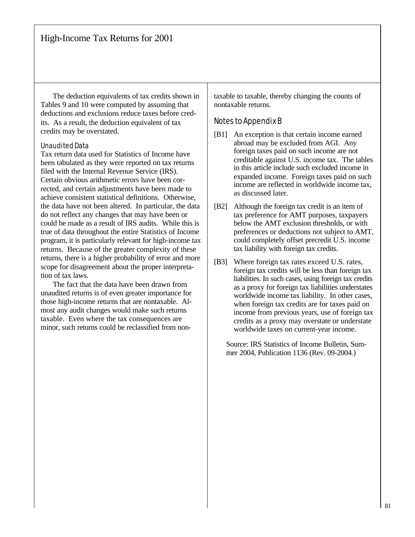The deduction equivalents of tax credits shown in Tables 9 and 10 were computed by assuming that deductions and exclusions reduce taxes before credits. As a result, the deduction equivalent of tax credits may be overstated.

## Unaudited Data

Tax return data used for Statistics of Income have been tabulated as they were reported on tax returns filed with the Internal Revenue Service (IRS). Certain obvious arithmetic errors have been corrected, and certain adjustments have been made to achieve consistent statistical definitions. Otherwise, the data have not been altered. In particular, the data do not reflect any changes that may have been or could be made as a result of IRS audits. While this is true of data throughout the entire Statistics of Income program, it is particularly relevant for high-income tax returns. Because of the greater complexity of these returns, there is a higher probability of error and more scope for disagreement about the proper interpretation of tax laws.

The fact that the data have been drawn from unaudited returns is of even greater importance for those high-income returns that are nontaxable. Almost any audit changes would make such returns taxable. Even where the tax consequences are minor, such returns could be reclassified from nontaxable to taxable, thereby changing the counts of nontaxable returns.

## Notes to Appendix B

- [B1] An exception is that certain income earned abroad may be excluded from AGI. Any foreign taxes paid on such income are not creditable against U.S. income tax. The tables in this article include such excluded income in expanded income. Foreign taxes paid on such income are reflected in worldwide income tax, as discussed later.
- [B2] Although the foreign tax credit is an item of tax preference for AMT purposes, taxpayers below the AMT exclusion thresholds, or with preferences or deductions not subject to AMT, could completely offset precredit U.S. income tax liability with foreign tax credits.
- [B3] Where foreign tax rates exceed U.S. rates, foreign tax credits will be less than foreign tax liabilities. In such cases, using foreign tax credits as a proxy for foreign tax liabilities understates worldwide income tax liability. In other cases, when foreign tax credits are for taxes paid on income from previous years, use of foreign tax credits as a proxy may overstate or understate worldwide taxes on current-year income.

Source: IRS Statistics of Income Bulletin, Summer 2004, Publication 1136 (Rev. 09-2004.)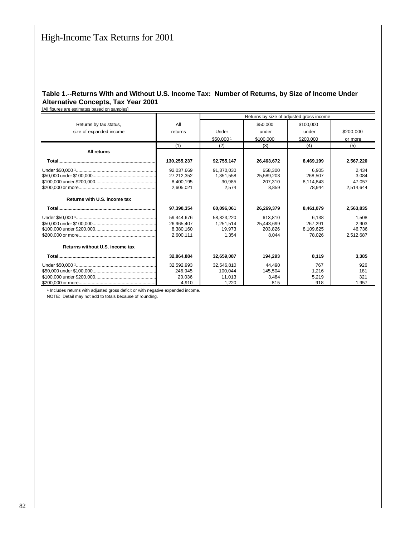## **Table 1.--Returns With and Without U.S. Income Tax: Number of Returns, by Size of Income Under Alternative Concepts, Tax Year 2001**

[All figures are estimates based on samples]

|                                 |             | Returns by size of adjusted gross income |            |           |           |  |  |  |
|---------------------------------|-------------|------------------------------------------|------------|-----------|-----------|--|--|--|
| Returns by tax status,          | All         |                                          | \$50,000   | \$100,000 |           |  |  |  |
| size of expanded income         | returns     | Under                                    | under      | under     | \$200,000 |  |  |  |
|                                 |             | \$50,0001                                | \$100,000  | \$200.000 | or more   |  |  |  |
|                                 | (1)         | (2)                                      | (3)        | (4)       | (5)       |  |  |  |
| All returns                     |             |                                          |            |           |           |  |  |  |
|                                 | 130,255,237 | 92,755,147                               | 26,463,672 | 8,469,199 | 2,567,220 |  |  |  |
|                                 | 92,037,669  | 91,370,030                               | 658,300    | 6,905     | 2,434     |  |  |  |
|                                 | 27,212,352  | 1,351,558                                | 25,589,203 | 268.507   | 3,084     |  |  |  |
|                                 | 8.400.195   | 30.985                                   | 207.310    | 8.114.843 | 47.057    |  |  |  |
|                                 | 2,605,021   | 2.574                                    | 8,859      | 78.944    | 2,514,644 |  |  |  |
| Returns with U.S. income tax    |             |                                          |            |           |           |  |  |  |
|                                 | 97.390.354  | 60.096.061                               | 26,269,379 | 8.461.079 | 2,563,835 |  |  |  |
|                                 | 59.444.676  | 58,823,220                               | 613.810    | 6.138     | 1,508     |  |  |  |
|                                 | 26,965,407  | 1.251.514                                | 25,443,699 | 267.291   | 2.903     |  |  |  |
|                                 | 8,380,160   | 19.973                                   | 203.826    | 8,109,625 | 46,736    |  |  |  |
|                                 | 2.600.111   | 1.354                                    | 8.044      | 78.026    | 2,512,687 |  |  |  |
| Returns without U.S. income tax |             |                                          |            |           |           |  |  |  |
|                                 | 32,864,884  | 32,659,087                               | 194.293    | 8.119     | 3,385     |  |  |  |
|                                 | 32.592.993  | 32,546,810                               | 44.490     | 767       | 926       |  |  |  |
|                                 | 246.945     | 100.044                                  | 145,504    | 1,216     | 181       |  |  |  |
|                                 | 20,036      | 11.013                                   | 3.484      | 5,219     | 321       |  |  |  |
|                                 | 4,910       | 1,220                                    | 815        | 918       | 1,957     |  |  |  |

<sup>1</sup> Includes returns with adjusted gross deficit or with negative expanded income.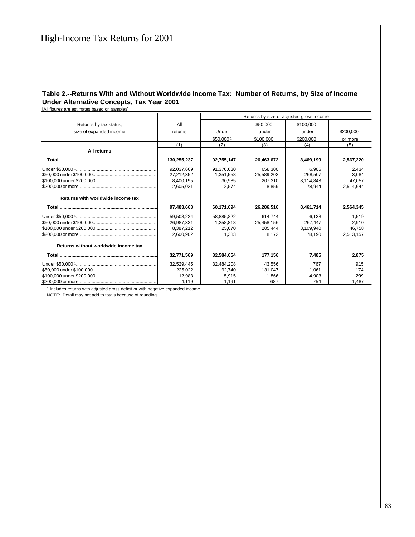## **Table 2.--Returns With and Without Worldwide Income Tax: Number of Returns, by Size of Income Under Alternative Concepts, Tax Year 2001**

[All figures are estimates based on samples]

|                                      |             | Returns by size of adjusted gross income |            |           |           |  |  |  |
|--------------------------------------|-------------|------------------------------------------|------------|-----------|-----------|--|--|--|
| Returns by tax status,               | All         |                                          | \$50,000   | \$100,000 |           |  |  |  |
| size of expanded income              | returns     | Under                                    | under      | under     | \$200,000 |  |  |  |
|                                      |             | \$50,0001                                | \$100,000  | \$200,000 | or more   |  |  |  |
|                                      | (1)         | (2)                                      | (3)        | (4)       | (5)       |  |  |  |
| All returns                          |             |                                          |            |           |           |  |  |  |
|                                      | 130,255,237 | 92,755,147                               | 26,463,672 | 8,469,199 | 2,567,220 |  |  |  |
|                                      | 92,037,669  | 91,370,030                               | 658,300    | 6,905     | 2,434     |  |  |  |
|                                      | 27,212,352  | 1,351,558                                | 25,589,203 | 268.507   | 3,084     |  |  |  |
|                                      | 8,400,195   | 30.985                                   | 207.310    | 8.114.843 | 47.057    |  |  |  |
|                                      | 2.605.021   | 2.574                                    | 8.859      | 78.944    | 2.514.644 |  |  |  |
| Returns with worldwide income tax    |             |                                          |            |           |           |  |  |  |
|                                      | 97.483.668  | 60.171.094                               | 26,286,516 | 8.461.714 | 2,564,345 |  |  |  |
|                                      | 59,508,224  | 58,885,822                               | 614.744    | 6,138     | 1,519     |  |  |  |
|                                      | 26,987,331  | 1,258,818                                | 25,458,156 | 267.447   | 2,910     |  |  |  |
|                                      | 8,387,212   | 25.070                                   | 205.444    | 8,109,940 | 46.758    |  |  |  |
|                                      | 2.600.902   | 1.383                                    | 8.172      | 78.190    | 2,513,157 |  |  |  |
| Returns without worldwide income tax |             |                                          |            |           |           |  |  |  |
|                                      | 32,771,569  | 32,584,054                               | 177,156    | 7.485     | 2,875     |  |  |  |
|                                      | 32,529,445  | 32,484,208                               | 43,556     | 767       | 915       |  |  |  |
|                                      | 225,022     | 92.740                                   | 131.047    | 1,061     | 174       |  |  |  |
|                                      | 12.983      | 5.915                                    | 1.866      | 4.903     | 299       |  |  |  |
|                                      | 4,119       | 1,191                                    | 687        | 754       | 1,487     |  |  |  |

<sup>1</sup> Includes returns with adjusted gross deficit or with negative expanded income.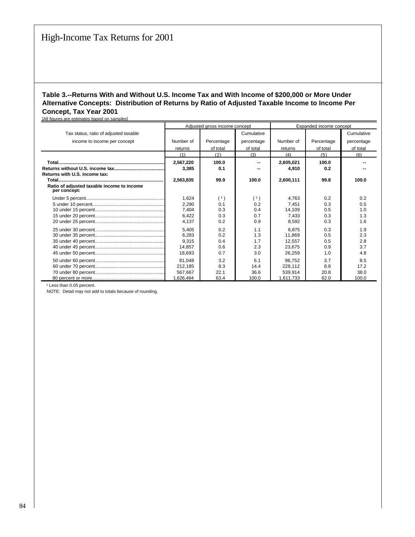## **Table 3.--Returns With and Without U.S. Income Tax and With Income of \$200,000 or More Under Alternative Concepts: Distribution of Returns by Ratio of Adjusted Taxable Income to Income Per Concept, Tax Year 2001**

[All figures are estimates based on samples] Adjusted gross income concept **Expanded** income concept Tax status, ratio of adjusted taxable **Cumulative** Cumulative Cumulative Cumulative Cumulative Cumulative Cumulative income to income per concept Number of Percentage percentage Number of Percentage percentage returns of total of total returns of total of total  $(1)$   $(2)$   $(3)$   $(4)$   $(5)$   $(6)$  **Total.............................................................................................................. 2,567,220 100.0 -- 2,605,021 100.0 -- Returns without U.S. income tax.............................................................................................................. 3,385 0.1 -- 4,910 0.2 -- Returns with U.S. income tax: Total................................................................................. 2,563,835 99.9 100.0 2,600,111 99.8 100.0 Ratio of adjusted taxable income to income per concept:** Under 5 percent.............................................................................................................. 1,624 ( ¹ ) ( ¹ ) 4,763 0.2 0.2 5 under 10 percent.............................................................................................................. 2,290 0.1 0.2 7,451 0.3 0.5 10 under 15 percent.............................................................................................................. 7,404 0.3 0.4 14,109 0.5 1.0 15 under 20 percent.............................................................................................................. 6,422 0.3 0.7 7,433 0.3 1.3 20 under 25 percent.............................................................................................................. 4,137 0.2 0.9 8,592 0.3 1.6 25 under 30 percent.............................................................................................................. 5,405 0.2 1.1 6,875 0.3 1.9 30 under 35 percent.............................................................................................................. 6,283 0.2 1.3 11,869 0.5 2.3 35 under 40 percent.............................................................................................................. 9,315 0.4 1.7 12,557 0.5 2.8 40 under 45 percent.............................................................................................................. 14,857 0.6 2.3 23,675 0.9 3.7 45 under 50 percent.............................................................................................................. 18,693 0.7 3.0 26,259 1.0 4.8 50 under 60 percent.............................................................................................................. 81,048 3.2 6.1 96,752 3.7 8.5 60 under 70 percent.............................................................................................................. 212,185 8.3 14.4 228,112 8.8 17.2 70 under 80 percent.............................................................................................................. 567,667 22.1 36.6 539,914 20.8 38.0 80 percent or more.............................................................................................................. 1,626,494 63.4 100.0 1,611,733 62.0 100.0

<sup>1</sup> Less than 0.05 percent.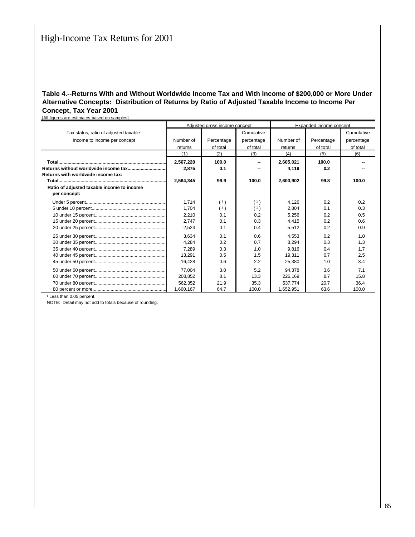## **Table 4.--Returns With and Without Worldwide Income Tax and With Income of \$200,000 or More Under Alternative Concepts: Distribution of Returns by Ratio of Adjusted Taxable Income to Income Per Concept, Tax Year 2001**

| [All figures are estimates based on samples]                          |                                 |                        |                                      |                                 |                        |                                      |
|-----------------------------------------------------------------------|---------------------------------|------------------------|--------------------------------------|---------------------------------|------------------------|--------------------------------------|
|                                                                       | Adjusted aross income concept   |                        |                                      | Expanded income concept         |                        |                                      |
| Tax status, ratio of adjusted taxable<br>income to income per concept | Number of<br>returns            | Percentage<br>of total | Cumulative<br>percentage<br>of total | Number of<br>returns            | Percentage<br>of total | Cumulative<br>percentage<br>of total |
|                                                                       | (1)                             | (2)                    | (3)                                  | (4)                             | (5)                    | (6)                                  |
| Returns with worldwide income tax:                                    | 2,567,220<br>2,875<br>2,564,345 | 100.0<br>0.1<br>99.9   | 100.0                                | 2,605,021<br>4,119<br>2,600,902 | 100.0<br>0.2<br>99.8   | 100.0                                |
| Ratio of adjusted taxable income to income<br>per concept:            |                                 |                        |                                      |                                 |                        |                                      |
|                                                                       | 1.714                           | (1)                    | (1)                                  | 4.126                           | 0.2                    | 0.2                                  |
|                                                                       | 1,704                           | (1)                    | (1)                                  | 2,804                           | 0.1                    | 0.3                                  |
|                                                                       | 2,210                           | 0.1                    | 0.2                                  | 5,256                           | 0.2                    | 0.5                                  |
|                                                                       | 2,747                           | 0.1                    | 0.3                                  | 4,415                           | 0.2                    | 0.6                                  |
|                                                                       | 2,524                           | 0.1                    | 0.4                                  | 5,512                           | 0.2                    | 0.9                                  |
|                                                                       | 3.634                           | 0.1                    | 0.6                                  | 4.553                           | 0.2                    | 1.0                                  |
|                                                                       | 4.284                           | 0.2                    | 0.7                                  | 8,294                           | 0.3                    | 1.3                                  |
|                                                                       | 7.289                           | 0.3                    | 1.0                                  | 9.816                           | 0.4                    | 1.7                                  |
|                                                                       | 13,291                          | 0.5                    | 1.5                                  | 19,311                          | 0.7                    | 2.5                                  |
|                                                                       | 16.428                          | 0.6                    | 2.2                                  | 25,380                          | 1.0                    | 3.4                                  |
|                                                                       | 77.004                          | 3.0                    | 5.2                                  | 94,378                          | 3.6                    | 7.1                                  |
|                                                                       | 208,852                         | 8.1                    | 13.3                                 | 226,169                         | 8.7                    | 15.8                                 |
|                                                                       | 562.352                         | 21.9                   | 35.3                                 | 537.774                         | 20.7                   | 36.4                                 |
|                                                                       | 1,660,167                       | 64.7                   | 100.0                                | 1,652,951                       | 63.6                   | 100.0                                |

<sup>1</sup> Less than 0.05 percent.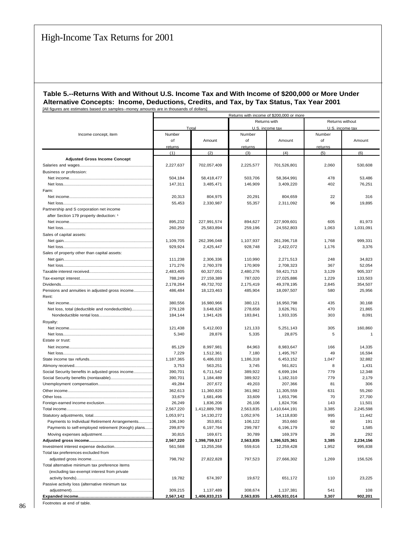#### **Table 5.--Returns With and Without U.S. Income Tax and With Income of \$200,000 or More Under Alternative Concepts: Income, Deductions, Credits, and Tax, by Tax Status, Tax Year 2001** [All figures are estimates based on samples--money amounts are in thousands of dollars]

|                                                    | Returns with income of \$200,000 or more |               |           |                 |                 |                |  |  |
|----------------------------------------------------|------------------------------------------|---------------|-----------|-----------------|-----------------|----------------|--|--|
|                                                    |                                          |               |           | Returns with    | Returns without |                |  |  |
|                                                    |                                          | Total         |           | U.S. income tax | U.S. income tax |                |  |  |
| Income concept, item                               | Number                                   |               | Number    |                 | Number          |                |  |  |
|                                                    | of                                       | Amount        | of        | Amount          | of              | Amount         |  |  |
|                                                    | returns                                  |               | returns   |                 | returns         |                |  |  |
|                                                    | (1)                                      | (2)           | (3)       | (4)             | (5)             | (6)            |  |  |
| <b>Adjusted Gross Income Concept</b>               |                                          |               |           |                 |                 |                |  |  |
|                                                    | 2,227,637                                | 702,057,409   | 2,225,577 | 701,526,801     | 2,060           | 530,608        |  |  |
| Business or profession:                            |                                          |               |           |                 |                 |                |  |  |
|                                                    | 504,184                                  | 58,418,477    | 503,706   | 58,364,991      | 478             | 53,486         |  |  |
|                                                    | 147,311                                  | 3,485,471     | 146,909   | 3,409,220       | 402             | 76,251         |  |  |
| Farm:                                              |                                          |               |           |                 |                 |                |  |  |
|                                                    | 20,313                                   | 804,975       | 20,291    | 804,659         | 22              | 316            |  |  |
|                                                    | 55,453                                   | 2,330,987     | 55,357    | 2,311,092       | 96              | 19,895         |  |  |
| Partnership and S corporation net income           |                                          |               |           |                 |                 |                |  |  |
|                                                    |                                          |               |           |                 |                 |                |  |  |
| after Section 179 property deduction: 1            |                                          |               | 894,627   |                 | 605             | 81,973         |  |  |
|                                                    | 895,232                                  | 227,991,574   |           | 227,909,601     |                 |                |  |  |
|                                                    | 260,259                                  | 25,583,894    | 259,196   | 24,552,803      | 1,063           | 1,031,091      |  |  |
| Sales of capital assets:                           |                                          |               |           |                 |                 |                |  |  |
|                                                    | 1,109,705                                | 262,396,048   | 1,107,937 | 261,396,718     | 1,768           | 999,331        |  |  |
|                                                    | 929,924                                  | 2,425,447     | 928,748   | 2,422,072       | 1,176           | 3,376          |  |  |
| Sales of property other than capital assets:       |                                          |               |           |                 |                 |                |  |  |
|                                                    | 111,238                                  | 2,306,336     | 110,990   | 2,271,513       | 248             | 34,823         |  |  |
|                                                    | 171,276                                  | 2.760.378     | 170,909   | 2,708,323       | 367             | 52,054         |  |  |
|                                                    | 2,483,405                                | 60,327,051    | 2,480,276 | 59,421,713      | 3,129           | 905,337        |  |  |
|                                                    | 788,249                                  | 27,159,389    | 787,020   | 27,025,886      | 1,229           | 133,503        |  |  |
|                                                    | 2,178,264                                | 49,732,702    | 2,175,419 | 49,378,195      | 2,845           | 354,507        |  |  |
| Pensions and annuities in adjusted gross income    | 486,484                                  | 18,123,463    | 485,904   | 18,097,507      | 580             | 25,956         |  |  |
| Rent:                                              |                                          |               |           |                 |                 |                |  |  |
|                                                    | 380,556                                  | 16,980,966    | 380,121   | 16,950,798      | 435             | 30,168         |  |  |
| Net loss, total (deductible and nondeductible)     | 279,128                                  | 3,648,626     | 278,658   | 3,626,761       | 470             | 21,865         |  |  |
|                                                    | 184,144                                  | 1,941,426     | 183,841   | 1,933,335       | 303             | 8,091          |  |  |
| Royalty:                                           |                                          |               |           |                 |                 |                |  |  |
|                                                    | 121,438                                  | 5,412,003     | 121,133   | 5,251,143       | 305             | 160,860        |  |  |
|                                                    | 5,340                                    | 28,876        | 5,335     | 28,875          | 5               | $\overline{1}$ |  |  |
| Estate or trust:                                   |                                          |               |           |                 |                 |                |  |  |
|                                                    | 85,129                                   | 8,997,981     | 84,963    | 8,983,647       | 166             | 14,335         |  |  |
|                                                    | 7,229                                    | 1,512,361     | 7,180     | 1,495,767       | 49              | 16,594         |  |  |
|                                                    | 1,187,365                                | 6,486,033     | 1,186,318 | 6,453,152       | 1,047           | 32,882         |  |  |
|                                                    | 3,753                                    | 563,251       | 3,745     | 561,821         | 8               | 1,431          |  |  |
| Social Security benefits in adjusted gross income  | 390,701                                  | 6,711,542     | 389,922   | 6,699,194       | 779             | 12,348         |  |  |
|                                                    | 390,701                                  | 1,184,489     | 389,922   | 1,182,310       | 779             | 2,179          |  |  |
|                                                    | 49,284                                   | 207,672       | 49,203    | 207,366         | 81              | 306            |  |  |
|                                                    | 362,613                                  | 11,360,820    | 361,982   | 11,305,559      | 631             | 55,260         |  |  |
|                                                    | 33,679                                   | 1,681,496     | 33,609    | 1,653,796       | 70              | 27,700         |  |  |
|                                                    | 26,249                                   | 1,836,206     | 26,106    | 1,824,706       | 143             | 11,501         |  |  |
|                                                    | 2,567,220                                | 1,412,889,789 | 2,563,835 | 1,410,644,191   | 3,385           | 2,245,598      |  |  |
|                                                    | 1,053,971                                | 14,130,272    | 1,052,976 | 14,118,830      | 995             | 11,442         |  |  |
| Payments to Individual Retirement Arrangements     | 106,190                                  | 353,851       | 106,122   | 353,660         | 68              | 191            |  |  |
| Payments to self-employed retirement (Keogh) plans | 299,879                                  | 6,197,764     | 299,787   | 6,196,179       | 92              | 1,585          |  |  |
|                                                    | 30,815                                   | 169,671       | 30,789    | 169,379         | 26              | 292            |  |  |
|                                                    | 2,567,220                                | 1,398,759,517 | 2,563,835 | 1,396,525,361   | 3,385           | 2,234,156      |  |  |
|                                                    | 561,568                                  | 13,255,266    | 559,616   | 12,259,428      | 1,952           | 995,838        |  |  |
| Total tax preferences excluded from                |                                          |               |           |                 |                 |                |  |  |
|                                                    | 798,792                                  | 27,822,828    | 797,523   | 27,666,302      | 1,269           | 156,526        |  |  |
| Total alternative minimum tax preference items     |                                          |               |           |                 |                 |                |  |  |
| (excluding tax-exempt interest from private        |                                          |               |           |                 |                 |                |  |  |
|                                                    | 19,782                                   | 674,397       | 19,672    | 651,172         | 110             | 23,225         |  |  |
| Passive activity loss (alternative minimum tax     |                                          |               |           |                 |                 |                |  |  |
|                                                    |                                          |               | 308,674   | 1,137,381       |                 | 108            |  |  |
|                                                    | 309,215                                  | 1,137,489     | 2,563,835 |                 | 541             | 902,201        |  |  |
|                                                    | 2,567,142                                | 1,406,833,215 |           | 1,405,931,014   | 3,307           |                |  |  |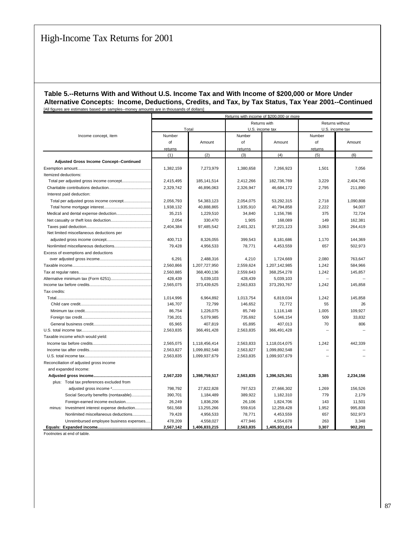#### **Table 5.--Returns With and Without U.S. Income Tax and With Income of \$200,000 or More Under Alternative Concepts: Income, Deductions, Credits, and Tax, by Tax Status, Tax Year 2001--Continued** [All figures are estimates based on samples--money amounts are in thousands of dollars]

|                                                 | Returns with income of \$200,000 or more |               |                 |               |                 |           |  |  |
|-------------------------------------------------|------------------------------------------|---------------|-----------------|---------------|-----------------|-----------|--|--|
|                                                 |                                          |               |                 | Returns with  | Returns without |           |  |  |
|                                                 |                                          | Total         | U.S. income tax |               | U.S. income tax |           |  |  |
| Income concept, item                            | Number                                   |               | Number          |               | Number          |           |  |  |
|                                                 | of                                       | Amount        | of              | Amount        | of              | Amount    |  |  |
|                                                 | returns                                  |               | returns         |               | returns         |           |  |  |
|                                                 | (1)                                      | (2)           | (3)             | (4)           | (5)             | (6)       |  |  |
| <b>Adjusted Gross Income Concept--Continued</b> |                                          |               |                 |               |                 |           |  |  |
|                                                 | 1,382,159                                | 7,273,979     | 1,380,658       | 7.266.923     | 1,501           | 7,056     |  |  |
| Itemized deductions:                            |                                          |               |                 |               |                 |           |  |  |
|                                                 | 2,415,495                                | 185, 141, 514 | 2,412,266       | 182,736,769   | 3,229           | 2,404,745 |  |  |
|                                                 | 2,329,742                                | 46,896,063    | 2,326,947       | 46,684,172    | 2,795           | 211,890   |  |  |
| Interest paid deduction:                        |                                          |               |                 |               |                 |           |  |  |
|                                                 | 2.056.793                                | 54,383,123    | 2.054.075       | 53,292,315    | 2.718           | 1,090,808 |  |  |
|                                                 | 1,938,132                                | 40,888,865    | 1,935,910       | 40,794,858    | 2,222           | 94,007    |  |  |
|                                                 | 35,215                                   | 1,229,510     | 34,840          | 1,156,786     | 375             | 72,724    |  |  |
|                                                 | 2,054                                    | 330,470       | 1,905           | 168,089       | 149             | 162,381   |  |  |
|                                                 | 2,404,384                                | 97,485,542    | 2,401,321       | 97,221,123    | 3,063           | 264,419   |  |  |
| Net limited miscellaneous deductions per        |                                          |               |                 |               |                 |           |  |  |
|                                                 | 400,713                                  | 8,326,055     | 399,543         | 8,181,686     | 1,170           | 144,369   |  |  |
|                                                 | 79,428                                   | 4,956,533     | 78,771          | 4,453,559     | 657             | 502,973   |  |  |
| Excess of exemptions and deductions             |                                          |               |                 |               |                 |           |  |  |
|                                                 | 6,291                                    | 2,488,316     | 4,210           | 1,724,669     | 2,080           | 763,647   |  |  |
|                                                 | 2,560,866                                | 1,207,727,950 | 2,559,624       | 1,207,142,985 | 1,242           | 584,966   |  |  |
|                                                 | 2,560,885                                | 368,400,136   | 2,559,643       | 368,254,278   | 1,242           | 145,857   |  |  |
|                                                 | 428,439                                  | 5,039,103     | 428,439         | 5,039,103     |                 |           |  |  |
|                                                 | 2,565,075                                | 373,439,625   | 2,563,833       | 373,293,767   | 1,242           | 145,858   |  |  |
| Tax credits:                                    |                                          |               |                 |               |                 |           |  |  |
| Total                                           | 1,014,996                                | 6,964,892     | 1,013,754       | 6,819,034     | 1,242           | 145,858   |  |  |
|                                                 | 146,707                                  | 72,799        | 146,652         | 72,772        | 55              | 26        |  |  |
|                                                 | 86,754                                   | 1,226,075     | 85,749          | 1,116,148     | 1,005           | 109,927   |  |  |
|                                                 | 736,201                                  | 5,079,985     | 735,692         | 5,046,154     | 509             | 33,832    |  |  |
|                                                 | 65,965                                   | 407,819       | 65,895          | 407,013       | 70              | 806       |  |  |
|                                                 | 2,563,835                                | 366,491,428   | 2,563,835       | 366,491,428   |                 |           |  |  |
| Taxable income which would yield:               |                                          |               |                 |               |                 |           |  |  |
|                                                 | 2,565,075                                | 1,118,456,414 | 2,563,833       | 1,118,014,075 | 1,242           | 442,339   |  |  |
|                                                 | 2,563,827                                | 1,099,892,548 | 2,563,827       | 1,099,892,548 | Ξ.              |           |  |  |
|                                                 | 2,563,835                                | 1,099,937,679 | 2,563,835       | 1,099,937,679 | ÷.              |           |  |  |
| Reconciliation of adjusted gross income         |                                          |               |                 |               |                 |           |  |  |
| and expanded income:                            |                                          |               |                 |               |                 |           |  |  |
|                                                 | 2,567,220                                | 1,398,759,517 | 2,563,835       | 1,396,525,361 | 3,385           | 2,234,156 |  |  |
| plus: Total tax preferences excluded from       |                                          |               |                 |               |                 |           |  |  |
|                                                 | 798,792                                  | 27,822,828    | 797,523         | 27,666,302    | 1,269           | 156,526   |  |  |
| Social Security benefits (nontaxable)           | 390,701                                  | 1,184,489     | 389,922         | 1,182,310     | 779             | 2,179     |  |  |
| Foreign-earned income exclusion                 | 26,249                                   | 1,836,206     | 26,106          | 1,824,706     | 143             | 11,501    |  |  |
| minus:<br>Investment interest expense deduction | 561,568                                  | 13,255,266    | 559,616         | 12,259,428    | 1,952           | 995,838   |  |  |
| Nonlimited miscellaneous deductions             | 79,428                                   | 4,956,533     | 78,771          | 4,453,559     | 657             | 502,973   |  |  |
| Unreimbursed emplovee business expenses         | 478,209                                  | 4,558,027     | 477,946         | 4,554,678     | 263             | 3,348     |  |  |
|                                                 | 2,567,142                                | 1.406.833.215 | 2.563.835       | 1.405.931.014 | 3.307           | 902.201   |  |  |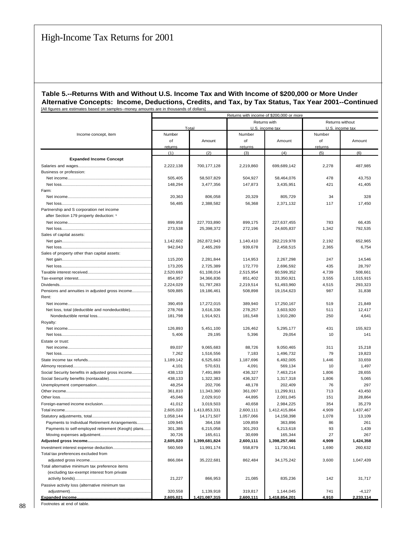#### **Table 5.--Returns With and Without U.S. Income Tax and With Income of \$200,000 or More Under Alternative Concepts: Income, Deductions, Credits, and Tax, by Tax Status, Tax Year 2001--Continued** [All figures are estimates based on samples--money amounts are in thousands of dollars]

|                                                    | Returns with income of \$200,000 or more |               |           |                                 |                                    |                  |  |
|----------------------------------------------------|------------------------------------------|---------------|-----------|---------------------------------|------------------------------------|------------------|--|
|                                                    |                                          | Total         |           | Returns with<br>U.S. income tax | Returns without<br>U.S. income tax |                  |  |
| Income concept, item                               | Number                                   |               | Number    |                                 | Number                             |                  |  |
|                                                    | of                                       | Amount        | of        | Amount                          | of                                 | Amount           |  |
|                                                    | returns                                  |               | returns   |                                 | returns                            |                  |  |
|                                                    | (1)                                      | (2)           | (3)       | (4)                             | (5)                                | (6)              |  |
| <b>Expanded Income Concept</b>                     |                                          |               |           |                                 |                                    |                  |  |
|                                                    | 2,222,138                                | 700,177,128   | 2,219,860 | 699,689,142                     | 2,278                              | 487,985          |  |
| Business or profession:                            |                                          |               |           |                                 |                                    |                  |  |
|                                                    | 505,405                                  | 58,507,829    | 504,927   | 58,464,076                      | 478                                | 43,753           |  |
|                                                    | 148,294                                  | 3,477,356     | 147,873   | 3,435,951                       | 421                                | 41,405           |  |
| Farm:                                              |                                          |               |           |                                 |                                    |                  |  |
|                                                    | 20,363                                   | 806,058       | 20,329    | 805,729                         | 34                                 | 328              |  |
|                                                    | 56,485                                   | 2,388,582     | 56,368    | 2.371.132                       | 117                                | 17,450           |  |
| Partnership and S corporation net income           |                                          |               |           |                                 |                                    |                  |  |
| after Section 179 property deduction: 1            |                                          |               |           |                                 |                                    |                  |  |
|                                                    | 899,958                                  | 227,703,890   | 899,175   | 227,637,455                     | 783                                | 66,435           |  |
|                                                    | 273,538                                  | 25,398,372    | 272,196   | 24,605,837                      | 1,342                              | 792,535          |  |
| Sales of capital assets:                           |                                          |               |           |                                 |                                    |                  |  |
|                                                    | 1,142,602                                | 262,872,943   | 1,140,410 | 262,219,978                     | 2,192                              | 652,965          |  |
|                                                    | 942,043                                  | 2,465,269     | 939,678   | 2,458,515                       | 2,365                              | 6,754            |  |
| Sales of property other than capital assets:       |                                          |               |           |                                 |                                    |                  |  |
|                                                    | 115,200                                  | 2,281,844     | 114,953   | 2,267,298                       | 247                                | 14,546           |  |
|                                                    | 173,205                                  | 2,725,389     | 172,770   | 2,696,592                       | 435                                | 28,797           |  |
|                                                    | 2,520,693                                | 61,108,014    | 2,515,954 | 60,599,352                      | 4,739                              | 508,661          |  |
|                                                    | 854,957                                  | 34,366,836    | 851,402   | 33,350,921                      | 3,555                              | 1,015,915        |  |
|                                                    | 2,224,029                                | 51,787,283    | 2,219,514 | 51,493,960                      | 4,515                              | 293,323          |  |
| Pensions and annuities in adjusted gross income    | 509,885                                  | 19,186,461    | 508,898   | 19,154,623                      | 987                                | 31,838           |  |
| Rent:                                              |                                          |               |           |                                 |                                    |                  |  |
|                                                    | 390,459                                  | 17,272,015    | 389,940   | 17,250,167                      | 519                                | 21,849           |  |
| Net loss, total (deductible and nondeductible)     | 278,768                                  | 3,616,336     | 278,257   | 3,603,920                       | 511                                | 12,417           |  |
|                                                    | 181,798                                  | 1,914,921     | 181,548   | 1,910,280                       | 250                                | 4,641            |  |
| Royalty:                                           | 126,893                                  | 5,451,100     | 126,462   | 5,295,177                       | 431                                | 155,923          |  |
|                                                    | 5,406                                    | 29,195        | 5,396     | 29,054                          | 10                                 | 141              |  |
| Estate or trust:                                   |                                          |               |           |                                 |                                    |                  |  |
|                                                    | 89,037                                   | 9,065,683     | 88,726    | 9,050,465                       | 311                                | 15,218           |  |
|                                                    | 7,262                                    | 1,516,556     | 7,183     | 1,496,732                       | 79                                 | 19,823           |  |
|                                                    | 1,189,142                                | 6,525,663     | 1,187,696 | 6,492,005                       | 1,446                              | 33,659           |  |
|                                                    | 4,101                                    | 570,631       | 4,091     | 569,134                         | 10                                 | 1,497            |  |
| Social Security benefits in adjusted gross income  | 438,133                                  | 7,491,869     | 436,327   | 7,463,214                       | 1,806                              | 28,655           |  |
|                                                    | 438,133                                  | 1,322,383     | 436,327   | 1,317,318                       | 1,806                              | 5,065            |  |
|                                                    | 48,254                                   | 202,706       | 48,178    | 202,409                         | 76                                 | 297              |  |
|                                                    | 361,810                                  | 11,343,360    | 361,097   | 11,299,911                      | 713                                | 43,450           |  |
|                                                    | 45,046                                   | 2,029,910     | 44,895    | 2,001,045                       | 151                                | 28,864           |  |
|                                                    | 41,012                                   | 3,019,503     | 40,658    | 2,984,225                       | 354                                | 35,279           |  |
|                                                    | 2,605,020                                | 1,413,853,331 | 2,600,111 | 1,412,415,864                   | 4,909                              | 1,437,467        |  |
|                                                    | 1,058,144                                | 14, 171, 507  | 1,057,066 | 14,158,398                      | 1,078                              | 13,109           |  |
| Payments to Individual Retirement Arrangements     | 109,945                                  | 364,158       | 109,859   | 363,896                         | 86                                 | 261              |  |
| Payments to self-employed retirement (Keogh) plans | 301,386                                  | 6,215,058     | 301,293   | 6,213,618                       | 93                                 | 1,439            |  |
|                                                    | 30,726                                   | 165,611       | 30,699    | 165,344                         | 27                                 | 267              |  |
|                                                    | 2,605,020                                | 1,399,681,824 | 2,600,111 | 1,398,257,466                   | 4,909                              | 1,424,358        |  |
| Total tax preferences excluded from                | 560,569                                  | 11,991,174    | 558,879   | 11,730,541                      | 1,690                              | 260,632          |  |
|                                                    |                                          |               |           |                                 |                                    |                  |  |
| Total alternative minimum tax preference items     | 866,084                                  | 35,222,681    | 862,484   | 34, 175, 242                    | 3,600                              | 1,047,439        |  |
| (excluding tax-exempt interest from private        |                                          |               |           |                                 |                                    |                  |  |
|                                                    | 21,227                                   | 866,953       | 21,085    | 835,236                         | 142                                | 31,717           |  |
| Passive activity loss (alternative minimum tax     |                                          |               |           |                                 |                                    |                  |  |
|                                                    | 320,558                                  | 1,139,918     | 319,817   | 1,144,045                       | 741                                | $-4,127$         |  |
|                                                    | 2,605,021                                | 1,421,087,315 | 2,600,111 | 1,418,854,201                   | 4,910                              | <u>2,233,114</u> |  |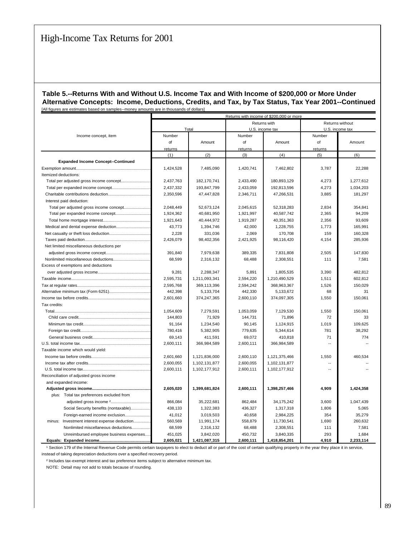#### **Table 5.--Returns With and Without U.S. Income Tax and With Income of \$200,000 or More Under Alternative Concepts: Income, Deductions, Credits, and Tax, by Tax Status, Tax Year 2001--Continued** [All figures are estimates based on samples--money amounts are in thousands of dollars]

|                                                 | Returns with income of \$200,000 or more |               |           |                 |                 |                 |  |  |
|-------------------------------------------------|------------------------------------------|---------------|-----------|-----------------|-----------------|-----------------|--|--|
|                                                 |                                          |               |           | Returns with    |                 | Returns without |  |  |
|                                                 |                                          | Total         |           | U.S. income tax | U.S. income tax |                 |  |  |
| Income concept, item                            | Number                                   |               | Number    |                 | Number          |                 |  |  |
|                                                 | of                                       | Amount        | of        | Amount          | of              | Amount          |  |  |
|                                                 | returns                                  |               | returns   |                 | returns         |                 |  |  |
|                                                 | (1)                                      | (2)           | (3)       | (4)             | (5)             | (6)             |  |  |
| <b>Expanded Income Concept--Continued</b>       |                                          |               |           |                 |                 |                 |  |  |
|                                                 | 1,424,528                                | 7.485.090     | 1.420.741 | 7.462.802       | 3.787           | 22.288          |  |  |
| Itemized deductions:                            |                                          |               |           |                 |                 |                 |  |  |
|                                                 | 2,437,763                                | 182,170,741   | 2,433,490 | 180,893,129     | 4,273           | 1,277,612       |  |  |
|                                                 | 2,437,332                                | 193,847,799   | 2,433,059 | 192,813,596     | 4,273           | 1,034,203       |  |  |
|                                                 | 2,350,596                                | 47,447,828    | 2,346,711 | 47,266,531      | 3,885           | 181,297         |  |  |
| Interest paid deduction:                        |                                          |               |           |                 |                 |                 |  |  |
|                                                 | 2,048,449                                | 52,673,124    | 2,045,615 | 52,318,283      | 2,834           | 354,841         |  |  |
| Total per expanded income concept               | 1,924,362                                | 40,681,950    | 1,921,997 | 40,587,742      | 2,365           | 94,209          |  |  |
|                                                 | 1,921,643                                | 40,444,972    | 1,919,287 | 40,351,363      | 2,356           | 93,609          |  |  |
|                                                 | 43,773                                   | 1,394,746     | 42,000    | 1,228,755       | 1,773           | 165,991         |  |  |
|                                                 | 2,228                                    | 331,036       | 2,069     | 170,708         | 159             | 160,328         |  |  |
|                                                 | 2,426,079                                | 98,402,356    | 2,421,925 | 98,116,420      | 4,154           | 285,936         |  |  |
| Net limited miscellaneous deductions per        |                                          |               |           |                 |                 |                 |  |  |
|                                                 | 391,840                                  | 7,979,638     | 389,335   | 7,831,808       | 2,505           | 147,830         |  |  |
|                                                 | 68,599                                   | 2,316,132     | 68,488    | 2,308,551       | 111             | 7,581           |  |  |
| Excess of exemptions and deductions             |                                          |               |           |                 |                 |                 |  |  |
|                                                 | 9,281                                    | 2,288,347     | 5,891     | 1,805,535       | 3,390           | 482,812         |  |  |
|                                                 | 2,595,731                                | 1,211,093,341 | 2,594,220 | 1,210,490,529   | 1,511           | 602,812         |  |  |
|                                                 | 2,595,768                                | 369,113,396   | 2,594,242 | 368,963,367     | 1,526           | 150,029         |  |  |
|                                                 | 442,398                                  | 5,133,704     | 442,330   | 5,133,672       | 68              | 31              |  |  |
|                                                 | 2.601.660                                | 374,247,365   | 2.600.110 | 374,097,305     | 1.550           | 150,061         |  |  |
| Tax credits:                                    |                                          |               |           |                 |                 |                 |  |  |
|                                                 | 1,054,609                                | 7,279,591     | 1,053,059 | 7,129,530       | 1,550           | 150,061         |  |  |
|                                                 | 144,803                                  | 71,929        | 144,731   | 71,896          | 72              | 33              |  |  |
|                                                 | 91,164                                   | 1,234,540     | 90,145    | 1,124,915       | 1,019           | 109,625         |  |  |
|                                                 | 780,416                                  | 5,382,905     | 779,635   | 5,344,614       | 781             | 38,292          |  |  |
|                                                 | 69,143                                   | 411,591       | 69,072    | 410,818         | 71              | 774             |  |  |
|                                                 | 2,600,111                                | 366,984,589   | 2,600,111 | 366,984,589     |                 |                 |  |  |
| Taxable income which would yield:               |                                          |               |           |                 |                 |                 |  |  |
|                                                 | 2,601,660                                | 1,121,836,000 | 2,600,110 | 1,121,375,466   | 1.550           | 460,534         |  |  |
|                                                 | 2,600,055                                | 1,102,131,877 | 2.600.055 | 1,102,131,877   | Ξ.              |                 |  |  |
|                                                 | 2,600,111                                | 1,102,177,912 | 2,600,111 | 1,102,177,912   | $\overline{a}$  |                 |  |  |
| Reconciliation of adjusted gross income         |                                          |               |           |                 |                 |                 |  |  |
| and expanded income:                            |                                          |               |           |                 |                 |                 |  |  |
|                                                 | 2,605,020                                | 1,399,681,824 | 2,600,111 | 1,398,257,466   | 4,909           | 1,424,358       |  |  |
| plus: Total tax preferences excluded from       |                                          |               |           |                 |                 |                 |  |  |
|                                                 | 866,084                                  | 35,222,681    | 862,484   | 34,175,242      | 3,600           | 1,047,439       |  |  |
| Social Security benefits (nontaxable)           | 438,133                                  | 1,322,383     | 436,327   | 1,317,318       | 1,806           | 5,065           |  |  |
| Foreign-earned income exclusion                 | 41,012                                   | 3,019,503     | 40,658    | 2,984,225       | 354             | 35,279          |  |  |
| Investment interest expense deduction<br>minus: | 560,569                                  | 11,991,174    | 558,879   | 11,730,541      | 1,690           | 260,632         |  |  |
| Nonlimited miscellaneous deductions             | 68,599                                   | 2,316,132     | 68,488    | 2,308,551       | 111             | 7,581           |  |  |
| Unreimbursed employee business expenses         | 451,025                                  | 3,842,020     | 450,732   | 3,840,335       | 293             | 1,684           |  |  |
|                                                 | 2,605,021                                | 1,421,087,315 | 2,600,111 | 1,418,854,201   | 4,910           | 2,233,114       |  |  |

<sup>1</sup> Section 179 of the Internal Revenue Code permits certain taxpayers to elect to deduct all or part of the cost of certain qualifying property in the year they place it in service, instead of taking depreciation deductions over a specified recovery period.

² Includes tax-exempt interest and tax preference items subject to alternative minimum tax.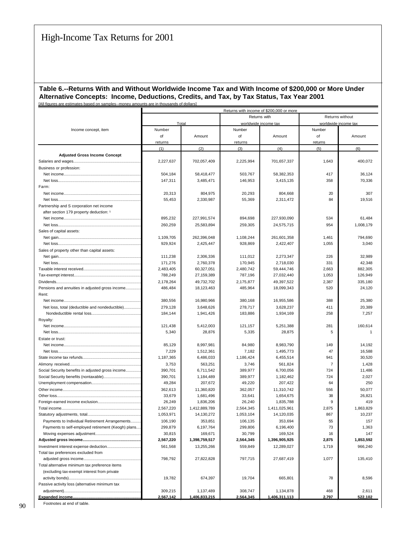#### **Table 6.--Returns With and Without Worldwide Income Tax and With Income of \$200,000 or More Under Alternative Concepts: Income, Deductions, Credits, and Tax, by Tax Status, Tax Year 2001** [All figures are estimates based on samples--money amounts are in thousands of dollars]

|                                                    | Returns with income of \$200,000 or more |                            |                      |                            |                      |                  |  |  |  |  |  |  |
|----------------------------------------------------|------------------------------------------|----------------------------|----------------------|----------------------------|----------------------|------------------|--|--|--|--|--|--|
|                                                    |                                          |                            |                      | Returns with               | Returns without      |                  |  |  |  |  |  |  |
|                                                    | Total                                    |                            |                      | worldwide income tax       | worldwide income tax |                  |  |  |  |  |  |  |
| Income concept, item                               | Number                                   |                            | Number               |                            | Number               |                  |  |  |  |  |  |  |
|                                                    | of                                       | Amount                     | of                   | Amount                     | of                   | Amount           |  |  |  |  |  |  |
|                                                    | returns                                  |                            | returns              |                            | returns              |                  |  |  |  |  |  |  |
|                                                    | (1)                                      | (2)                        | (3)                  | (4)                        | (5)                  | (6)              |  |  |  |  |  |  |
| <b>Adjusted Gross Income Concept</b>               |                                          |                            |                      |                            |                      |                  |  |  |  |  |  |  |
|                                                    | 2,227,637                                | 702,057,409                | 2,225,994            | 701,657,337                | 1,643                | 400,072          |  |  |  |  |  |  |
| Business or profession:                            |                                          |                            |                      |                            |                      |                  |  |  |  |  |  |  |
|                                                    | 504,184                                  | 58,418,477                 | 503,767              | 58,382,353                 | 417                  | 36,124           |  |  |  |  |  |  |
|                                                    | 147,311                                  | 3,485,471                  | 146,953              | 3,415,135                  | 358                  | 70,336           |  |  |  |  |  |  |
| Farm:                                              |                                          |                            |                      |                            |                      |                  |  |  |  |  |  |  |
|                                                    | 20,313                                   | 804,975                    | 20,293               | 804,668                    | 20                   | 307              |  |  |  |  |  |  |
|                                                    | 55,453                                   | 2,330,987                  | 55,369               | 2,311,472                  | 84                   | 19,516           |  |  |  |  |  |  |
|                                                    |                                          |                            |                      |                            |                      |                  |  |  |  |  |  |  |
| Partnership and S corporation net income           |                                          |                            |                      |                            |                      |                  |  |  |  |  |  |  |
| after section 179 property deduction: 1            |                                          |                            |                      |                            | 534                  | 61,484           |  |  |  |  |  |  |
|                                                    | 895,232                                  | 227,991,574                | 894,698              | 227,930,090                |                      |                  |  |  |  |  |  |  |
|                                                    | 260,259                                  | 25,583,894                 | 259,305              | 24,575,715                 | 954                  | 1,008,179        |  |  |  |  |  |  |
| Sales of capital assets:                           |                                          |                            |                      |                            |                      |                  |  |  |  |  |  |  |
|                                                    | 1,109,705                                | 262,396,048                | 1,108,244            | 261,601,358                | 1,461                | 794,690          |  |  |  |  |  |  |
|                                                    | 929,924                                  | 2,425,447                  | 928,869              | 2,422,407                  | 1,055                | 3,040            |  |  |  |  |  |  |
| Sales of property other than capital assets:       |                                          |                            |                      |                            |                      |                  |  |  |  |  |  |  |
|                                                    | 111,238                                  | 2,306,336                  | 111,012              | 2,273,347                  | 226                  | 32,989           |  |  |  |  |  |  |
|                                                    | 171,276                                  | 2,760,378                  | 170,945              | 2,718,030                  | 331                  | 42,348           |  |  |  |  |  |  |
|                                                    | 2,483,405                                | 60,327,051                 | 2,480,742            | 59,444,746                 | 2,663                | 882,305          |  |  |  |  |  |  |
|                                                    | 788,249                                  | 27,159,389                 | 787,196              | 27,032,440                 | 1,053                | 126,949          |  |  |  |  |  |  |
|                                                    | 2,178,264                                | 49,732,702                 | 2,175,877            | 49,397,522                 | 2,387                | 335,180          |  |  |  |  |  |  |
| Pensions and annuities in adjusted gross income    | 486,484                                  | 18,123,463                 | 485.964              | 18,099,343                 | 520                  | 24,120           |  |  |  |  |  |  |
| Rent:                                              |                                          |                            |                      |                            |                      |                  |  |  |  |  |  |  |
|                                                    | 380,556                                  | 16,980,966                 | 380,168              | 16,955,586                 | 388                  | 25,380           |  |  |  |  |  |  |
| Net loss, total (deductible and nondeductible)     | 279,128                                  | 3,648,626                  | 278,717              | 3,628,237                  | 411                  | 20,389           |  |  |  |  |  |  |
|                                                    | 184,144                                  | 1,941,426                  | 183,886              | 1,934,169                  | 258                  | 7,257            |  |  |  |  |  |  |
| Royalty:                                           |                                          |                            |                      |                            |                      |                  |  |  |  |  |  |  |
|                                                    | 121,438                                  | 5,412,003                  | 121,157              | 5,251,388                  | 281                  | 160,614          |  |  |  |  |  |  |
|                                                    | 5,340                                    | 28,876                     | 5,335                | 28,875                     | 5                    | $\mathbf{1}$     |  |  |  |  |  |  |
| Estate or trust:                                   |                                          |                            |                      |                            |                      |                  |  |  |  |  |  |  |
|                                                    | 85,129                                   | 8,997,981                  | 84,980               | 8,983,790                  | 149                  | 14,192           |  |  |  |  |  |  |
|                                                    | 7,229                                    | 1,512,361                  | 7,182                | 1,495,773                  | 47                   | 16,588           |  |  |  |  |  |  |
|                                                    | 1,187,365                                | 6,486,033                  | 1,186,424            | 6,455,514                  | 941                  | 30,520           |  |  |  |  |  |  |
|                                                    | 3,753                                    | 563,251                    | 3,746                | 561,824                    | $\overline{7}$       | 1,428            |  |  |  |  |  |  |
| Social Security benefits in adjusted gross income  | 390,701                                  | 6,711,542                  | 389,977              | 6,700,056                  | 724                  | 11,486           |  |  |  |  |  |  |
|                                                    | 390,701                                  | 1,184,489                  | 389,977              | 1,182,462                  | 724                  | 2,027            |  |  |  |  |  |  |
|                                                    | 49,284                                   | 207,672                    | 49,220               | 207,422                    | 64                   | 250              |  |  |  |  |  |  |
|                                                    | 362,613                                  | 11,360,820                 | 362,057              | 11,310,742                 | 556                  | 50,077           |  |  |  |  |  |  |
|                                                    | 33,679                                   | 1.681.496                  | 33,641               | 1,654,675                  | 38                   | 26,821           |  |  |  |  |  |  |
|                                                    | 26,249                                   | 1,836,206                  | 26,240               | 1,835,788                  | 9                    | 419              |  |  |  |  |  |  |
|                                                    | 2,567,220                                | 1,412,889,789              | 2,564,345            | 1,411,025,961              | 2,875                | 1,863,829        |  |  |  |  |  |  |
|                                                    | 1,053,971                                | 14,130,272                 | 1,053,104            | 14,120,035                 | 867                  | 10,237           |  |  |  |  |  |  |
| Payments to Individual Retirement Arrangements     | 106,190                                  | 353,851                    | 106,135              | 353,694                    | 55                   | 157              |  |  |  |  |  |  |
| Payments to self-employed retirement (Keogh) plans | 299,879                                  | 6,197,764                  | 299,806              | 6,196,400                  | 73                   | 1,363            |  |  |  |  |  |  |
|                                                    | 30,815                                   | 169,671                    | 30,799               | 169,524                    | 16                   | 147              |  |  |  |  |  |  |
|                                                    | 2,567,220                                | 1,398,759,517              | 2,564,345            | 1,396,905,925              | 2,875                | 1,853,592        |  |  |  |  |  |  |
|                                                    | 561,568                                  | 13,255,266                 | 559,849              | 12,289,027                 | 1,719                | 966,240          |  |  |  |  |  |  |
| Total tax preferences excluded from                |                                          |                            |                      |                            |                      |                  |  |  |  |  |  |  |
|                                                    | 798,792                                  | 27,822,828                 | 797,715              | 27,687,419                 | 1,077                | 135,410          |  |  |  |  |  |  |
| Total alternative minimum tax preference items     |                                          |                            |                      |                            |                      |                  |  |  |  |  |  |  |
| (excluding tax-exempt interest from private        |                                          |                            |                      |                            |                      |                  |  |  |  |  |  |  |
|                                                    | 19,782                                   | 674,397                    | 19,704               | 665,801                    | 78                   | 8,596            |  |  |  |  |  |  |
| Passive activity loss (alternative minimum tax     |                                          |                            |                      |                            |                      |                  |  |  |  |  |  |  |
|                                                    |                                          |                            |                      |                            |                      |                  |  |  |  |  |  |  |
|                                                    | 309,215<br>2,567,142                     | 1,137,489<br>1,406,833,215 | 308,747<br>2,564,345 | 1,134,878<br>1,406,311,113 | 468<br>2,797         | 2,611<br>522,102 |  |  |  |  |  |  |
|                                                    |                                          |                            |                      |                            |                      |                  |  |  |  |  |  |  |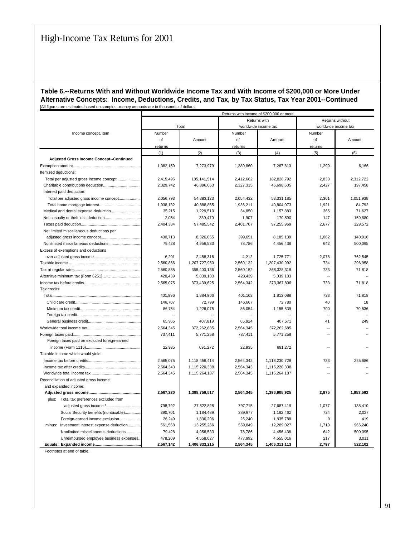#### **Table 6.--Returns With and Without Worldwide Income Tax and With Income of \$200,000 or More Under Alternative Concepts: Income, Deductions, Credits, and Tax, by Tax Status, Tax Year 2001--Continued** [All figures are estimates based on samples--money amounts are in thousands of dollars]

|                                                 | Returns with income of \$200,000 or more |               |           |                      |                          |                      |  |  |  |  |  |
|-------------------------------------------------|------------------------------------------|---------------|-----------|----------------------|--------------------------|----------------------|--|--|--|--|--|
|                                                 |                                          |               |           | Returns with         | Returns without          |                      |  |  |  |  |  |
|                                                 |                                          | Total         |           | worldwide income tax |                          | worldwide income tax |  |  |  |  |  |
| Income concept, item                            | Number                                   |               | Number    |                      | Number                   |                      |  |  |  |  |  |
|                                                 | of                                       | Amount        | of        | Amount               | of                       | Amount               |  |  |  |  |  |
|                                                 | returns                                  |               | returns   |                      | returns                  |                      |  |  |  |  |  |
|                                                 | (1)                                      | (2)           | (3)       | (4)                  | (5)                      | (6)                  |  |  |  |  |  |
| Adjusted Gross Income Concept--Continued        |                                          |               |           |                      |                          |                      |  |  |  |  |  |
|                                                 | 1,382,159                                | 7,273,979     | 1,380,860 | 7,267,813            | 1,299                    | 6,166                |  |  |  |  |  |
| Itemized deductions:                            |                                          |               |           |                      |                          |                      |  |  |  |  |  |
|                                                 | 2,415,495                                | 185, 141, 514 | 2,412,662 | 182,828,792          | 2,833                    | 2,312,722            |  |  |  |  |  |
|                                                 | 2,329,742                                | 46.896.063    | 2,327,315 | 46.698.605           | 2,427                    | 197,458              |  |  |  |  |  |
| Interest paid deduction:                        |                                          |               |           |                      |                          |                      |  |  |  |  |  |
| Total per adjusted gross income concept         | 2,056,793                                | 54,383,123    | 2,054,432 | 53,331,185           | 2,361                    | 1,051,938            |  |  |  |  |  |
|                                                 | 1,938,132                                | 40,888,865    | 1,936,211 | 40,804,073           | 1,921                    | 84,792               |  |  |  |  |  |
| Medical and dental expense deduction            | 35,215                                   | 1,229,510     | 34,850    | 1,157,883            | 365                      | 71,627               |  |  |  |  |  |
|                                                 | 2.054                                    | 330.470       | 1.907     | 170.590              | 147                      | 159.880              |  |  |  |  |  |
|                                                 | 2,404,384                                | 97,485,542    | 2,401,707 | 97,255,969           | 2,677                    | 229,572              |  |  |  |  |  |
| Net limited miscellaneous deductions per        |                                          |               |           |                      |                          |                      |  |  |  |  |  |
|                                                 | 400,713                                  | 8,326,055     | 399,651   | 8,185,139            | 1,062                    | 140,916              |  |  |  |  |  |
| Nonlimited miscellaneous deductions             | 79,428                                   | 4,956,533     | 78,786    | 4,456,438            | 642                      | 500,095              |  |  |  |  |  |
| Excess of exemptions and deductions             |                                          |               |           |                      |                          |                      |  |  |  |  |  |
|                                                 | 6,291                                    | 2,488,316     | 4,212     | 1,725,771            | 2,078                    | 762,545              |  |  |  |  |  |
|                                                 | 2,560,866                                | 1,207,727,950 | 2,560,132 | 1,207,430,992        | 734                      | 296,958              |  |  |  |  |  |
|                                                 | 2,560,885                                | 368,400,136   | 2,560,152 | 368,328,318          | 733                      | 71,818               |  |  |  |  |  |
|                                                 | 428.439                                  | 5,039,103     | 428,439   | 5,039,103            | $\ddot{\phantom{a}}$     |                      |  |  |  |  |  |
|                                                 | 2,565,075                                | 373,439,625   | 2,564,342 | 373,367,806          | 733                      | 71,818               |  |  |  |  |  |
| Tax credits:                                    |                                          |               |           |                      |                          |                      |  |  |  |  |  |
|                                                 | 401,896                                  | 1,884,906     | 401,163   | 1,813,088            | 733                      | 71,818               |  |  |  |  |  |
|                                                 | 146,707                                  | 72,799        | 146,667   | 72.780               | 40                       | 18                   |  |  |  |  |  |
|                                                 | 86,754                                   | 1,226,075     | 86,054    | 1,155,539            | 700                      | 70,536               |  |  |  |  |  |
|                                                 |                                          |               |           |                      | $\sim$                   |                      |  |  |  |  |  |
|                                                 | 65,965                                   | 407,819       | 65,924    | 407,571              | 41                       | 249                  |  |  |  |  |  |
|                                                 | 2,564,345                                | 372,262,685   | 2,564,345 | 372,262,685          | $\ddot{\phantom{a}}$     |                      |  |  |  |  |  |
|                                                 | 737.411                                  | 5.771.258     | 737,411   | 5.771.258            | $\ddot{\phantom{a}}$     |                      |  |  |  |  |  |
| Foreign taxes paid on excluded foreign-earned   |                                          |               |           |                      |                          |                      |  |  |  |  |  |
|                                                 | 22,935                                   | 691,272       | 22,935    | 691,272              | $\overline{\phantom{a}}$ |                      |  |  |  |  |  |
| Taxable income which would yield:               |                                          |               |           |                      |                          |                      |  |  |  |  |  |
|                                                 | 2,565,075                                | 1,118,456,414 | 2,564,342 | 1,118,230,728        | 733                      | 225,686              |  |  |  |  |  |
|                                                 | 2,564,343                                | 1,115,220,338 | 2,564,343 | 1.115.220.338        | $\ddot{\phantom{a}}$     |                      |  |  |  |  |  |
|                                                 | 2,564,345                                | 1,115,264,187 | 2,564,345 | 1,115,264,187        | $\sim$                   |                      |  |  |  |  |  |
| Reconciliation of adjusted gross income         |                                          |               |           |                      |                          |                      |  |  |  |  |  |
| and expanded income:                            |                                          |               |           |                      |                          |                      |  |  |  |  |  |
|                                                 | 2,567,220                                | 1,398,759,517 | 2,564,345 | 1,396,905,925        | 2,875                    | 1,853,592            |  |  |  |  |  |
| plus: Total tax preferences excluded from       |                                          |               |           |                      |                          |                      |  |  |  |  |  |
|                                                 | 798,792                                  | 27,822,828    | 797,715   | 27,687,419           | 1,077                    | 135,410              |  |  |  |  |  |
| Social Security benefits (nontaxable)           | 390,701                                  | 1,184,489     | 389,977   | 1,182,462            | 724                      | 2,027                |  |  |  |  |  |
| Foreign-earned income exclusion                 | 26,249                                   | 1,836,206     | 26,240    | 1,835,788            | 9                        | 419                  |  |  |  |  |  |
| minus:<br>Investment interest expense deduction | 561,568                                  | 13,255,266    | 559,849   | 12,289,027           | 1,719                    | 966,240              |  |  |  |  |  |
| Nonlimited miscellaneous deductions             | 79,428                                   | 4,956,533     | 78,786    | 4,456,438            | 642                      | 500,095              |  |  |  |  |  |
| Unreimbursed employee business expenses.        | 478,209                                  | 4,558,027     | 477,992   | 4,555,016            | 217                      | 3,011                |  |  |  |  |  |
|                                                 | 2,567,142                                | 1,406,833,215 | 2,564,345 | 1,406,311,113        | 2,797                    | 522,102              |  |  |  |  |  |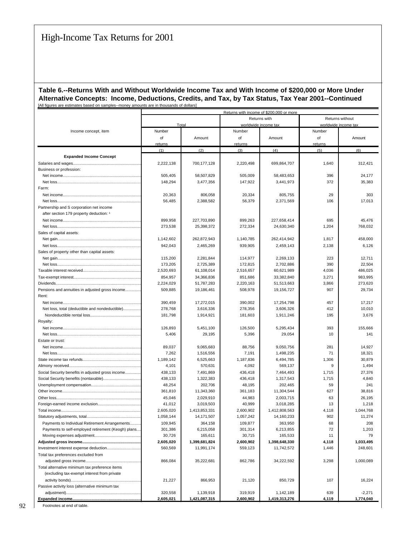#### **Table 6.--Returns With and Without Worldwide Income Tax and With Income of \$200,000 or More Under Alternative Concepts: Income, Deductions, Credits, and Tax, by Tax Status, Tax Year 2001--Continued** [All figures are estimates based on samples--money amounts are in thousands of dollars]

| Returns without<br>Returns with<br>Total<br>worldwide income tax<br>worldwide income tax<br>Income concept, item<br>Number<br>Number<br>Number<br>of<br>of<br>of<br>Amount<br>Amount<br>Amount<br>returns<br>returns<br>returns<br>(1)<br>(2)<br>(3)<br>(4)<br>(5)<br>(6)<br><b>Expanded Income Concept</b><br>1,640<br>2,222,138<br>700,177,128<br>2,220,498<br>699,864,707<br>312,421<br>Salaries and wages<br>Business or profession:<br>505,405<br>58,507,829<br>505,009<br>58,483,653<br>396<br>24,177<br>372<br>148,294<br>3,477,356<br>147,922<br>3,441,973<br>35,383<br>Farm:<br>29<br>303<br>20,363<br>806,058<br>20,334<br>805,755<br>56,485<br>2,388,582<br>56,379<br>2,371,569<br>106<br>17,013<br>Partnership and S corporation net income<br>after section 179 property deduction: 1<br>899,958<br>227,703,890<br>899,263<br>227,658,414<br>695<br>45,476<br>273,538<br>25,398,372<br>272,334<br>24,630,340<br>1,204<br>768,032<br>Sales of capital assets:<br>1,142,602<br>262,872,943<br>1,140,785<br>262,414,942<br>1,817<br>458,000<br>942,043<br>2,465,269<br>939,905<br>2,459,143<br>2,138<br>6,126<br>Sales of property other than capital assets:<br>115,200<br>2,281,844<br>114,977<br>2,269,133<br>223<br>12,711<br>173,205<br>2.725.389<br>172,815<br>2,702,886<br>390<br>22,504<br>2,520,693<br>61,108,014<br>2,516,657<br>60,621,989<br>4,036<br>486.025<br>851,686<br>33,382,840<br>3,271<br>983,995<br>854,957<br>34,366,836<br>2,220,163<br>3,866<br>273,620<br>2,224,029<br>51,787,283<br>51,513,663<br>Pensions and annuities in adjusted gross income<br>509.885<br>19,186,461<br>508,978<br>19.156.727<br>907<br>29,734<br>Rent:<br>17,254,798<br>17,217<br>390,459<br>17,272,015<br>390,002<br>457<br>Net loss, total (deductible and nondeductible)<br>278,768<br>3,616,336<br>278,356<br>3,606,326<br>412<br>10,010<br>181,798<br>1,914,921<br>181,603<br>1,911,246<br>195<br>3,676<br>Royalty:<br>393<br>126,893<br>5,451,100<br>126,500<br>5,295,434<br>155,666<br>5,406<br>29,195<br>5,396<br>29,054<br>10<br>141<br>Estate or trust:<br>89,037<br>9,065,683<br>88,756<br>9,050,756<br>281<br>14,927<br>7,262<br>1,516,556<br>7,191<br>1,498,235<br>71<br>18,321<br>1,306<br>1,189,142<br>6,525,663<br>1,187,836<br>6,494,785<br>30,879<br>4,101<br>570,631<br>4,092<br>569,137<br>9<br>1,494<br>Social Security benefits in adjusted gross income<br>438,133<br>7,491,869<br>436,418<br>7,464,493<br>1,715<br>27,376<br>438,133<br>1,322,383<br>436,418<br>1,317,543<br>1,715<br>4,840<br>241<br>48,254<br>202,706<br>48,195<br>202,465<br>59<br>627<br>361,810<br>11,343,360<br>361,183<br>11,304,544<br>38,816<br>45,046<br>2,029,910<br>44,983<br>2.003.715<br>63<br>26,195<br>41,012<br>3,019,503<br>40,999<br>3,018,285<br>13<br>1,218<br>2,605,020<br>2,600,902<br>1,412,808,563<br>4,118<br>1,044,768<br>1,413,853,331<br>1,058,144<br>14,171,507<br>1,057,242<br>14,160,233<br>902<br>11,274<br>Payments to Individual Retirement Arrangements<br>109,945<br>364,158<br>109,877<br>363,950<br>68<br>208<br>Payments to self-employed retirement (Keogh) plans<br>301,386<br>6,215,058<br>301,314<br>6,213,855<br>72<br>1,203<br>30,726<br>165,611<br>30,715<br>165,533<br>11<br>79<br>2,600,902<br>4,118<br>1,033,495<br>2,605,020<br>1,399,681,824<br>1,398,648,330<br>560,569<br>11,991,174<br>559,123<br>11,742,572<br>1,446<br>248,601<br>Total tax preferences excluded from<br>866,084<br>35,222,681<br>862,786<br>34,222,592<br>3,298<br>1,000,089<br>Total alternative minimum tax preference items<br>(excluding tax-exempt interest from private<br>21,227<br>866,953<br>21,120<br>850,729<br>107<br>16,224<br>Passive activity loss (alternative minimum tax<br>320,558<br>1,139,918<br>319,919<br>639<br>$-2,271$<br>1,142,189<br>2,605,021<br>2,600,902<br>1,421,087,315<br>1,419,313,276<br>4,119<br>1,774,040 | Returns with income of \$200,000 or more |  |  |  |  |  |  |  |  |  |  |
|-------------------------------------------------------------------------------------------------------------------------------------------------------------------------------------------------------------------------------------------------------------------------------------------------------------------------------------------------------------------------------------------------------------------------------------------------------------------------------------------------------------------------------------------------------------------------------------------------------------------------------------------------------------------------------------------------------------------------------------------------------------------------------------------------------------------------------------------------------------------------------------------------------------------------------------------------------------------------------------------------------------------------------------------------------------------------------------------------------------------------------------------------------------------------------------------------------------------------------------------------------------------------------------------------------------------------------------------------------------------------------------------------------------------------------------------------------------------------------------------------------------------------------------------------------------------------------------------------------------------------------------------------------------------------------------------------------------------------------------------------------------------------------------------------------------------------------------------------------------------------------------------------------------------------------------------------------------------------------------------------------------------------------------------------------------------------------------------------------------------------------------------------------------------------------------------------------------------------------------------------------------------------------------------------------------------------------------------------------------------------------------------------------------------------------------------------------------------------------------------------------------------------------------------------------------------------------------------------------------------------------------------------------------------------------------------------------------------------------------------------------------------------------------------------------------------------------------------------------------------------------------------------------------------------------------------------------------------------------------------------------------------------------------------------------------------------------------------------------------------------------------------------------------------------------------------------------------------------------------------------------------------------------------------------------------------------------------------------------------------------------------------------------------------------------------------------------------------------------------------------------------------------------------------------------------------------------------------------------------------------------------------------------------------------------------------------------------------------------------------------------------------------------------------------------------------------------------------------------------------------------|------------------------------------------|--|--|--|--|--|--|--|--|--|--|
|                                                                                                                                                                                                                                                                                                                                                                                                                                                                                                                                                                                                                                                                                                                                                                                                                                                                                                                                                                                                                                                                                                                                                                                                                                                                                                                                                                                                                                                                                                                                                                                                                                                                                                                                                                                                                                                                                                                                                                                                                                                                                                                                                                                                                                                                                                                                                                                                                                                                                                                                                                                                                                                                                                                                                                                                                                                                                                                                                                                                                                                                                                                                                                                                                                                                                                                                                                                                                                                                                                                                                                                                                                                                                                                                                                                                                                                                               |                                          |  |  |  |  |  |  |  |  |  |  |
|                                                                                                                                                                                                                                                                                                                                                                                                                                                                                                                                                                                                                                                                                                                                                                                                                                                                                                                                                                                                                                                                                                                                                                                                                                                                                                                                                                                                                                                                                                                                                                                                                                                                                                                                                                                                                                                                                                                                                                                                                                                                                                                                                                                                                                                                                                                                                                                                                                                                                                                                                                                                                                                                                                                                                                                                                                                                                                                                                                                                                                                                                                                                                                                                                                                                                                                                                                                                                                                                                                                                                                                                                                                                                                                                                                                                                                                                               |                                          |  |  |  |  |  |  |  |  |  |  |
|                                                                                                                                                                                                                                                                                                                                                                                                                                                                                                                                                                                                                                                                                                                                                                                                                                                                                                                                                                                                                                                                                                                                                                                                                                                                                                                                                                                                                                                                                                                                                                                                                                                                                                                                                                                                                                                                                                                                                                                                                                                                                                                                                                                                                                                                                                                                                                                                                                                                                                                                                                                                                                                                                                                                                                                                                                                                                                                                                                                                                                                                                                                                                                                                                                                                                                                                                                                                                                                                                                                                                                                                                                                                                                                                                                                                                                                                               |                                          |  |  |  |  |  |  |  |  |  |  |
|                                                                                                                                                                                                                                                                                                                                                                                                                                                                                                                                                                                                                                                                                                                                                                                                                                                                                                                                                                                                                                                                                                                                                                                                                                                                                                                                                                                                                                                                                                                                                                                                                                                                                                                                                                                                                                                                                                                                                                                                                                                                                                                                                                                                                                                                                                                                                                                                                                                                                                                                                                                                                                                                                                                                                                                                                                                                                                                                                                                                                                                                                                                                                                                                                                                                                                                                                                                                                                                                                                                                                                                                                                                                                                                                                                                                                                                                               |                                          |  |  |  |  |  |  |  |  |  |  |
|                                                                                                                                                                                                                                                                                                                                                                                                                                                                                                                                                                                                                                                                                                                                                                                                                                                                                                                                                                                                                                                                                                                                                                                                                                                                                                                                                                                                                                                                                                                                                                                                                                                                                                                                                                                                                                                                                                                                                                                                                                                                                                                                                                                                                                                                                                                                                                                                                                                                                                                                                                                                                                                                                                                                                                                                                                                                                                                                                                                                                                                                                                                                                                                                                                                                                                                                                                                                                                                                                                                                                                                                                                                                                                                                                                                                                                                                               |                                          |  |  |  |  |  |  |  |  |  |  |
|                                                                                                                                                                                                                                                                                                                                                                                                                                                                                                                                                                                                                                                                                                                                                                                                                                                                                                                                                                                                                                                                                                                                                                                                                                                                                                                                                                                                                                                                                                                                                                                                                                                                                                                                                                                                                                                                                                                                                                                                                                                                                                                                                                                                                                                                                                                                                                                                                                                                                                                                                                                                                                                                                                                                                                                                                                                                                                                                                                                                                                                                                                                                                                                                                                                                                                                                                                                                                                                                                                                                                                                                                                                                                                                                                                                                                                                                               |                                          |  |  |  |  |  |  |  |  |  |  |
|                                                                                                                                                                                                                                                                                                                                                                                                                                                                                                                                                                                                                                                                                                                                                                                                                                                                                                                                                                                                                                                                                                                                                                                                                                                                                                                                                                                                                                                                                                                                                                                                                                                                                                                                                                                                                                                                                                                                                                                                                                                                                                                                                                                                                                                                                                                                                                                                                                                                                                                                                                                                                                                                                                                                                                                                                                                                                                                                                                                                                                                                                                                                                                                                                                                                                                                                                                                                                                                                                                                                                                                                                                                                                                                                                                                                                                                                               |                                          |  |  |  |  |  |  |  |  |  |  |
|                                                                                                                                                                                                                                                                                                                                                                                                                                                                                                                                                                                                                                                                                                                                                                                                                                                                                                                                                                                                                                                                                                                                                                                                                                                                                                                                                                                                                                                                                                                                                                                                                                                                                                                                                                                                                                                                                                                                                                                                                                                                                                                                                                                                                                                                                                                                                                                                                                                                                                                                                                                                                                                                                                                                                                                                                                                                                                                                                                                                                                                                                                                                                                                                                                                                                                                                                                                                                                                                                                                                                                                                                                                                                                                                                                                                                                                                               |                                          |  |  |  |  |  |  |  |  |  |  |
|                                                                                                                                                                                                                                                                                                                                                                                                                                                                                                                                                                                                                                                                                                                                                                                                                                                                                                                                                                                                                                                                                                                                                                                                                                                                                                                                                                                                                                                                                                                                                                                                                                                                                                                                                                                                                                                                                                                                                                                                                                                                                                                                                                                                                                                                                                                                                                                                                                                                                                                                                                                                                                                                                                                                                                                                                                                                                                                                                                                                                                                                                                                                                                                                                                                                                                                                                                                                                                                                                                                                                                                                                                                                                                                                                                                                                                                                               |                                          |  |  |  |  |  |  |  |  |  |  |
|                                                                                                                                                                                                                                                                                                                                                                                                                                                                                                                                                                                                                                                                                                                                                                                                                                                                                                                                                                                                                                                                                                                                                                                                                                                                                                                                                                                                                                                                                                                                                                                                                                                                                                                                                                                                                                                                                                                                                                                                                                                                                                                                                                                                                                                                                                                                                                                                                                                                                                                                                                                                                                                                                                                                                                                                                                                                                                                                                                                                                                                                                                                                                                                                                                                                                                                                                                                                                                                                                                                                                                                                                                                                                                                                                                                                                                                                               |                                          |  |  |  |  |  |  |  |  |  |  |
|                                                                                                                                                                                                                                                                                                                                                                                                                                                                                                                                                                                                                                                                                                                                                                                                                                                                                                                                                                                                                                                                                                                                                                                                                                                                                                                                                                                                                                                                                                                                                                                                                                                                                                                                                                                                                                                                                                                                                                                                                                                                                                                                                                                                                                                                                                                                                                                                                                                                                                                                                                                                                                                                                                                                                                                                                                                                                                                                                                                                                                                                                                                                                                                                                                                                                                                                                                                                                                                                                                                                                                                                                                                                                                                                                                                                                                                                               |                                          |  |  |  |  |  |  |  |  |  |  |
|                                                                                                                                                                                                                                                                                                                                                                                                                                                                                                                                                                                                                                                                                                                                                                                                                                                                                                                                                                                                                                                                                                                                                                                                                                                                                                                                                                                                                                                                                                                                                                                                                                                                                                                                                                                                                                                                                                                                                                                                                                                                                                                                                                                                                                                                                                                                                                                                                                                                                                                                                                                                                                                                                                                                                                                                                                                                                                                                                                                                                                                                                                                                                                                                                                                                                                                                                                                                                                                                                                                                                                                                                                                                                                                                                                                                                                                                               |                                          |  |  |  |  |  |  |  |  |  |  |
|                                                                                                                                                                                                                                                                                                                                                                                                                                                                                                                                                                                                                                                                                                                                                                                                                                                                                                                                                                                                                                                                                                                                                                                                                                                                                                                                                                                                                                                                                                                                                                                                                                                                                                                                                                                                                                                                                                                                                                                                                                                                                                                                                                                                                                                                                                                                                                                                                                                                                                                                                                                                                                                                                                                                                                                                                                                                                                                                                                                                                                                                                                                                                                                                                                                                                                                                                                                                                                                                                                                                                                                                                                                                                                                                                                                                                                                                               |                                          |  |  |  |  |  |  |  |  |  |  |
|                                                                                                                                                                                                                                                                                                                                                                                                                                                                                                                                                                                                                                                                                                                                                                                                                                                                                                                                                                                                                                                                                                                                                                                                                                                                                                                                                                                                                                                                                                                                                                                                                                                                                                                                                                                                                                                                                                                                                                                                                                                                                                                                                                                                                                                                                                                                                                                                                                                                                                                                                                                                                                                                                                                                                                                                                                                                                                                                                                                                                                                                                                                                                                                                                                                                                                                                                                                                                                                                                                                                                                                                                                                                                                                                                                                                                                                                               |                                          |  |  |  |  |  |  |  |  |  |  |
|                                                                                                                                                                                                                                                                                                                                                                                                                                                                                                                                                                                                                                                                                                                                                                                                                                                                                                                                                                                                                                                                                                                                                                                                                                                                                                                                                                                                                                                                                                                                                                                                                                                                                                                                                                                                                                                                                                                                                                                                                                                                                                                                                                                                                                                                                                                                                                                                                                                                                                                                                                                                                                                                                                                                                                                                                                                                                                                                                                                                                                                                                                                                                                                                                                                                                                                                                                                                                                                                                                                                                                                                                                                                                                                                                                                                                                                                               |                                          |  |  |  |  |  |  |  |  |  |  |
|                                                                                                                                                                                                                                                                                                                                                                                                                                                                                                                                                                                                                                                                                                                                                                                                                                                                                                                                                                                                                                                                                                                                                                                                                                                                                                                                                                                                                                                                                                                                                                                                                                                                                                                                                                                                                                                                                                                                                                                                                                                                                                                                                                                                                                                                                                                                                                                                                                                                                                                                                                                                                                                                                                                                                                                                                                                                                                                                                                                                                                                                                                                                                                                                                                                                                                                                                                                                                                                                                                                                                                                                                                                                                                                                                                                                                                                                               |                                          |  |  |  |  |  |  |  |  |  |  |
|                                                                                                                                                                                                                                                                                                                                                                                                                                                                                                                                                                                                                                                                                                                                                                                                                                                                                                                                                                                                                                                                                                                                                                                                                                                                                                                                                                                                                                                                                                                                                                                                                                                                                                                                                                                                                                                                                                                                                                                                                                                                                                                                                                                                                                                                                                                                                                                                                                                                                                                                                                                                                                                                                                                                                                                                                                                                                                                                                                                                                                                                                                                                                                                                                                                                                                                                                                                                                                                                                                                                                                                                                                                                                                                                                                                                                                                                               |                                          |  |  |  |  |  |  |  |  |  |  |
|                                                                                                                                                                                                                                                                                                                                                                                                                                                                                                                                                                                                                                                                                                                                                                                                                                                                                                                                                                                                                                                                                                                                                                                                                                                                                                                                                                                                                                                                                                                                                                                                                                                                                                                                                                                                                                                                                                                                                                                                                                                                                                                                                                                                                                                                                                                                                                                                                                                                                                                                                                                                                                                                                                                                                                                                                                                                                                                                                                                                                                                                                                                                                                                                                                                                                                                                                                                                                                                                                                                                                                                                                                                                                                                                                                                                                                                                               |                                          |  |  |  |  |  |  |  |  |  |  |
|                                                                                                                                                                                                                                                                                                                                                                                                                                                                                                                                                                                                                                                                                                                                                                                                                                                                                                                                                                                                                                                                                                                                                                                                                                                                                                                                                                                                                                                                                                                                                                                                                                                                                                                                                                                                                                                                                                                                                                                                                                                                                                                                                                                                                                                                                                                                                                                                                                                                                                                                                                                                                                                                                                                                                                                                                                                                                                                                                                                                                                                                                                                                                                                                                                                                                                                                                                                                                                                                                                                                                                                                                                                                                                                                                                                                                                                                               |                                          |  |  |  |  |  |  |  |  |  |  |
|                                                                                                                                                                                                                                                                                                                                                                                                                                                                                                                                                                                                                                                                                                                                                                                                                                                                                                                                                                                                                                                                                                                                                                                                                                                                                                                                                                                                                                                                                                                                                                                                                                                                                                                                                                                                                                                                                                                                                                                                                                                                                                                                                                                                                                                                                                                                                                                                                                                                                                                                                                                                                                                                                                                                                                                                                                                                                                                                                                                                                                                                                                                                                                                                                                                                                                                                                                                                                                                                                                                                                                                                                                                                                                                                                                                                                                                                               |                                          |  |  |  |  |  |  |  |  |  |  |
|                                                                                                                                                                                                                                                                                                                                                                                                                                                                                                                                                                                                                                                                                                                                                                                                                                                                                                                                                                                                                                                                                                                                                                                                                                                                                                                                                                                                                                                                                                                                                                                                                                                                                                                                                                                                                                                                                                                                                                                                                                                                                                                                                                                                                                                                                                                                                                                                                                                                                                                                                                                                                                                                                                                                                                                                                                                                                                                                                                                                                                                                                                                                                                                                                                                                                                                                                                                                                                                                                                                                                                                                                                                                                                                                                                                                                                                                               |                                          |  |  |  |  |  |  |  |  |  |  |
|                                                                                                                                                                                                                                                                                                                                                                                                                                                                                                                                                                                                                                                                                                                                                                                                                                                                                                                                                                                                                                                                                                                                                                                                                                                                                                                                                                                                                                                                                                                                                                                                                                                                                                                                                                                                                                                                                                                                                                                                                                                                                                                                                                                                                                                                                                                                                                                                                                                                                                                                                                                                                                                                                                                                                                                                                                                                                                                                                                                                                                                                                                                                                                                                                                                                                                                                                                                                                                                                                                                                                                                                                                                                                                                                                                                                                                                                               |                                          |  |  |  |  |  |  |  |  |  |  |
|                                                                                                                                                                                                                                                                                                                                                                                                                                                                                                                                                                                                                                                                                                                                                                                                                                                                                                                                                                                                                                                                                                                                                                                                                                                                                                                                                                                                                                                                                                                                                                                                                                                                                                                                                                                                                                                                                                                                                                                                                                                                                                                                                                                                                                                                                                                                                                                                                                                                                                                                                                                                                                                                                                                                                                                                                                                                                                                                                                                                                                                                                                                                                                                                                                                                                                                                                                                                                                                                                                                                                                                                                                                                                                                                                                                                                                                                               |                                          |  |  |  |  |  |  |  |  |  |  |
|                                                                                                                                                                                                                                                                                                                                                                                                                                                                                                                                                                                                                                                                                                                                                                                                                                                                                                                                                                                                                                                                                                                                                                                                                                                                                                                                                                                                                                                                                                                                                                                                                                                                                                                                                                                                                                                                                                                                                                                                                                                                                                                                                                                                                                                                                                                                                                                                                                                                                                                                                                                                                                                                                                                                                                                                                                                                                                                                                                                                                                                                                                                                                                                                                                                                                                                                                                                                                                                                                                                                                                                                                                                                                                                                                                                                                                                                               |                                          |  |  |  |  |  |  |  |  |  |  |
|                                                                                                                                                                                                                                                                                                                                                                                                                                                                                                                                                                                                                                                                                                                                                                                                                                                                                                                                                                                                                                                                                                                                                                                                                                                                                                                                                                                                                                                                                                                                                                                                                                                                                                                                                                                                                                                                                                                                                                                                                                                                                                                                                                                                                                                                                                                                                                                                                                                                                                                                                                                                                                                                                                                                                                                                                                                                                                                                                                                                                                                                                                                                                                                                                                                                                                                                                                                                                                                                                                                                                                                                                                                                                                                                                                                                                                                                               |                                          |  |  |  |  |  |  |  |  |  |  |
|                                                                                                                                                                                                                                                                                                                                                                                                                                                                                                                                                                                                                                                                                                                                                                                                                                                                                                                                                                                                                                                                                                                                                                                                                                                                                                                                                                                                                                                                                                                                                                                                                                                                                                                                                                                                                                                                                                                                                                                                                                                                                                                                                                                                                                                                                                                                                                                                                                                                                                                                                                                                                                                                                                                                                                                                                                                                                                                                                                                                                                                                                                                                                                                                                                                                                                                                                                                                                                                                                                                                                                                                                                                                                                                                                                                                                                                                               |                                          |  |  |  |  |  |  |  |  |  |  |
|                                                                                                                                                                                                                                                                                                                                                                                                                                                                                                                                                                                                                                                                                                                                                                                                                                                                                                                                                                                                                                                                                                                                                                                                                                                                                                                                                                                                                                                                                                                                                                                                                                                                                                                                                                                                                                                                                                                                                                                                                                                                                                                                                                                                                                                                                                                                                                                                                                                                                                                                                                                                                                                                                                                                                                                                                                                                                                                                                                                                                                                                                                                                                                                                                                                                                                                                                                                                                                                                                                                                                                                                                                                                                                                                                                                                                                                                               |                                          |  |  |  |  |  |  |  |  |  |  |
|                                                                                                                                                                                                                                                                                                                                                                                                                                                                                                                                                                                                                                                                                                                                                                                                                                                                                                                                                                                                                                                                                                                                                                                                                                                                                                                                                                                                                                                                                                                                                                                                                                                                                                                                                                                                                                                                                                                                                                                                                                                                                                                                                                                                                                                                                                                                                                                                                                                                                                                                                                                                                                                                                                                                                                                                                                                                                                                                                                                                                                                                                                                                                                                                                                                                                                                                                                                                                                                                                                                                                                                                                                                                                                                                                                                                                                                                               |                                          |  |  |  |  |  |  |  |  |  |  |
|                                                                                                                                                                                                                                                                                                                                                                                                                                                                                                                                                                                                                                                                                                                                                                                                                                                                                                                                                                                                                                                                                                                                                                                                                                                                                                                                                                                                                                                                                                                                                                                                                                                                                                                                                                                                                                                                                                                                                                                                                                                                                                                                                                                                                                                                                                                                                                                                                                                                                                                                                                                                                                                                                                                                                                                                                                                                                                                                                                                                                                                                                                                                                                                                                                                                                                                                                                                                                                                                                                                                                                                                                                                                                                                                                                                                                                                                               |                                          |  |  |  |  |  |  |  |  |  |  |
|                                                                                                                                                                                                                                                                                                                                                                                                                                                                                                                                                                                                                                                                                                                                                                                                                                                                                                                                                                                                                                                                                                                                                                                                                                                                                                                                                                                                                                                                                                                                                                                                                                                                                                                                                                                                                                                                                                                                                                                                                                                                                                                                                                                                                                                                                                                                                                                                                                                                                                                                                                                                                                                                                                                                                                                                                                                                                                                                                                                                                                                                                                                                                                                                                                                                                                                                                                                                                                                                                                                                                                                                                                                                                                                                                                                                                                                                               |                                          |  |  |  |  |  |  |  |  |  |  |
|                                                                                                                                                                                                                                                                                                                                                                                                                                                                                                                                                                                                                                                                                                                                                                                                                                                                                                                                                                                                                                                                                                                                                                                                                                                                                                                                                                                                                                                                                                                                                                                                                                                                                                                                                                                                                                                                                                                                                                                                                                                                                                                                                                                                                                                                                                                                                                                                                                                                                                                                                                                                                                                                                                                                                                                                                                                                                                                                                                                                                                                                                                                                                                                                                                                                                                                                                                                                                                                                                                                                                                                                                                                                                                                                                                                                                                                                               |                                          |  |  |  |  |  |  |  |  |  |  |
|                                                                                                                                                                                                                                                                                                                                                                                                                                                                                                                                                                                                                                                                                                                                                                                                                                                                                                                                                                                                                                                                                                                                                                                                                                                                                                                                                                                                                                                                                                                                                                                                                                                                                                                                                                                                                                                                                                                                                                                                                                                                                                                                                                                                                                                                                                                                                                                                                                                                                                                                                                                                                                                                                                                                                                                                                                                                                                                                                                                                                                                                                                                                                                                                                                                                                                                                                                                                                                                                                                                                                                                                                                                                                                                                                                                                                                                                               |                                          |  |  |  |  |  |  |  |  |  |  |
|                                                                                                                                                                                                                                                                                                                                                                                                                                                                                                                                                                                                                                                                                                                                                                                                                                                                                                                                                                                                                                                                                                                                                                                                                                                                                                                                                                                                                                                                                                                                                                                                                                                                                                                                                                                                                                                                                                                                                                                                                                                                                                                                                                                                                                                                                                                                                                                                                                                                                                                                                                                                                                                                                                                                                                                                                                                                                                                                                                                                                                                                                                                                                                                                                                                                                                                                                                                                                                                                                                                                                                                                                                                                                                                                                                                                                                                                               |                                          |  |  |  |  |  |  |  |  |  |  |
|                                                                                                                                                                                                                                                                                                                                                                                                                                                                                                                                                                                                                                                                                                                                                                                                                                                                                                                                                                                                                                                                                                                                                                                                                                                                                                                                                                                                                                                                                                                                                                                                                                                                                                                                                                                                                                                                                                                                                                                                                                                                                                                                                                                                                                                                                                                                                                                                                                                                                                                                                                                                                                                                                                                                                                                                                                                                                                                                                                                                                                                                                                                                                                                                                                                                                                                                                                                                                                                                                                                                                                                                                                                                                                                                                                                                                                                                               |                                          |  |  |  |  |  |  |  |  |  |  |
|                                                                                                                                                                                                                                                                                                                                                                                                                                                                                                                                                                                                                                                                                                                                                                                                                                                                                                                                                                                                                                                                                                                                                                                                                                                                                                                                                                                                                                                                                                                                                                                                                                                                                                                                                                                                                                                                                                                                                                                                                                                                                                                                                                                                                                                                                                                                                                                                                                                                                                                                                                                                                                                                                                                                                                                                                                                                                                                                                                                                                                                                                                                                                                                                                                                                                                                                                                                                                                                                                                                                                                                                                                                                                                                                                                                                                                                                               |                                          |  |  |  |  |  |  |  |  |  |  |
|                                                                                                                                                                                                                                                                                                                                                                                                                                                                                                                                                                                                                                                                                                                                                                                                                                                                                                                                                                                                                                                                                                                                                                                                                                                                                                                                                                                                                                                                                                                                                                                                                                                                                                                                                                                                                                                                                                                                                                                                                                                                                                                                                                                                                                                                                                                                                                                                                                                                                                                                                                                                                                                                                                                                                                                                                                                                                                                                                                                                                                                                                                                                                                                                                                                                                                                                                                                                                                                                                                                                                                                                                                                                                                                                                                                                                                                                               |                                          |  |  |  |  |  |  |  |  |  |  |
|                                                                                                                                                                                                                                                                                                                                                                                                                                                                                                                                                                                                                                                                                                                                                                                                                                                                                                                                                                                                                                                                                                                                                                                                                                                                                                                                                                                                                                                                                                                                                                                                                                                                                                                                                                                                                                                                                                                                                                                                                                                                                                                                                                                                                                                                                                                                                                                                                                                                                                                                                                                                                                                                                                                                                                                                                                                                                                                                                                                                                                                                                                                                                                                                                                                                                                                                                                                                                                                                                                                                                                                                                                                                                                                                                                                                                                                                               |                                          |  |  |  |  |  |  |  |  |  |  |
|                                                                                                                                                                                                                                                                                                                                                                                                                                                                                                                                                                                                                                                                                                                                                                                                                                                                                                                                                                                                                                                                                                                                                                                                                                                                                                                                                                                                                                                                                                                                                                                                                                                                                                                                                                                                                                                                                                                                                                                                                                                                                                                                                                                                                                                                                                                                                                                                                                                                                                                                                                                                                                                                                                                                                                                                                                                                                                                                                                                                                                                                                                                                                                                                                                                                                                                                                                                                                                                                                                                                                                                                                                                                                                                                                                                                                                                                               |                                          |  |  |  |  |  |  |  |  |  |  |
|                                                                                                                                                                                                                                                                                                                                                                                                                                                                                                                                                                                                                                                                                                                                                                                                                                                                                                                                                                                                                                                                                                                                                                                                                                                                                                                                                                                                                                                                                                                                                                                                                                                                                                                                                                                                                                                                                                                                                                                                                                                                                                                                                                                                                                                                                                                                                                                                                                                                                                                                                                                                                                                                                                                                                                                                                                                                                                                                                                                                                                                                                                                                                                                                                                                                                                                                                                                                                                                                                                                                                                                                                                                                                                                                                                                                                                                                               |                                          |  |  |  |  |  |  |  |  |  |  |
|                                                                                                                                                                                                                                                                                                                                                                                                                                                                                                                                                                                                                                                                                                                                                                                                                                                                                                                                                                                                                                                                                                                                                                                                                                                                                                                                                                                                                                                                                                                                                                                                                                                                                                                                                                                                                                                                                                                                                                                                                                                                                                                                                                                                                                                                                                                                                                                                                                                                                                                                                                                                                                                                                                                                                                                                                                                                                                                                                                                                                                                                                                                                                                                                                                                                                                                                                                                                                                                                                                                                                                                                                                                                                                                                                                                                                                                                               |                                          |  |  |  |  |  |  |  |  |  |  |
|                                                                                                                                                                                                                                                                                                                                                                                                                                                                                                                                                                                                                                                                                                                                                                                                                                                                                                                                                                                                                                                                                                                                                                                                                                                                                                                                                                                                                                                                                                                                                                                                                                                                                                                                                                                                                                                                                                                                                                                                                                                                                                                                                                                                                                                                                                                                                                                                                                                                                                                                                                                                                                                                                                                                                                                                                                                                                                                                                                                                                                                                                                                                                                                                                                                                                                                                                                                                                                                                                                                                                                                                                                                                                                                                                                                                                                                                               |                                          |  |  |  |  |  |  |  |  |  |  |
|                                                                                                                                                                                                                                                                                                                                                                                                                                                                                                                                                                                                                                                                                                                                                                                                                                                                                                                                                                                                                                                                                                                                                                                                                                                                                                                                                                                                                                                                                                                                                                                                                                                                                                                                                                                                                                                                                                                                                                                                                                                                                                                                                                                                                                                                                                                                                                                                                                                                                                                                                                                                                                                                                                                                                                                                                                                                                                                                                                                                                                                                                                                                                                                                                                                                                                                                                                                                                                                                                                                                                                                                                                                                                                                                                                                                                                                                               |                                          |  |  |  |  |  |  |  |  |  |  |
|                                                                                                                                                                                                                                                                                                                                                                                                                                                                                                                                                                                                                                                                                                                                                                                                                                                                                                                                                                                                                                                                                                                                                                                                                                                                                                                                                                                                                                                                                                                                                                                                                                                                                                                                                                                                                                                                                                                                                                                                                                                                                                                                                                                                                                                                                                                                                                                                                                                                                                                                                                                                                                                                                                                                                                                                                                                                                                                                                                                                                                                                                                                                                                                                                                                                                                                                                                                                                                                                                                                                                                                                                                                                                                                                                                                                                                                                               |                                          |  |  |  |  |  |  |  |  |  |  |
|                                                                                                                                                                                                                                                                                                                                                                                                                                                                                                                                                                                                                                                                                                                                                                                                                                                                                                                                                                                                                                                                                                                                                                                                                                                                                                                                                                                                                                                                                                                                                                                                                                                                                                                                                                                                                                                                                                                                                                                                                                                                                                                                                                                                                                                                                                                                                                                                                                                                                                                                                                                                                                                                                                                                                                                                                                                                                                                                                                                                                                                                                                                                                                                                                                                                                                                                                                                                                                                                                                                                                                                                                                                                                                                                                                                                                                                                               |                                          |  |  |  |  |  |  |  |  |  |  |
|                                                                                                                                                                                                                                                                                                                                                                                                                                                                                                                                                                                                                                                                                                                                                                                                                                                                                                                                                                                                                                                                                                                                                                                                                                                                                                                                                                                                                                                                                                                                                                                                                                                                                                                                                                                                                                                                                                                                                                                                                                                                                                                                                                                                                                                                                                                                                                                                                                                                                                                                                                                                                                                                                                                                                                                                                                                                                                                                                                                                                                                                                                                                                                                                                                                                                                                                                                                                                                                                                                                                                                                                                                                                                                                                                                                                                                                                               |                                          |  |  |  |  |  |  |  |  |  |  |
|                                                                                                                                                                                                                                                                                                                                                                                                                                                                                                                                                                                                                                                                                                                                                                                                                                                                                                                                                                                                                                                                                                                                                                                                                                                                                                                                                                                                                                                                                                                                                                                                                                                                                                                                                                                                                                                                                                                                                                                                                                                                                                                                                                                                                                                                                                                                                                                                                                                                                                                                                                                                                                                                                                                                                                                                                                                                                                                                                                                                                                                                                                                                                                                                                                                                                                                                                                                                                                                                                                                                                                                                                                                                                                                                                                                                                                                                               |                                          |  |  |  |  |  |  |  |  |  |  |
|                                                                                                                                                                                                                                                                                                                                                                                                                                                                                                                                                                                                                                                                                                                                                                                                                                                                                                                                                                                                                                                                                                                                                                                                                                                                                                                                                                                                                                                                                                                                                                                                                                                                                                                                                                                                                                                                                                                                                                                                                                                                                                                                                                                                                                                                                                                                                                                                                                                                                                                                                                                                                                                                                                                                                                                                                                                                                                                                                                                                                                                                                                                                                                                                                                                                                                                                                                                                                                                                                                                                                                                                                                                                                                                                                                                                                                                                               |                                          |  |  |  |  |  |  |  |  |  |  |
|                                                                                                                                                                                                                                                                                                                                                                                                                                                                                                                                                                                                                                                                                                                                                                                                                                                                                                                                                                                                                                                                                                                                                                                                                                                                                                                                                                                                                                                                                                                                                                                                                                                                                                                                                                                                                                                                                                                                                                                                                                                                                                                                                                                                                                                                                                                                                                                                                                                                                                                                                                                                                                                                                                                                                                                                                                                                                                                                                                                                                                                                                                                                                                                                                                                                                                                                                                                                                                                                                                                                                                                                                                                                                                                                                                                                                                                                               |                                          |  |  |  |  |  |  |  |  |  |  |
|                                                                                                                                                                                                                                                                                                                                                                                                                                                                                                                                                                                                                                                                                                                                                                                                                                                                                                                                                                                                                                                                                                                                                                                                                                                                                                                                                                                                                                                                                                                                                                                                                                                                                                                                                                                                                                                                                                                                                                                                                                                                                                                                                                                                                                                                                                                                                                                                                                                                                                                                                                                                                                                                                                                                                                                                                                                                                                                                                                                                                                                                                                                                                                                                                                                                                                                                                                                                                                                                                                                                                                                                                                                                                                                                                                                                                                                                               |                                          |  |  |  |  |  |  |  |  |  |  |
|                                                                                                                                                                                                                                                                                                                                                                                                                                                                                                                                                                                                                                                                                                                                                                                                                                                                                                                                                                                                                                                                                                                                                                                                                                                                                                                                                                                                                                                                                                                                                                                                                                                                                                                                                                                                                                                                                                                                                                                                                                                                                                                                                                                                                                                                                                                                                                                                                                                                                                                                                                                                                                                                                                                                                                                                                                                                                                                                                                                                                                                                                                                                                                                                                                                                                                                                                                                                                                                                                                                                                                                                                                                                                                                                                                                                                                                                               |                                          |  |  |  |  |  |  |  |  |  |  |
|                                                                                                                                                                                                                                                                                                                                                                                                                                                                                                                                                                                                                                                                                                                                                                                                                                                                                                                                                                                                                                                                                                                                                                                                                                                                                                                                                                                                                                                                                                                                                                                                                                                                                                                                                                                                                                                                                                                                                                                                                                                                                                                                                                                                                                                                                                                                                                                                                                                                                                                                                                                                                                                                                                                                                                                                                                                                                                                                                                                                                                                                                                                                                                                                                                                                                                                                                                                                                                                                                                                                                                                                                                                                                                                                                                                                                                                                               |                                          |  |  |  |  |  |  |  |  |  |  |
|                                                                                                                                                                                                                                                                                                                                                                                                                                                                                                                                                                                                                                                                                                                                                                                                                                                                                                                                                                                                                                                                                                                                                                                                                                                                                                                                                                                                                                                                                                                                                                                                                                                                                                                                                                                                                                                                                                                                                                                                                                                                                                                                                                                                                                                                                                                                                                                                                                                                                                                                                                                                                                                                                                                                                                                                                                                                                                                                                                                                                                                                                                                                                                                                                                                                                                                                                                                                                                                                                                                                                                                                                                                                                                                                                                                                                                                                               |                                          |  |  |  |  |  |  |  |  |  |  |
|                                                                                                                                                                                                                                                                                                                                                                                                                                                                                                                                                                                                                                                                                                                                                                                                                                                                                                                                                                                                                                                                                                                                                                                                                                                                                                                                                                                                                                                                                                                                                                                                                                                                                                                                                                                                                                                                                                                                                                                                                                                                                                                                                                                                                                                                                                                                                                                                                                                                                                                                                                                                                                                                                                                                                                                                                                                                                                                                                                                                                                                                                                                                                                                                                                                                                                                                                                                                                                                                                                                                                                                                                                                                                                                                                                                                                                                                               |                                          |  |  |  |  |  |  |  |  |  |  |
|                                                                                                                                                                                                                                                                                                                                                                                                                                                                                                                                                                                                                                                                                                                                                                                                                                                                                                                                                                                                                                                                                                                                                                                                                                                                                                                                                                                                                                                                                                                                                                                                                                                                                                                                                                                                                                                                                                                                                                                                                                                                                                                                                                                                                                                                                                                                                                                                                                                                                                                                                                                                                                                                                                                                                                                                                                                                                                                                                                                                                                                                                                                                                                                                                                                                                                                                                                                                                                                                                                                                                                                                                                                                                                                                                                                                                                                                               |                                          |  |  |  |  |  |  |  |  |  |  |
|                                                                                                                                                                                                                                                                                                                                                                                                                                                                                                                                                                                                                                                                                                                                                                                                                                                                                                                                                                                                                                                                                                                                                                                                                                                                                                                                                                                                                                                                                                                                                                                                                                                                                                                                                                                                                                                                                                                                                                                                                                                                                                                                                                                                                                                                                                                                                                                                                                                                                                                                                                                                                                                                                                                                                                                                                                                                                                                                                                                                                                                                                                                                                                                                                                                                                                                                                                                                                                                                                                                                                                                                                                                                                                                                                                                                                                                                               |                                          |  |  |  |  |  |  |  |  |  |  |
|                                                                                                                                                                                                                                                                                                                                                                                                                                                                                                                                                                                                                                                                                                                                                                                                                                                                                                                                                                                                                                                                                                                                                                                                                                                                                                                                                                                                                                                                                                                                                                                                                                                                                                                                                                                                                                                                                                                                                                                                                                                                                                                                                                                                                                                                                                                                                                                                                                                                                                                                                                                                                                                                                                                                                                                                                                                                                                                                                                                                                                                                                                                                                                                                                                                                                                                                                                                                                                                                                                                                                                                                                                                                                                                                                                                                                                                                               |                                          |  |  |  |  |  |  |  |  |  |  |
|                                                                                                                                                                                                                                                                                                                                                                                                                                                                                                                                                                                                                                                                                                                                                                                                                                                                                                                                                                                                                                                                                                                                                                                                                                                                                                                                                                                                                                                                                                                                                                                                                                                                                                                                                                                                                                                                                                                                                                                                                                                                                                                                                                                                                                                                                                                                                                                                                                                                                                                                                                                                                                                                                                                                                                                                                                                                                                                                                                                                                                                                                                                                                                                                                                                                                                                                                                                                                                                                                                                                                                                                                                                                                                                                                                                                                                                                               |                                          |  |  |  |  |  |  |  |  |  |  |
|                                                                                                                                                                                                                                                                                                                                                                                                                                                                                                                                                                                                                                                                                                                                                                                                                                                                                                                                                                                                                                                                                                                                                                                                                                                                                                                                                                                                                                                                                                                                                                                                                                                                                                                                                                                                                                                                                                                                                                                                                                                                                                                                                                                                                                                                                                                                                                                                                                                                                                                                                                                                                                                                                                                                                                                                                                                                                                                                                                                                                                                                                                                                                                                                                                                                                                                                                                                                                                                                                                                                                                                                                                                                                                                                                                                                                                                                               |                                          |  |  |  |  |  |  |  |  |  |  |
|                                                                                                                                                                                                                                                                                                                                                                                                                                                                                                                                                                                                                                                                                                                                                                                                                                                                                                                                                                                                                                                                                                                                                                                                                                                                                                                                                                                                                                                                                                                                                                                                                                                                                                                                                                                                                                                                                                                                                                                                                                                                                                                                                                                                                                                                                                                                                                                                                                                                                                                                                                                                                                                                                                                                                                                                                                                                                                                                                                                                                                                                                                                                                                                                                                                                                                                                                                                                                                                                                                                                                                                                                                                                                                                                                                                                                                                                               |                                          |  |  |  |  |  |  |  |  |  |  |
|                                                                                                                                                                                                                                                                                                                                                                                                                                                                                                                                                                                                                                                                                                                                                                                                                                                                                                                                                                                                                                                                                                                                                                                                                                                                                                                                                                                                                                                                                                                                                                                                                                                                                                                                                                                                                                                                                                                                                                                                                                                                                                                                                                                                                                                                                                                                                                                                                                                                                                                                                                                                                                                                                                                                                                                                                                                                                                                                                                                                                                                                                                                                                                                                                                                                                                                                                                                                                                                                                                                                                                                                                                                                                                                                                                                                                                                                               |                                          |  |  |  |  |  |  |  |  |  |  |
|                                                                                                                                                                                                                                                                                                                                                                                                                                                                                                                                                                                                                                                                                                                                                                                                                                                                                                                                                                                                                                                                                                                                                                                                                                                                                                                                                                                                                                                                                                                                                                                                                                                                                                                                                                                                                                                                                                                                                                                                                                                                                                                                                                                                                                                                                                                                                                                                                                                                                                                                                                                                                                                                                                                                                                                                                                                                                                                                                                                                                                                                                                                                                                                                                                                                                                                                                                                                                                                                                                                                                                                                                                                                                                                                                                                                                                                                               |                                          |  |  |  |  |  |  |  |  |  |  |
|                                                                                                                                                                                                                                                                                                                                                                                                                                                                                                                                                                                                                                                                                                                                                                                                                                                                                                                                                                                                                                                                                                                                                                                                                                                                                                                                                                                                                                                                                                                                                                                                                                                                                                                                                                                                                                                                                                                                                                                                                                                                                                                                                                                                                                                                                                                                                                                                                                                                                                                                                                                                                                                                                                                                                                                                                                                                                                                                                                                                                                                                                                                                                                                                                                                                                                                                                                                                                                                                                                                                                                                                                                                                                                                                                                                                                                                                               |                                          |  |  |  |  |  |  |  |  |  |  |
|                                                                                                                                                                                                                                                                                                                                                                                                                                                                                                                                                                                                                                                                                                                                                                                                                                                                                                                                                                                                                                                                                                                                                                                                                                                                                                                                                                                                                                                                                                                                                                                                                                                                                                                                                                                                                                                                                                                                                                                                                                                                                                                                                                                                                                                                                                                                                                                                                                                                                                                                                                                                                                                                                                                                                                                                                                                                                                                                                                                                                                                                                                                                                                                                                                                                                                                                                                                                                                                                                                                                                                                                                                                                                                                                                                                                                                                                               |                                          |  |  |  |  |  |  |  |  |  |  |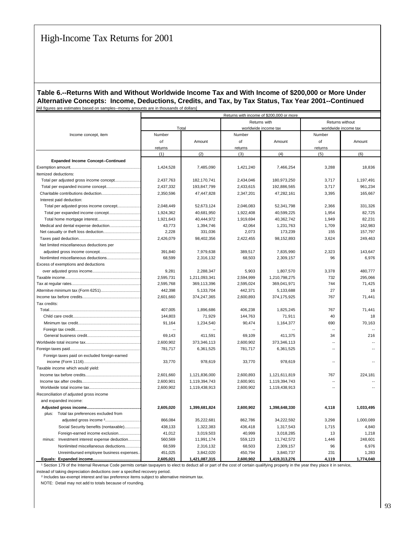#### **Table 6.--Returns With and Without Worldwide Income Tax and With Income of \$200,000 or More Under Alternative Concepts: Income, Deductions, Credits, and Tax, by Tax Status, Tax Year 2001--Continued** [All figures are estimates based on samples--money amounts are in thousands of dollars]

|                                                 | Returns with income of \$200,000 or more |               |           |                      |                          |                      |  |  |
|-------------------------------------------------|------------------------------------------|---------------|-----------|----------------------|--------------------------|----------------------|--|--|
|                                                 |                                          |               |           | Returns with         | Returns without          |                      |  |  |
|                                                 |                                          | Total         |           | worldwide income tax |                          | worldwide income tax |  |  |
| Income concept, item                            | Number                                   |               | Number    |                      | Number                   |                      |  |  |
|                                                 | of                                       | Amount        | of        | Amount               | of                       | Amount               |  |  |
|                                                 | returns                                  |               | returns   |                      | returns                  |                      |  |  |
|                                                 | (1)                                      | (2)           | (3)       | (4)                  | (5)                      | (6)                  |  |  |
| <b>Expanded Income Concept--Continued</b>       |                                          |               |           |                      |                          |                      |  |  |
|                                                 | 1,424,528                                | 7,485,090     | 1,421,240 | 7,466,254            | 3,288                    | 18,836               |  |  |
| Itemized deductions:                            |                                          |               |           |                      |                          |                      |  |  |
| Total per adjusted gross income concept         | 2,437,763                                | 182,170,741   | 2,434,046 | 180,973,250          | 3,717                    | 1,197,491            |  |  |
| Total per expanded income concept               | 2,437,332                                | 193,847,799   | 2,433,615 | 192,886,565          | 3,717                    | 961,234              |  |  |
| Charitable contributions deduction              | 2,350,596                                | 47,447,828    | 2,347,201 | 47,282,161           | 3,395                    | 165,667              |  |  |
| Interest paid deduction:                        |                                          |               |           |                      |                          |                      |  |  |
| Total per adjusted gross income concept         | 2,048,449                                | 52,673,124    | 2,046,083 | 52,341,798           | 2,366                    | 331,326              |  |  |
| Total per expanded income concept               | 1,924,362                                | 40,681,950    | 1,922,408 | 40,599,225           | 1,954                    | 82.725               |  |  |
|                                                 | 1,921,643                                | 40,444,972    | 1,919,694 | 40,362,742           | 1,949                    | 82,231               |  |  |
| Medical and dental expense deduction            | 43,773                                   | 1,394,746     | 42,064    | 1,231,763            | 1,709                    | 162,983              |  |  |
|                                                 | 2,228                                    | 331,036       | 2,073     | 173,239              | 155                      | 157,797              |  |  |
|                                                 | 2,426,079                                | 98,402,356    | 2,422,455 | 98,152,893           | 3,624                    | 249,463              |  |  |
| Net limited miscellaneous deductions per        |                                          |               |           |                      |                          |                      |  |  |
|                                                 | 391,840                                  | 7,979,638     | 389,517   | 7,835,990            | 2,323                    | 143,647              |  |  |
|                                                 | 68,599                                   | 2,316,132     | 68,503    | 2,309,157            | 96                       | 6,976                |  |  |
| Excess of exemptions and deductions             |                                          |               |           |                      |                          |                      |  |  |
|                                                 | 9,281                                    | 2,288,347     | 5,903     | 1,807,570            | 3,378                    | 480.777              |  |  |
|                                                 | 2,595,731                                | 1,211,093,341 | 2,594,999 | 1,210,798,275        | 732                      | 295,066              |  |  |
|                                                 | 2,595,768                                | 369,113,396   | 2,595,024 | 369,041,971          | 744                      | 71,425               |  |  |
|                                                 | 442,398                                  | 5,133,704     | 442,371   | 5,133,688            | 27                       | 16                   |  |  |
|                                                 | 2.601.660                                | 374,247,365   | 2,600,893 | 374,175,925          | 767                      | 71.441               |  |  |
| Tax credits:                                    |                                          |               |           |                      |                          |                      |  |  |
|                                                 | 407,005                                  | 1,896,686     | 406,238   | 1,825,245            | 767                      | 71,441               |  |  |
|                                                 | 144,803                                  | 71,929        | 144,763   | 71,911               | 40                       | 18                   |  |  |
|                                                 | 91,164                                   | 1,234,540     | 90,474    | 1,164,377            | 690                      | 70,163               |  |  |
|                                                 |                                          |               |           |                      |                          |                      |  |  |
|                                                 | 69,143                                   | 411,591       | 69,109    | 411,375              | 34                       | 216                  |  |  |
|                                                 | 2,600,902                                | 373,346,113   | 2,600,902 | 373,346,113          |                          |                      |  |  |
|                                                 | 781,717                                  | 6,361,525     | 781,717   | 6,361,525            | ÷                        |                      |  |  |
| Foreign taxes paid on excluded foreign-earned   |                                          |               |           |                      |                          |                      |  |  |
|                                                 | 33,770                                   | 978,619       | 33,770    | 978,619              | ÷.                       |                      |  |  |
| Taxable income which would yield:               |                                          |               |           |                      |                          |                      |  |  |
|                                                 | 2,601,660                                | 1,121,836,000 | 2,600,893 | 1,121,611,819        | 767                      | 224,181              |  |  |
|                                                 | 2,600,901                                | 1,119,394,743 | 2,600,901 | 1,119,394,743        | $\overline{\phantom{a}}$ |                      |  |  |
|                                                 | 2,600,902                                | 1,119,438,913 | 2,600,902 | 1,119,438,913        | ÷.                       |                      |  |  |
| Reconciliation of adjusted gross income         |                                          |               |           |                      |                          |                      |  |  |
| and expanded income:                            |                                          |               |           |                      |                          |                      |  |  |
|                                                 | 2,605,020                                | 1,399,681,824 | 2,600,902 | 1,398,648,330        | 4,118                    | 1,033,495            |  |  |
| plus: Total tax preferences excluded from       |                                          |               |           |                      |                          |                      |  |  |
|                                                 | 866,084                                  | 35,222,681    | 862,786   | 34,222,592           | 3,298                    | 1,000,089            |  |  |
| Social Security benefits (nontaxable)           | 438,133                                  | 1,322,383     | 436,418   | 1,317,543            | 1,715                    | 4,840                |  |  |
| Foreign-earned income exclusion                 | 41,012                                   | 3,019,503     | 40,999    | 3,018,285            | 13                       | 1,218                |  |  |
| minus:<br>Investment interest expense deduction | 560,569                                  | 11,991,174    | 559,123   | 11,742,572           | 1,446                    | 248,601              |  |  |
| Nonlimited miscellaneous deductions             | 68,599                                   | 2,316,132     | 68,503    | 2,309,157            | 96                       | 6,976                |  |  |
| Unreimbursed employee business expenses         | 451,025                                  | 3,842,020     | 450,794   | 3,840,737            | 231                      | 1,283                |  |  |
| Equals: Expanded income                         | 2,605,021                                | 1,421,087,315 | 2.600.902 | 1,419,313,276        | 4.119                    | 1,774,040            |  |  |

<sup>1</sup> Section 179 of the Internal Revenue Code permits certain taxpayers to elect to deduct all or part of the cost of certain qualifying property in the year they place it in service, instead of taking depreciation deductions over a specified recovery period.

² Includes tax-exempt interest and tax preference items subject to alternative minimum tax.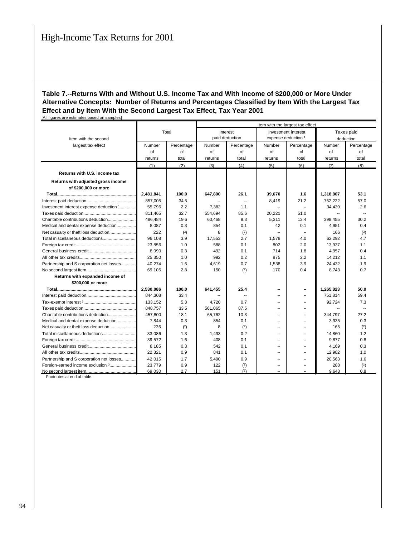|                                          |           |            | Item with the largest tax effect |                          |                          |                     |           |            |
|------------------------------------------|-----------|------------|----------------------------------|--------------------------|--------------------------|---------------------|-----------|------------|
|                                          |           | Total      |                                  | Interest                 |                          | Investment interest |           | Taxes paid |
| Item with the second                     |           |            |                                  | paid deduction           | expense deduction 1      |                     |           | deduction  |
| largest tax effect                       | Number    | Percentage | Number                           | Percentage               | Number                   | Percentage          | Number    | Percentage |
|                                          | of        | of         | of                               | of                       | of                       | of                  | of        | of         |
|                                          | returns   | total      | returns                          | total                    | returns                  | total               | returns   | total      |
|                                          | (1)       | (2)        | (3)                              | (4)                      | (5)                      | (6)                 | (7)       | (8)        |
| Returns with U.S. income tax             |           |            |                                  |                          |                          |                     |           |            |
| Returns with adjusted gross income       |           |            |                                  |                          |                          |                     |           |            |
| of \$200,000 or more                     |           |            |                                  |                          |                          |                     |           |            |
|                                          | 2,481,841 | 100.0      | 647,800                          | 26.1                     | 39,670                   | 1.6                 | 1,318,807 | 53.1       |
|                                          | 857,005   | 34.5       |                                  | $\overline{\phantom{a}}$ | 8,419                    | 21.2                | 752,222   | 57.0       |
| Investment interest expense deduction 1  | 55.796    | 2.2        | 7,382                            | 1.1                      | ۰.                       | $\overline{a}$      | 34,439    | 2.6        |
|                                          | 811,465   | 32.7       | 554,694                          | 85.6                     | 20,221                   | 51.0                |           |            |
| Charitable contributions deduction       | 486,484   | 19.6       | 60,468                           | 9.3                      | 5,311                    | 13.4                | 398,455   | 30.2       |
| Medical and dental expense deduction     | 8,087     | 0.3        | 854                              | 0.1                      | 42                       | 0.1                 | 4,951     | 0.4        |
| Net casualty or theft loss deduction     | 222       | (2)        | 8                                | (2)                      | $\overline{\phantom{a}}$ |                     | 166       | (2)        |
| Total miscellaneous deductions           | 96,108    | 3.9        | 17,553                           | 2.7                      | 1,578                    | 4.0                 | 62,292    | 4.7        |
|                                          | 23,856    | 1.0        | 588                              | 0.1                      | 802                      | 2.0                 | 13,937    | 1.1        |
|                                          | 8,090     | 0.3        | 492                              | 0.1                      | 714                      | 1.8                 | 4,957     | 0.4        |
|                                          | 25,350    | 1.0        | 992                              | 0.2                      | 875                      | 2.2                 | 14,212    | 1.1        |
| Partnership and S corporation net losses | 40,274    | 1.6        | 4,619                            | 0.7                      | 1,538                    | 3.9                 | 24,432    | 1.9        |
|                                          | 69,105    | 2.8        | 150                              | (2)                      | 170                      | 0.4                 | 8,743     | 0.7        |
| Returns with expanded income of          |           |            |                                  |                          |                          |                     |           |            |
| \$200,000 or more                        |           |            |                                  |                          |                          |                     |           |            |
|                                          | 2,530,086 | 100.0      | 641,455                          | 25.4                     | --                       |                     | 1,265,823 | 50.0       |
|                                          | 844.308   | 33.4       |                                  | $\overline{a}$           | $\sim$                   | --                  | 751,814   | 59.4       |
|                                          | 133,152   | 5.3        | 4,720                            | 0.7                      | $\overline{a}$           |                     | 92,724    | 7.3        |
|                                          | 848,757   | 33.5       | 561,065                          | 87.5                     | --                       | $\sim$              | --        |            |
| Charitable contributions deduction       | 457.800   | 18.1       | 65.762                           | 10.3                     | $\overline{a}$           | --                  | 344,797   | 27.2       |
| Medical and dental expense deduction     | 7,844     | 0.3        | 854                              | 0.1                      | $\sim$                   | --                  | 3,935     | 0.3        |
| Net casualty or theft loss deduction     | 236       | (2)        | 8                                | (2)                      | --                       | --                  | 165       | (2)        |
| Total miscellaneous deductions           | 33,086    | 1.3        | 1,493                            | 0.2                      | $-$                      |                     | 14,860    | 1.2        |
|                                          | 39,572    | 1.6        | 408                              | 0.1                      | ۰.                       | $\sim$              | 9,877     | 0.8        |
|                                          | 8,185     | 0.3        | 542                              | 0.1                      | ۰.                       |                     | 4,169     | 0.3        |
|                                          | 22,321    | 0.9        | 841                              | 0.1                      | $\overline{a}$           | ш.                  | 12,982    | 1.0        |
| Partnership and S corporation net losses | 42,015    | 1.7        | 5,490                            | 0.9                      | $-$                      |                     | 20,563    | 1.6        |
| Foreign-earned income exclusion 3        | 23,779    | 0.9        | 122                              | (2)                      | $\overline{a}$           |                     | 288       | (2)        |
|                                          | 69,030    | 2.7        | 151                              | (2)                      |                          |                     | 9.648     | 0.8        |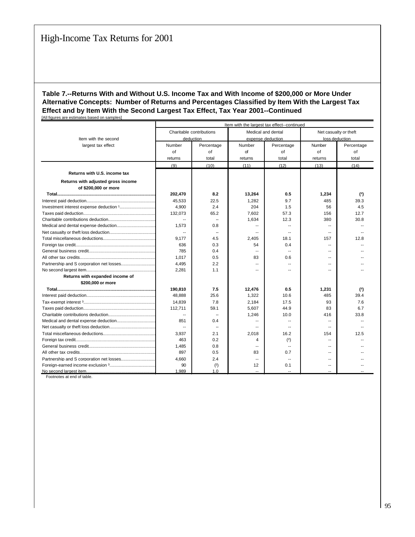|                                    | Item with the largest tax effect--continued |                          |                          |                          |                          |                |  |  |  |  |
|------------------------------------|---------------------------------------------|--------------------------|--------------------------|--------------------------|--------------------------|----------------|--|--|--|--|
|                                    |                                             | Charitable contributions |                          | Medical and dental       | Net casualty or theft    |                |  |  |  |  |
| Item with the second               |                                             | deduction                |                          | expense deduction        |                          | loss deduction |  |  |  |  |
| largest tax effect                 | Number                                      | Percentage               | Number                   | Percentage               | Number                   | Percentage     |  |  |  |  |
|                                    | of                                          | of                       | of                       | of                       | of                       | of             |  |  |  |  |
|                                    | returns                                     | total                    | returns                  | total                    | returns                  | total          |  |  |  |  |
|                                    | (9)                                         | (10)                     | (11)                     | (12)                     | (13)                     | (14)           |  |  |  |  |
| Returns with U.S. income tax       |                                             |                          |                          |                          |                          |                |  |  |  |  |
| Returns with adjusted gross income |                                             |                          |                          |                          |                          |                |  |  |  |  |
| of \$200,000 or more               |                                             |                          |                          |                          |                          |                |  |  |  |  |
|                                    | 202,470                                     | 8.2                      | 13,264                   | 0.5                      | 1,234                    | (2)            |  |  |  |  |
|                                    | 45.533                                      | 22.5                     | 1,282                    | 9.7                      | 485                      | 39.3           |  |  |  |  |
|                                    | 4.900                                       | 2.4                      | 204                      | 1.5                      | 56                       | 4.5            |  |  |  |  |
|                                    | 132,073                                     | 65.2                     | 7,602                    | 57.3                     | 156                      | 12.7           |  |  |  |  |
|                                    | $\overline{a}$                              | $\sim$                   | 1,634                    | 12.3                     | 380                      | 30.8           |  |  |  |  |
|                                    | 1.573                                       | 0.8                      | ۰.                       | $\sim$                   | $\overline{\phantom{a}}$ |                |  |  |  |  |
|                                    | $\overline{\phantom{a}}$                    | $\overline{\phantom{a}}$ | --                       | $\overline{\phantom{a}}$ | --                       |                |  |  |  |  |
|                                    | 9,177                                       | 4.5                      | 2,405                    | 18.1                     | 157                      | 12.8           |  |  |  |  |
|                                    | 636                                         | 0.3                      | 54                       | 0.4                      | $\overline{\phantom{a}}$ |                |  |  |  |  |
|                                    | 785                                         | 0.4                      | $\overline{\phantom{a}}$ | $\sim$                   | --                       |                |  |  |  |  |
|                                    | 1,017                                       | 0.5                      | 83                       | 0.6                      |                          |                |  |  |  |  |
|                                    | 4,495                                       | 2.2                      | --                       |                          |                          |                |  |  |  |  |
|                                    | 2.281                                       | 1.1                      | $\overline{\phantom{a}}$ |                          |                          |                |  |  |  |  |
| Returns with expanded income of    |                                             |                          |                          |                          |                          |                |  |  |  |  |
| \$200,000 or more                  |                                             |                          |                          |                          |                          |                |  |  |  |  |
|                                    | 190,810                                     | 7.5                      | 12,476                   | 0.5                      | 1,231                    | (2)            |  |  |  |  |
|                                    | 48,888                                      | 25.6                     | 1,322                    | 10.6                     | 485                      | 39.4           |  |  |  |  |
|                                    | 14.839                                      | 7.8                      | 2,184                    | 17.5                     | 93                       | 7.6            |  |  |  |  |
|                                    | 112.711                                     | 59.1                     | 5,607                    | 44.9                     | 83                       | 6.7            |  |  |  |  |
|                                    | $\overline{\phantom{a}}$                    |                          | 1,246                    | 10.0                     | 416                      | 33.8           |  |  |  |  |
|                                    | 851                                         | 0.4                      | $\overline{\phantom{a}}$ |                          | $\overline{\phantom{a}}$ |                |  |  |  |  |
|                                    | Щ,                                          | $\overline{\phantom{a}}$ | $\overline{\phantom{a}}$ | $\sim$                   | $\overline{\phantom{a}}$ |                |  |  |  |  |
|                                    | 3.937                                       | 2.1                      | 2,018                    | 16.2                     | 154                      | 12.5           |  |  |  |  |
|                                    | 463                                         | 0.2                      | 4                        | (2)                      | $\overline{\phantom{a}}$ |                |  |  |  |  |
|                                    | 1,485                                       | 0.8                      | $\overline{a}$           | $\sim$                   | $\overline{a}$           |                |  |  |  |  |
|                                    | 897                                         | 0.5                      | 83                       | 0.7                      | $\sim$                   |                |  |  |  |  |
|                                    | 4.660                                       | 2.4                      | --                       | $\overline{\phantom{a}}$ | --                       |                |  |  |  |  |
|                                    | 90                                          | (2)                      | 12                       | 0.1                      |                          |                |  |  |  |  |
|                                    | 1.989                                       | 1.0                      |                          |                          |                          |                |  |  |  |  |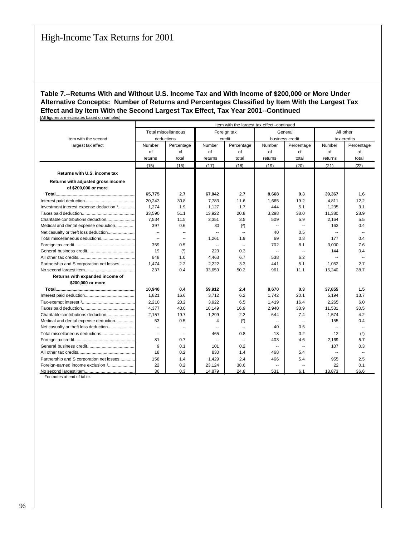|                                          | Item with the largest tax effect--continued |                            |                          |                          |                          |                          |                          |             |
|------------------------------------------|---------------------------------------------|----------------------------|--------------------------|--------------------------|--------------------------|--------------------------|--------------------------|-------------|
|                                          |                                             | <b>Total miscellaneous</b> |                          | Foreign tax              |                          | General                  |                          | All other   |
| Item with the second                     |                                             | deductions                 |                          | credit                   |                          | business credit          |                          | tax credits |
| largest tax effect                       | Number                                      | Percentage                 | Number                   | Percentage               | Number                   | Percentage               | Number                   | Percentage  |
|                                          | of                                          | of                         | of                       | of                       | of                       | of                       | of                       | of          |
|                                          | returns                                     | total                      | returns                  | total                    | returns                  | total                    | returns                  | total       |
|                                          | (15)                                        | (16)                       | (17)                     | (18)                     | (19)                     | (20)                     | (21)                     | (22)        |
| Returns with U.S. income tax             |                                             |                            |                          |                          |                          |                          |                          |             |
|                                          |                                             |                            |                          |                          |                          |                          |                          |             |
| Returns with adjusted gross income       |                                             |                            |                          |                          |                          |                          |                          |             |
| of \$200,000 or more                     |                                             |                            |                          |                          |                          |                          |                          |             |
|                                          | 65,775                                      | 2.7                        | 67,042                   | 2.7                      | 8,668                    | 0.3                      | 39,367                   | 1.6         |
|                                          | 20,243                                      | 30.8                       | 7,783                    | 11.6                     | 1,665                    | 19.2                     | 4,811                    | 12.2        |
| Investment interest expense deduction 1  | 1,274                                       | 1.9                        | 1,127                    | 1.7                      | 444                      | 5.1                      | 1,235                    | 3.1         |
|                                          | 33,590                                      | 51.1                       | 13,922                   | 20.8                     | 3,298                    | 38.0                     | 11,380                   | 28.9        |
|                                          | 7,534                                       | 11.5                       | 2,351                    | 3.5                      | 509                      | 5.9                      | 2,164                    | 5.5         |
| Medical and dental expense deduction     | 397                                         | 0.6                        | 30                       | (2)                      | $\overline{\phantom{a}}$ |                          | 163                      | 0.4         |
| Net casualty or theft loss deduction     | $\overline{\phantom{a}}$                    |                            | $\overline{\phantom{a}}$ | $\overline{a}$           | 40                       | 0.5                      | $\overline{\phantom{a}}$ |             |
| Total miscellaneous deductions           | $\overline{\phantom{a}}$                    | $\sim$                     | 1,261                    | 1.9                      | 69                       | 0.8                      | 177                      | 0.4         |
|                                          | 359                                         | 0.5                        | $\overline{\phantom{a}}$ | $\overline{\phantom{a}}$ | 702                      | 8.1                      | 3,000                    | 7.6         |
|                                          | 19                                          | (2)                        | 223                      | 0.3                      | $\overline{\phantom{a}}$ | $\overline{\phantom{a}}$ | 144                      | 0.4         |
|                                          | 648                                         | 1.0                        | 4,463                    | 6.7                      | 538                      | 6.2                      | $\overline{a}$           |             |
| Partnership and S corporation net losses | 1,474                                       | 2.2                        | 2,222                    | 3.3                      | 441                      | 5.1                      | 1,052                    | 2.7         |
|                                          | 237                                         | 0.4                        | 33,659                   | 50.2                     | 961                      | 11.1                     | 15,240                   | 38.7        |
| Returns with expanded income of          |                                             |                            |                          |                          |                          |                          |                          |             |
| \$200,000 or more                        |                                             |                            |                          |                          |                          |                          |                          |             |
|                                          | 10,940                                      | 0.4                        | 59,912                   | 2.4                      | 8,670                    | 0.3                      | 37,855                   | 1.5         |
|                                          | 1,821                                       | 16.6                       | 3,712                    | 6.2                      | 1,742                    | 20.1                     | 5,194                    | 13.7        |
|                                          | 2,210                                       | 20.2                       | 3,922                    | 6.5                      | 1,419                    | 16.4                     | 2,265                    | 6.0         |
|                                          | 4,377                                       | 40.0                       | 10,149                   | 16.9                     | 2,940                    | 33.9                     | 11,531                   | 30.5        |
|                                          | 2,157                                       | 19.7                       | 1,299                    | 2.2                      | 644                      | 7.4                      | 1,574                    | 4.2         |
| Medical and dental expense deduction     | 53                                          | 0.5                        | 4                        | (2)                      | $\overline{a}$           |                          | 155                      | 0.4         |
|                                          | --                                          |                            | $\overline{\phantom{a}}$ | $\overline{\phantom{a}}$ | 40                       | 0.5                      | $\overline{\phantom{a}}$ |             |
| Total miscellaneous deductions           | $\overline{a}$                              |                            | 465                      | 0.8                      | 18                       | 0.2                      | 12                       | (2)         |
|                                          | 81                                          | 0.7                        | $\sim$                   | $\overline{\phantom{a}}$ | 403                      | 4.6                      | 2,169                    | 5.7         |
|                                          | 9                                           | 0.1                        | 101                      | 0.2                      | $\sim$                   | $\overline{a}$           | 107                      | 0.3         |
|                                          | 18                                          | 0.2                        | 830                      | 1.4                      | 468                      | 5.4                      | $\overline{a}$           |             |
| Partnership and S corporation net losses | 158                                         | 1.4                        | 1,429                    | 2.4                      | 466                      | 5.4                      | 955                      | 2.5         |
| Foreign-earned income exclusion 3        | 22                                          | 0.2                        | 23,124                   | 38.6                     | $\overline{\phantom{a}}$ |                          | 22                       | 0.1         |
|                                          | 36                                          | 0.3                        | 14,879                   | 24.8                     | 531                      | 6.1                      | 13,873                   | 36.6        |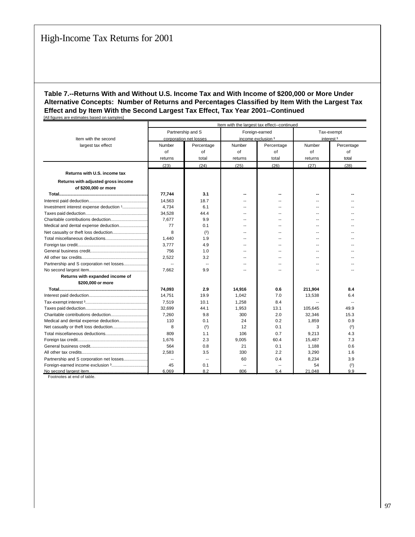|                                          | Item with the largest tax effect--continued |                        |         |                    |         |                       |  |  |
|------------------------------------------|---------------------------------------------|------------------------|---------|--------------------|---------|-----------------------|--|--|
|                                          |                                             | Partnership and S      |         | Foreign-earned     |         | Tax-exempt            |  |  |
| Item with the second                     |                                             | corporation net losses |         | income exclusion 3 |         | interest <sup>3</sup> |  |  |
| largest tax effect                       | Number                                      | Percentage             | Number  | Percentage         | Number  | Percentage            |  |  |
|                                          | of                                          | of                     | of      | of                 | of      | of                    |  |  |
|                                          | returns                                     | total                  | returns | total              | returns | total                 |  |  |
|                                          | (23)                                        | (24)                   | (25)    | (26)               | (27)    | (28)                  |  |  |
| Returns with U.S. income tax             |                                             |                        |         |                    |         |                       |  |  |
| Returns with adjusted gross income       |                                             |                        |         |                    |         |                       |  |  |
| of \$200,000 or more                     |                                             |                        |         |                    |         |                       |  |  |
|                                          | 77,744                                      | 3.1                    |         |                    |         |                       |  |  |
|                                          | 14,563                                      | 18.7                   |         |                    |         |                       |  |  |
| Investment interest expense deduction 1  | 4.734                                       | 6.1                    | $-$     | $-$                | ш.      |                       |  |  |
|                                          | 34,528                                      | 44.4                   |         |                    |         |                       |  |  |
|                                          | 7,677                                       | 9.9                    | $-1$    |                    |         |                       |  |  |
|                                          | 77                                          | 0.1                    |         |                    |         |                       |  |  |
|                                          | 8                                           | (2)                    |         |                    |         |                       |  |  |
|                                          | 1.440                                       | 1.9                    | $-$     | --                 | ш.      |                       |  |  |
|                                          | 3.777                                       | 4.9                    | $\sim$  | --                 | $-1$    |                       |  |  |
|                                          | 756                                         | 1.0                    | --      |                    |         |                       |  |  |
|                                          | 2,522                                       | 3.2                    |         |                    |         |                       |  |  |
| Partnership and S corporation net losses | $\overline{\phantom{a}}$                    | $\overline{a}$         | $\sim$  | $\overline{a}$     | ш.      |                       |  |  |
|                                          | 7,662                                       | 9.9                    |         |                    |         |                       |  |  |
| Returns with expanded income of          |                                             |                        |         |                    |         |                       |  |  |
| \$200,000 or more                        |                                             |                        |         |                    |         |                       |  |  |
|                                          | 74,093                                      | 2.9                    | 14,916  | 0.6                | 211,904 | 8.4                   |  |  |
|                                          | 14,751                                      | 19.9                   | 1,042   | 7.0                | 13,538  | 6.4                   |  |  |
|                                          | 7,519                                       | 10.1                   | 1,258   | 8.4                |         |                       |  |  |
|                                          | 32,699                                      | 44.1                   | 1,953   | 13.1               | 105,645 | 49.9                  |  |  |
|                                          | 7,260                                       | 9.8                    | 300     | 2.0                | 32,346  | 15.3                  |  |  |
| Medical and dental expense deduction     | 110                                         | 0.1                    | 24      | 0.2                | 1,859   | 0.9                   |  |  |
|                                          | 8                                           | (2)                    | 12      | 0.1                | 3       | (2)                   |  |  |
|                                          | 809                                         | 1.1                    | 106     | 0.7                | 9,213   | 4.3                   |  |  |
|                                          | 1.676                                       | 2.3                    | 9,005   | 60.4               | 15,487  | 7.3                   |  |  |
|                                          | 564                                         | 0.8                    | 21      | 0.1                | 1,188   | 0.6                   |  |  |
|                                          | 2,583                                       | 3.5                    | 330     | 2.2                | 3,290   | 1.6                   |  |  |
| Partnership and S corporation net losses | $\overline{\phantom{a}}$                    | $\overline{a}$         | 60      | 0.4                | 8,234   | 3.9                   |  |  |
|                                          | 45                                          | 0.1                    |         |                    | 54      | (2)                   |  |  |
|                                          | 6,069                                       | 8.2                    | 806     | 5.4                | 21,048  | 9.9                   |  |  |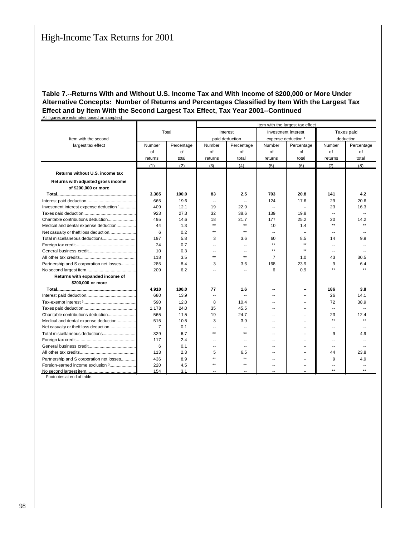|                                          |                |            | Item with the largest tax effect |                          |                          |                     |                          |              |
|------------------------------------------|----------------|------------|----------------------------------|--------------------------|--------------------------|---------------------|--------------------------|--------------|
|                                          |                | Total      |                                  | Interest                 | Investment interest      |                     |                          | Taxes paid   |
| Item with the second                     |                |            |                                  | paid deduction           |                          | expense deduction 1 |                          | deduction    |
| largest tax effect                       | Number         | Percentage | Number                           | Percentage               | Number                   | Percentage          | Number                   | Percentage   |
|                                          | of             | of         | of                               | of                       | of                       | of                  | of                       | οf           |
|                                          | returns        | total      | returns                          | total                    | returns                  | total               | returns                  | total        |
|                                          | (1)            | (2)        | (3)                              | (4)                      | (5)                      | (6)                 | (7)                      | (8)          |
| Returns without U.S. income tax          |                |            |                                  |                          |                          |                     |                          |              |
| Returns with adjusted gross income       |                |            |                                  |                          |                          |                     |                          |              |
| of \$200,000 or more                     |                |            |                                  |                          |                          |                     |                          |              |
|                                          | 3,385          | 100.0      | 83                               | 2.5                      | 703                      | 20.8                | 141                      | 4.2          |
|                                          | 665            | 19.6       | $\overline{\phantom{a}}$         | $\overline{\phantom{a}}$ | 124                      | 17.6                | 29                       | 20.6         |
| Investment interest expense deduction 1  | 409            | 12.1       | 19                               | 22.9                     | $\sim$                   |                     | 23                       | 16.3         |
|                                          | 923            | 27.3       | 32                               | 38.6                     | 139                      | 19.8                | $\overline{a}$           |              |
|                                          | 495            | 14.6       | 18                               | 21.7                     | 177                      | 25.2                | 20                       | 14.2         |
| Medical and dental expense deduction     | 44             | 1.3        | $\star\star$                     | $\star\star$             | 10                       | 1.4                 | $\star\star$             |              |
| Net casualty or theft loss deduction     | 6              | 0.2        | $\star\star$                     | $\star\star$             | $\sim$                   |                     | --                       |              |
| Total miscellaneous deductions           | 197            | 5.8        | 3                                | 3.6                      | 60                       | 8.5                 | 14                       | 9.9          |
|                                          | 24             | 0.7        | --                               | $\overline{a}$           | $\star\star$             | $\star\star$        | --                       |              |
|                                          | 10             | 0.3        |                                  | $\overline{\phantom{a}}$ | $\star\star$             | $\star\star$        | --                       |              |
|                                          | 118            | 3.5        | $\star\star$                     | $\star\star$             | $\overline{7}$           | 1.0                 | 43                       | 30.5         |
| Partnership and S corporation net losses | 285            | 8.4        | 3                                | 3.6                      | 168                      | 23.9                | 9                        | 6.4          |
|                                          | 209            | 6.2        |                                  | Ξ.                       | 6                        | 0.9                 | $\star\star$             |              |
| Returns with expanded income of          |                |            |                                  |                          |                          |                     |                          |              |
| \$200,000 or more                        |                |            |                                  |                          |                          |                     |                          |              |
|                                          | 4,910          | 100.0      | 77                               | 1.6                      |                          |                     | 186                      | 3.8          |
|                                          | 680            | 13.9       | $\overline{a}$                   | $\sim$                   |                          |                     | 26                       | 14.1         |
|                                          | 590            | 12.0       | 8                                | 10.4                     |                          |                     | 72                       | 38.9         |
|                                          | 1,178          | 24.0       | 35                               | 45.5                     |                          |                     | $\overline{\phantom{a}}$ |              |
|                                          | 565            | 11.5       | 19                               | 24.7                     | --                       |                     | 23                       | 12.4         |
| Medical and dental expense deduction     | 515            | 10.5       | 3                                | 3.9                      |                          |                     | $***$                    |              |
|                                          | $\overline{7}$ | 0.1        |                                  | $\sim$                   |                          |                     | ٠.                       |              |
| Total miscellaneous deductions           | 329            | 6.7        | $\star\star$                     | $+ +$                    | --                       |                     | 9                        | 4.9          |
|                                          | 117            | 2.4        | --                               | $\overline{a}$           | $\overline{\phantom{a}}$ |                     | $\overline{a}$           |              |
|                                          | 6              | 0.1        | ٠.                               | $\sim$                   | $\overline{\phantom{a}}$ |                     | $\overline{a}$           |              |
|                                          | 113            | 2.3        | 5                                | 6.5                      |                          |                     | 44                       | 23.8         |
| Partnership and S corporation net losses | 436            | 8.9        | $\star\star$                     | $\star\star$             | $\sim$                   | --                  | 9                        | 4.9          |
| Foreign-earned income exclusion 3        | 220            | 4.5        | $\star\star$                     | $\star\star$             |                          |                     |                          |              |
|                                          | 154            | 3.1        |                                  |                          |                          |                     | $\star\star$             | $\star\star$ |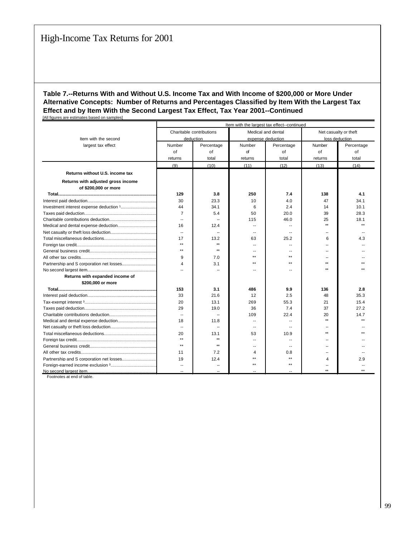|                                    | Item with the largest tax effect--continued |                          |                          |                    |                       |                |  |  |  |  |
|------------------------------------|---------------------------------------------|--------------------------|--------------------------|--------------------|-----------------------|----------------|--|--|--|--|
|                                    |                                             | Charitable contributions |                          | Medical and dental | Net casualty or theft |                |  |  |  |  |
| Item with the second               |                                             | deduction                |                          | expense deduction  |                       | loss deduction |  |  |  |  |
| largest tax effect                 | Number                                      | Percentage               | Number                   | Percentage         | Number                | Percentage     |  |  |  |  |
|                                    | of                                          | of                       | of                       | of                 | of                    | of             |  |  |  |  |
|                                    | returns                                     | total                    | returns                  | total              | returns               | total          |  |  |  |  |
|                                    | (9)                                         | (10)                     | (11)                     | (12)               | (13)                  | (14)           |  |  |  |  |
| Returns without U.S. income tax    |                                             |                          |                          |                    |                       |                |  |  |  |  |
| Returns with adjusted gross income |                                             |                          |                          |                    |                       |                |  |  |  |  |
| of \$200,000 or more               |                                             |                          |                          |                    |                       |                |  |  |  |  |
|                                    | 129                                         | 3.8                      | 250                      | 7.4                | 138                   | 4.1            |  |  |  |  |
|                                    | 30                                          | 23.3                     | 10                       | 4.0                | 47                    | 34.1           |  |  |  |  |
|                                    | 44                                          | 34.1                     | 6                        | 2.4                | 14                    | 10.1           |  |  |  |  |
|                                    | $\overline{7}$                              | 5.4                      | 50                       | 20.0               | 39                    | 28.3           |  |  |  |  |
|                                    | $\overline{\phantom{a}}$                    |                          | 115                      | 46.0               | 25                    | 18.1           |  |  |  |  |
|                                    | 16                                          | 12.4                     | $\overline{a}$           |                    | ÷4                    |                |  |  |  |  |
|                                    | $\overline{\phantom{a}}$                    | --                       | --                       |                    |                       |                |  |  |  |  |
|                                    | 17                                          | 13.2                     | 63                       | 25.2               | 6                     | 4.3            |  |  |  |  |
|                                    | $**$                                        | $**$                     | $\overline{\phantom{a}}$ | $\overline{a}$     |                       |                |  |  |  |  |
|                                    | $^{\star\star}$                             | $\star\star$             |                          |                    |                       |                |  |  |  |  |
|                                    | 9                                           | 7.0                      | $\star\star$             | $\star\star$       |                       |                |  |  |  |  |
|                                    | $\overline{4}$                              | 3.1                      | $***$                    | $***$              |                       |                |  |  |  |  |
|                                    | $\sim$                                      |                          | $\sim$                   | $-$                |                       |                |  |  |  |  |
| Returns with expanded income of    |                                             |                          |                          |                    |                       |                |  |  |  |  |
| \$200,000 or more                  |                                             |                          |                          |                    |                       |                |  |  |  |  |
|                                    | 153                                         | 3.1                      | 486                      | 9.9                | 136                   | 2.8            |  |  |  |  |
|                                    | 33                                          | 21.6                     | 12                       | 2.5                | 48                    | 35.3           |  |  |  |  |
|                                    | 20                                          | 13.1                     | 269                      | 55.3               | 21                    | 15.4           |  |  |  |  |
|                                    | 29                                          | 19.0                     | 36                       | 7.4                | 37                    | 27.2           |  |  |  |  |
|                                    | $\overline{\phantom{a}}$                    |                          | 109                      | 22.4               | 20                    | 14.7           |  |  |  |  |
|                                    | 18                                          | 11.8                     |                          |                    | $\star\star$          |                |  |  |  |  |
|                                    | $\overline{\phantom{a}}$                    |                          |                          |                    |                       |                |  |  |  |  |
|                                    | 20                                          | 13.1                     | 53                       | 10.9               | ÷÷                    |                |  |  |  |  |
|                                    | $\star\star$                                | $**$                     | $\overline{a}$           | $\overline{a}$     |                       |                |  |  |  |  |
|                                    | $**$                                        | $**$                     | --                       |                    |                       |                |  |  |  |  |
|                                    | 11                                          | 7.2                      | 4                        | 0.8                |                       |                |  |  |  |  |
|                                    | 19                                          | 12.4                     | $\star\star$             | $\star\star$       | 4                     | 2.9            |  |  |  |  |
|                                    | --                                          |                          | $***$                    | $***$              |                       |                |  |  |  |  |
|                                    |                                             |                          |                          |                    |                       |                |  |  |  |  |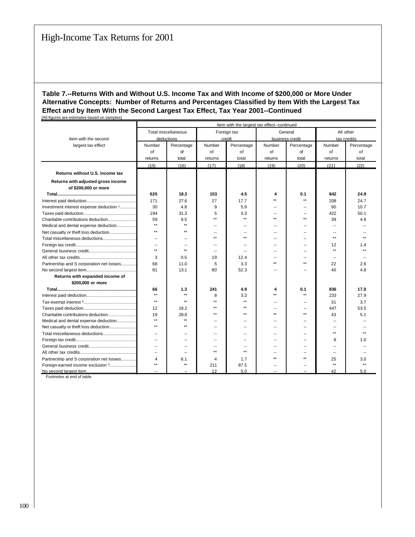|                                           | Item with the largest tax effect--continued |                            |                          |                          |                          |                 |                          |              |
|-------------------------------------------|---------------------------------------------|----------------------------|--------------------------|--------------------------|--------------------------|-----------------|--------------------------|--------------|
|                                           |                                             | <b>Total miscellaneous</b> |                          | Foreign tax              | General                  |                 |                          | All other    |
| Item with the second                      |                                             | deductions                 |                          | credit                   |                          | business credit |                          | tax credits  |
| largest tax effect                        | Number                                      | Percentage                 | Number                   | Percentage               | Number                   | Percentage      | Number                   | Percentage   |
|                                           | of                                          | of                         | of                       | of                       | of                       | of              | of                       | οf           |
|                                           | returns                                     | total                      | returns                  | total                    | returns                  | total           | returns                  | total        |
|                                           | (15)                                        | (16)                       | (17)                     | (18)                     | (19)                     | (20)            | (21)                     | (22)         |
| Returns without U.S. income tax           |                                             |                            |                          |                          |                          |                 |                          |              |
| Returns with adjusted gross income        |                                             |                            |                          |                          |                          |                 |                          |              |
| of \$200,000 or more                      |                                             |                            |                          |                          |                          |                 |                          |              |
|                                           | 620                                         | 18.3                       | 153                      | 4.5                      | 4                        | 0.1             | 842                      | 24.9         |
|                                           | 171                                         | 27.6                       | 27                       | 17.7                     | $\star\star$             | $\star\star$    | 208                      | 24.7         |
| Investment interest expense deduction 1   | 30                                          | 4.8                        | 9                        | 5.9                      | --                       | --              | 90                       | 10.7         |
|                                           | 194                                         | 31.3                       | 5                        | 3.3                      | --                       |                 | 422                      | 50.1         |
| Charitable contributions deduction        | 59                                          | 9.5                        | $\star\star$             | $\star\star$             | $\star\star$             | $\star\star$    | 39                       | 4.6          |
| Medical and dental expense deduction      | $\star\star$                                | $\star\star$               |                          | $\sim$                   | --                       |                 | $\overline{\phantom{a}}$ |              |
| Net casualty or theft loss deduction      | $\star\star$                                | $\star\star$               |                          |                          |                          |                 |                          |              |
|                                           | $\sim$                                      | $\sim$                     | $\star\star$             | $\star\star$             | $\sim$                   | $\sim$          | $\star\star$             |              |
|                                           | $\overline{a}$                              | $\sim$                     | --                       | $\sim$                   | $\overline{\phantom{a}}$ | $\sim$          | 12                       | 1.4          |
|                                           | $\star\star$                                | $\star\star$               | --                       | $\sim$                   | --                       | $\sim$          | $***$                    | $\star\star$ |
|                                           | 3                                           | 0.5                        | 19                       | 12.4                     | --                       | ۰.              | $\overline{a}$           |              |
| Partnership and S corporation net losses  | 68                                          | 11.0                       | 5                        | 3.3                      | $\star\star$             | $\star\star$    | 22                       | 2.6          |
|                                           | 81                                          | 13.1                       | 80                       | 52.3                     | --                       | н.              | 40                       | 4.8          |
| Returns with expanded income of           |                                             |                            |                          |                          |                          |                 |                          |              |
| \$200,000 or more                         |                                             |                            |                          |                          |                          |                 |                          |              |
|                                           | 66                                          | 1.3                        | 241                      | 4.9                      | 4                        | 0.1             | 836                      | 17.0         |
|                                           | $\star\star$                                | $\star\star$               | 8                        | 3.3                      | $\star\star$             | $\star\star$    | 233                      | 27.9         |
|                                           | $\star\star$                                | $\star\star$               | $\star\star$             | $\star\star$             | $\overline{\phantom{a}}$ | --              | 31                       | 3.7          |
|                                           | 12                                          | 18.2                       | $\star\star$             | $\star\star$             | --                       |                 | 447                      | 53.5         |
| Charitable contributions deduction        | 19                                          | 28.8                       | $\star\star$             | $\star\star$             | $\star\star$             | $\star\star$    | 43                       | 5.1          |
| Medical and dental expense deduction      | $\star\star$                                | $\star\star$               |                          | $\overline{\phantom{a}}$ | --                       |                 | $\overline{\phantom{a}}$ |              |
|                                           | $**$                                        | $\star\star$               | $\overline{\phantom{a}}$ | $\sim$                   | $\sim$                   | $\sim$          | $\sim$                   |              |
|                                           | $\overline{\phantom{a}}$                    | $\overline{\phantom{a}}$   | $\overline{\phantom{a}}$ | $\overline{\phantom{a}}$ | $\overline{\phantom{a}}$ | --              | $\star\star$             |              |
|                                           | $\overline{a}$                              | $\sim$                     | --                       | $\sim$                   | --                       | н.              | 8                        | 1.0          |
|                                           | $\overline{a}$                              |                            | $\overline{\phantom{a}}$ | $\sim$                   | --                       | н.              | $\overline{a}$           |              |
|                                           | $\overline{a}$                              | $\sim$                     | $\star\star$             | $\star\star$             | --                       |                 | $\sim$                   |              |
| Partnership and S corporation net losses! | 4                                           | 6.1                        | 4                        | 1.7                      | $\star\star$             | $\star\star$    | 25                       | 3.0          |
| Foreign-earned income exclusion 3         | $\star\star$                                | $\star\star$               | 211                      | 87.5                     |                          |                 | $***$                    |              |
|                                           | $\overline{a}$                              |                            | 12                       | 5.0                      | --                       |                 | 42                       | 5.0          |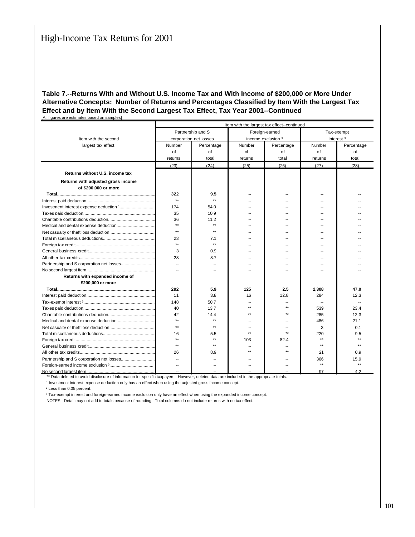|                                    | Item with the largest tax effect--continued |                        |              |                          |              |                       |  |  |  |  |
|------------------------------------|---------------------------------------------|------------------------|--------------|--------------------------|--------------|-----------------------|--|--|--|--|
|                                    |                                             | Partnership and S      |              | Foreign-earned           |              | Tax-exempt            |  |  |  |  |
| Item with the second               |                                             | corporation net losses |              | income exclusion 3       |              | interest <sup>3</sup> |  |  |  |  |
| largest tax effect                 | Number                                      | Percentage             | Number       | Percentage               | Number       | Percentage            |  |  |  |  |
|                                    | of                                          | of                     | of           | of                       | of           | of                    |  |  |  |  |
|                                    | returns                                     | total                  | returns      | total                    | returns      | total                 |  |  |  |  |
|                                    | (23)                                        | (24)                   | (25)         | (26)                     | (27)         | (28)                  |  |  |  |  |
| Returns without U.S. income tax    |                                             |                        |              |                          |              |                       |  |  |  |  |
|                                    |                                             |                        |              |                          |              |                       |  |  |  |  |
| Returns with adjusted gross income |                                             |                        |              |                          |              |                       |  |  |  |  |
| of \$200,000 or more               |                                             |                        |              |                          |              |                       |  |  |  |  |
|                                    | 322                                         | 9.5                    |              |                          |              |                       |  |  |  |  |
|                                    | $\star\star$                                | $\star\star$           |              |                          |              |                       |  |  |  |  |
|                                    | 174                                         | 54.0                   |              | --                       |              |                       |  |  |  |  |
|                                    | 35                                          | 10.9                   |              |                          |              |                       |  |  |  |  |
|                                    | 36                                          | 11.2                   |              |                          |              |                       |  |  |  |  |
|                                    | $**$                                        | $\star\star$           |              | ш.                       |              |                       |  |  |  |  |
|                                    | $**$                                        | $\star\star$           |              |                          |              |                       |  |  |  |  |
|                                    | 23                                          | 7.1                    |              | $\sim$                   |              |                       |  |  |  |  |
|                                    | $**$                                        | $\star\star$           |              | --                       | --           |                       |  |  |  |  |
|                                    | 3                                           | 0.9                    |              | $\overline{\phantom{a}}$ | --           |                       |  |  |  |  |
|                                    | 28                                          | 8.7                    |              | --                       | н.           |                       |  |  |  |  |
|                                    | $\overline{\phantom{a}}$                    |                        |              |                          |              |                       |  |  |  |  |
|                                    | $\overline{a}$                              |                        |              |                          |              |                       |  |  |  |  |
| Returns with expanded income of    |                                             |                        |              |                          |              |                       |  |  |  |  |
| \$200,000 or more                  |                                             |                        |              |                          |              |                       |  |  |  |  |
|                                    | 292                                         | 5.9                    | 125          | 2.5                      | 2,308        | 47.0                  |  |  |  |  |
|                                    | 11                                          | 3.8                    | 16           | 12.8                     | 284          | 12.3                  |  |  |  |  |
|                                    | 148                                         | 50.7                   |              |                          |              |                       |  |  |  |  |
|                                    | 40                                          | 13.7                   | $\star\star$ | $\star\star$             | 539          | 23.4                  |  |  |  |  |
|                                    | 42                                          | 14.4                   |              | $\star\star$             | 285          | 12.3                  |  |  |  |  |
|                                    | $**$                                        | $\star\star$           |              | --                       | 486          | 21.1                  |  |  |  |  |
|                                    | $**$                                        | $\star\star$           |              |                          | 3            | 0.1                   |  |  |  |  |
|                                    | 16                                          | 5.5                    | $\ddotsc$    | $\sim$                   | 220          | 9.5                   |  |  |  |  |
|                                    | $^{\star\star}$                             | $\star\star$           | 103          | 82.4                     | $\star\star$ | $\star\star$          |  |  |  |  |
|                                    | $\star\star$                                | $\star\star$           |              |                          | $\star\star$ | ه ه                   |  |  |  |  |
|                                    | 26                                          | 8.9                    |              | $\star\star$             | 21           | 0.9                   |  |  |  |  |
|                                    | $\overline{a}$                              |                        |              | --                       | 366          | 15.9                  |  |  |  |  |
|                                    |                                             |                        |              |                          | $\star\star$ | $\star\star$          |  |  |  |  |
| No second largest item.            |                                             |                        |              |                          | 97           | 42                    |  |  |  |  |

\*\* Data deleted to avoid disclosure of information for specific taxpayers. However, deleted data are included in the appropriate totals.

<sup>1</sup> Investment interest expense deduction only has an effect when using the adjusted gross income concept.

² Less than 0.05 percent.

<sup>3</sup> Tax-exempt interest and foreign-earned income exclusion only have an effect when using the expanded income concept.

NOTES: Detail may not add to totals because of rounding. Total columns do not include returns with no tax effect.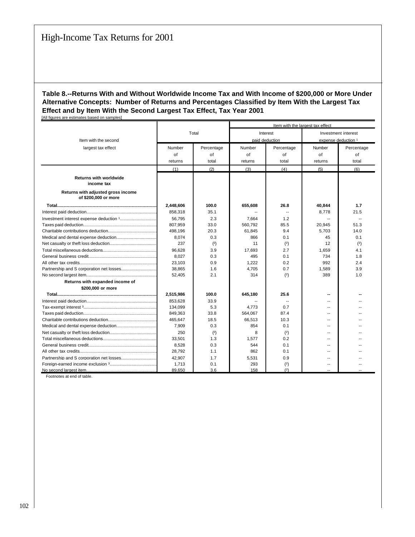|                                                            |           |            | Item with the largest tax effect |                |         |                          |  |
|------------------------------------------------------------|-----------|------------|----------------------------------|----------------|---------|--------------------------|--|
|                                                            | Total     |            |                                  | Interest       |         | Investment interest      |  |
| Item with the second                                       |           |            |                                  | paid deduction |         | expense deduction 1      |  |
| largest tax effect                                         | Number    | Percentage | Number                           | Percentage     | Number  | Percentage               |  |
|                                                            | of        | of         | of                               | of             | of      | of                       |  |
|                                                            |           |            |                                  |                |         |                          |  |
|                                                            | returns   | total      | returns                          | total          | returns | total                    |  |
|                                                            | (1)       | (2)        | (3)                              | (4)            | (5)     | (6)                      |  |
| <b>Returns with worldwide</b><br>income tax                |           |            |                                  |                |         |                          |  |
| Returns with adjusted gross income<br>of \$200,000 or more |           |            |                                  |                |         |                          |  |
|                                                            | 2,448,606 | 100.0      | 655,608                          | 26.8           | 40,844  | 1.7                      |  |
|                                                            | 858,318   | 35.1       |                                  |                | 8,778   | 21.5                     |  |
|                                                            | 56.795    | 2.3        | 7,664                            | 1.2            |         | $\overline{\phantom{a}}$ |  |
|                                                            | 807,959   | 33.0       | 560.792                          | 85.5           | 20,945  | 51.3                     |  |
|                                                            | 498,196   | 20.3       | 61,845                           | 9.4            | 5,703   | 14.0                     |  |
|                                                            | 8.074     | 0.3        | 866                              | 0.1            | 45      | 0.1                      |  |
|                                                            | 237       | (2)        | 11                               | (2)            | 12      | (2)                      |  |
|                                                            | 96,628    | 3.9        | 17,693                           | 2.7            | 1,659   | 4.1                      |  |
|                                                            | 8,027     | 0.3        | 495                              | 0.1            | 734     | 1.8                      |  |
|                                                            | 23,103    | 0.9        | 1,222                            | 0.2            | 992     | 2.4                      |  |
|                                                            | 38,865    | 1.6        | 4,705                            | 0.7            | 1,589   | 3.9                      |  |
|                                                            | 52,405    | 2.1        | 314                              | (2)            | 389     | 1.0                      |  |
| Returns with expanded income of                            |           |            |                                  |                |         |                          |  |
| \$200,000 or more                                          |           |            |                                  |                |         |                          |  |
|                                                            | 2,515,986 | 100.0      | 645,180                          | 25.6           |         |                          |  |
|                                                            | 853.628   | 33.9       |                                  | $\overline{a}$ | $\sim$  |                          |  |
|                                                            | 134,099   | 5.3        | 4,773                            | 0.7            |         |                          |  |
|                                                            | 849,363   | 33.8       | 564,067                          | 87.4           | $\sim$  |                          |  |
|                                                            | 465.647   | 18.5       | 66.513                           | 10.3           | --      |                          |  |
|                                                            | 7,909     | 0.3        | 854                              | 0.1            | $\sim$  |                          |  |
|                                                            | 250       | (2)        | 8                                | (2)            | $-1$    |                          |  |
|                                                            | 33.501    | 1.3        | 1.577                            | 0.2            | $\sim$  |                          |  |
|                                                            | 8,528     | 0.3        | 544                              | 0.1            | $\sim$  |                          |  |
|                                                            | 28,792    | 1.1        | 862                              | 0.1            | $-$     |                          |  |
|                                                            | 42.907    | 1.7        | 5,531                            | 0.9            | $\sim$  |                          |  |
|                                                            | 1,713     | 0.1        | 293                              | (2)            |         |                          |  |
|                                                            | 89,650    | 3.6        | 158                              | (2)            |         |                          |  |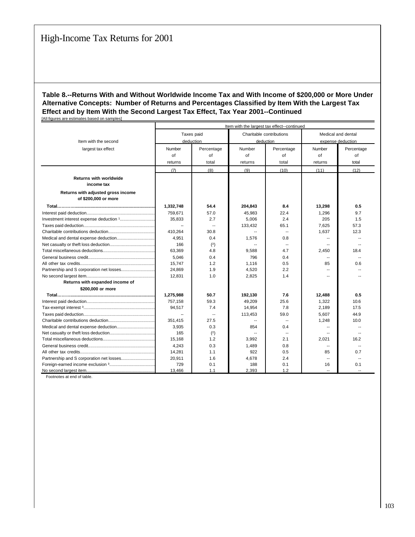|                                                            | Item with the largest tax effect--continued |            |         |                          |                          |                          |  |  |  |
|------------------------------------------------------------|---------------------------------------------|------------|---------|--------------------------|--------------------------|--------------------------|--|--|--|
|                                                            |                                             | Taxes paid |         | Charitable contributions |                          | Medical and dental       |  |  |  |
| Item with the second                                       |                                             | deduction  |         | deduction                |                          | expense deduction        |  |  |  |
| largest tax effect                                         | Number                                      | Percentage | Number  | Percentage               | Number                   | Percentage               |  |  |  |
|                                                            | of                                          | of         | of      | of                       | of                       | of                       |  |  |  |
|                                                            | returns                                     | total      | returns | total                    | returns                  | total                    |  |  |  |
|                                                            | (7)                                         | (8)        | (9)     | (10)                     | (11)                     | (12)                     |  |  |  |
| <b>Returns with worldwide</b><br>income tax                |                                             |            |         |                          |                          |                          |  |  |  |
| Returns with adjusted gross income<br>of \$200,000 or more |                                             |            |         |                          |                          |                          |  |  |  |
|                                                            | 1,332,748                                   | 54.4       | 204,843 | 8.4                      | 13,298                   | 0.5                      |  |  |  |
|                                                            | 759,671                                     | 57.0       | 45.983  | 22.4                     | 1,296                    | 9.7                      |  |  |  |
|                                                            | 35,833                                      | 2.7        | 5,006   | 2.4                      | 205                      | 1.5                      |  |  |  |
|                                                            |                                             | $\sim$     | 133,432 | 65.1                     | 7.625                    | 57.3                     |  |  |  |
|                                                            | 410,264                                     | 30.8       | $\sim$  | $\overline{a}$           | 1.637                    | 12.3                     |  |  |  |
|                                                            | 4,951                                       | 0.4        | 1,576   | 0.8                      |                          |                          |  |  |  |
|                                                            | 166                                         | (2)        |         | $\overline{\phantom{a}}$ |                          | $\overline{a}$           |  |  |  |
|                                                            | 63,369                                      | 4.8        | 9,588   | 4.7                      | 2,450                    | 18.4                     |  |  |  |
|                                                            | 5,046                                       | 0.4        | 796     | 0.4                      | $\overline{\phantom{a}}$ | $\sim$                   |  |  |  |
|                                                            | 15,747                                      | 1.2        | 1,116   | 0.5                      | 85                       | 0.6                      |  |  |  |
|                                                            | 24,869                                      | 1.9        | 4,520   | 2.2                      | $-$                      |                          |  |  |  |
|                                                            | 12,831                                      | 1.0        | 2,825   | 1.4                      | $\overline{a}$           |                          |  |  |  |
| Returns with expanded income of                            |                                             |            |         |                          |                          |                          |  |  |  |
| \$200,000 or more                                          |                                             |            |         |                          |                          |                          |  |  |  |
|                                                            | 1,275,988                                   | 50.7       | 192.130 | 7.6                      | 12,488                   | 0.5                      |  |  |  |
|                                                            | 757,158                                     | 59.3       | 49,209  | 25.6                     | 1,322                    | 10.6                     |  |  |  |
|                                                            | 94.517                                      | 7.4        | 14,954  | 7.8                      | 2.189                    | 17.5                     |  |  |  |
|                                                            |                                             | $\sim$     | 113,453 | 59.0                     | 5,607                    | 44.9                     |  |  |  |
|                                                            | 351.415                                     | 27.5       |         | $\sim$                   | 1.248                    | 10.0                     |  |  |  |
|                                                            | 3,935                                       | 0.3        | 854     | 0.4                      | $\overline{\phantom{a}}$ | $\overline{\phantom{a}}$ |  |  |  |
|                                                            | 165                                         | (2)        |         |                          |                          |                          |  |  |  |
|                                                            | 15.168                                      | 1.2        | 3.992   | 2.1                      | 2.021                    | 16.2                     |  |  |  |
|                                                            | 4.243                                       | 0.3        | 1.489   | 0.8                      |                          | $\sim$                   |  |  |  |
|                                                            | 14.281                                      | 1.1        | 922     | 0.5                      | 85                       | 0.7                      |  |  |  |
|                                                            | 20.911                                      | 1.6        | 4.678   | 2.4                      | $\sim$                   | $\sim$                   |  |  |  |
|                                                            | 729                                         | 0.1        | 188     | 0.1                      | 16                       | 0.1                      |  |  |  |
|                                                            | 13,466                                      | 1.1        | 2,393   | 1.2                      |                          |                          |  |  |  |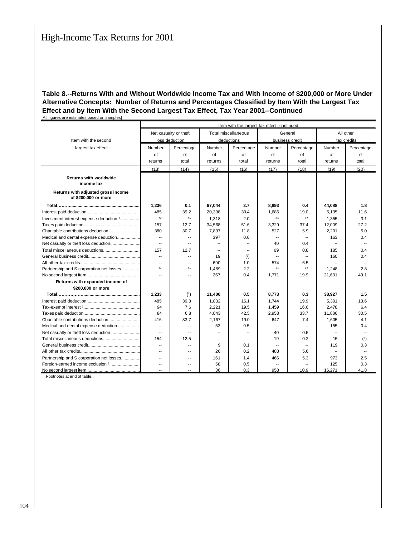|                                                            | Item with the largest tax effect--continued |                          |                            |            |                          |                          |             |                          |
|------------------------------------------------------------|---------------------------------------------|--------------------------|----------------------------|------------|--------------------------|--------------------------|-------------|--------------------------|
|                                                            |                                             | Net casualty or theft    | <b>Total miscellaneous</b> |            | General                  |                          | All other   |                          |
| Item with the second                                       |                                             | loss deduction           |                            | deductions |                          | business credit          | tax credits |                          |
| largest tax effect                                         | Number                                      | Percentage               | Number                     | Percentage | Number                   | Percentage               | Number      | Percentage               |
|                                                            | of                                          | of                       | of                         | of         | of                       | of                       | of          | of                       |
|                                                            | returns                                     | total                    | returns                    | total      | returns                  | total                    | returns     | total                    |
|                                                            | (13)                                        | (14)                     | (15)                       | (16)       | (17)                     | (18)                     | (19)        | (20)                     |
| <b>Returns with worldwide</b><br>income tax                |                                             |                          |                            |            |                          |                          |             |                          |
|                                                            |                                             |                          |                            |            |                          |                          |             |                          |
| Returns with adjusted gross income<br>of \$200,000 or more |                                             |                          |                            |            |                          |                          |             |                          |
|                                                            | 1,236                                       | 0.1                      | 67,044                     | 2.7        | 8,893                    | 0.4                      | 44,088      | 1.8                      |
|                                                            | 485                                         | 39.2                     | 20,398                     | 30.4       | 1.686                    | 19.0                     | 5,135       | 11.6                     |
| Investment interest expense deduction 1                    | $\star\star$                                | $\star\star$             | 1,318                      | 2.0        | $\star\star$             | $\star\star$             | 1,355       | 3.1                      |
|                                                            | 157                                         | 12.7                     | 34,568                     | 51.6       | 3,329                    | 37.4                     | 12,009      | 27.2                     |
|                                                            | 380                                         | 30.7                     | 7,897                      | 11.8       | 527                      | 5.9                      | 2,201       | 5.0                      |
| Medical and dental expense deduction                       | $\overline{\phantom{a}}$                    | $\overline{a}$           | 397                        | 0.6        | $\overline{a}$           | $\overline{a}$           | 163         | 0.4                      |
|                                                            | Ξ.                                          | $\overline{a}$           | $\overline{a}$             | $\sim$     | 40                       | 0.4                      |             | $\overline{\phantom{a}}$ |
|                                                            | 157                                         | 12.7                     | $\sim$                     | $\sim$     | 69                       | 0.8                      | 185         | 0.4                      |
|                                                            | $\sim$                                      | $\sim$                   | 19                         | (2)        | $\sim$                   | $\sim$                   | 160         | 0.4                      |
|                                                            | $\overline{\phantom{a}}$                    | $\overline{a}$           | 690                        | 1.0        | 574                      | 6.5                      |             |                          |
| Partnership and S corporation net losses                   | $\star\star$                                | $\star\star$             | 1,489                      | 2.2        | $\star\star$             | $\star\star$             | 1.248       | 2.8                      |
|                                                            | $\sim$                                      | $\sim$                   | 267                        | 0.4        | 1.771                    | 19.9                     | 21,631      | 49.1                     |
| Returns with expanded income of                            |                                             |                          |                            |            |                          |                          |             |                          |
| \$200,000 or more                                          |                                             |                          |                            |            |                          |                          |             |                          |
|                                                            | 1,233                                       | (2)                      | 11,406                     | 0.5        | 8,773                    | 0.3                      | 38,927      | 1.5                      |
|                                                            | 485                                         | 39.3                     | 1,832                      | 16.1       | 1.744                    | 19.9                     | 5,301       | 13.6                     |
|                                                            | 94                                          | 7.6                      | 2,221                      | 19.5       | 1,459                    | 16.6                     | 2,478       | 6.4                      |
|                                                            | 84                                          | 6.8                      | 4,843                      | 42.5       | 2,953                    | 33.7                     | 11,886      | 30.5                     |
|                                                            | 416                                         | 33.7                     | 2,167                      | 19.0       | 647                      | 7.4                      | 1.605       | 4.1                      |
| Medical and dental expense deduction                       | $\overline{\phantom{a}}$                    | ۰.                       | 53                         | 0.5        | ۰.                       | $\overline{\phantom{a}}$ | 155         | 0.4                      |
|                                                            | $\overline{\phantom{a}}$                    | $\overline{\phantom{a}}$ | $\overline{\phantom{a}}$   | --         | 40                       | 0.5                      | $\sim$      | --                       |
|                                                            | 154                                         | 12.5                     | $\overline{a}$             |            | 19                       | 0.2                      | 15          | (2)                      |
|                                                            | -                                           | $\overline{\phantom{a}}$ | 9                          | 0.1        | $\overline{\phantom{a}}$ | $\sim$                   | 119         | 0.3                      |
|                                                            | -                                           | --                       | 26                         | 0.2        | 488                      | 5.6                      |             | --                       |
| Partnership and S corporation net losses                   | Ξ.                                          | $-$                      | 161                        | 1.4        | 466                      | 5.3                      | 973         | 2.5                      |
| Foreign-earned income exclusion 3                          | $\overline{\phantom{a}}$                    | $\overline{a}$           | 58                         | 0.5        | $\overline{a}$           | $\overline{\phantom{a}}$ | 125         | 0.3                      |
|                                                            |                                             |                          | 36                         | 0.3        | 958                      | 10.9                     | 16,271      | 41.8                     |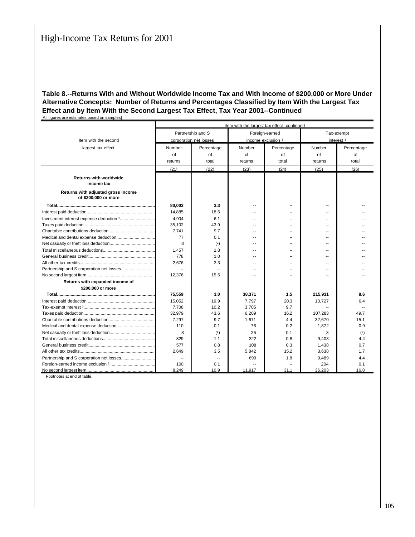|                                                            | Item with the largest tax effect--continued |                        |                    |                |                       |            |  |  |
|------------------------------------------------------------|---------------------------------------------|------------------------|--------------------|----------------|-----------------------|------------|--|--|
|                                                            |                                             | Partnership and S      |                    | Foreign-earned | Tax-exempt            |            |  |  |
| Item with the second                                       |                                             | corporation net losses | income exclusion 3 |                | interest <sup>3</sup> |            |  |  |
| largest tax effect                                         | Number                                      | Percentage             | Number             | Percentage     | Number                | Percentage |  |  |
|                                                            | of                                          | of                     | of                 | of             | of                    | of         |  |  |
|                                                            | returns                                     | total                  | returns            | total          | returns               | total      |  |  |
|                                                            | (21)                                        | (22)                   | (23)               | (24)           | (25)                  | (26)       |  |  |
|                                                            |                                             |                        |                    |                |                       |            |  |  |
| <b>Returns with worldwide</b><br>income tax                |                                             |                        |                    |                |                       |            |  |  |
| Returns with adjusted gross income<br>of \$200,000 or more |                                             |                        |                    |                |                       |            |  |  |
|                                                            | 80.003                                      | 3.3                    |                    |                |                       |            |  |  |
|                                                            | 14,885                                      | 18.6                   |                    |                | --                    |            |  |  |
|                                                            | 4.904                                       | 6.1                    |                    |                | --                    |            |  |  |
|                                                            | 35,102                                      | 43.9                   |                    | --             | --                    |            |  |  |
|                                                            | 7.741                                       | 9.7                    |                    |                | --                    |            |  |  |
|                                                            | 77                                          | 0.1                    |                    |                | $-$                   |            |  |  |
|                                                            | 8                                           | (2)                    |                    |                | --                    |            |  |  |
|                                                            | 1,457                                       | 1.8                    |                    |                | --                    |            |  |  |
|                                                            | 778                                         | 1.0                    | --                 | -              | --                    |            |  |  |
|                                                            | 2.676                                       | 3.3                    | --                 | --             | --                    |            |  |  |
|                                                            |                                             |                        | --                 | --             | --                    |            |  |  |
|                                                            | 12,376                                      | 15.5                   |                    |                | --                    |            |  |  |
| Returns with expanded income of                            |                                             |                        |                    |                |                       |            |  |  |
| \$200,000 or more                                          |                                             |                        |                    |                |                       |            |  |  |
|                                                            | 75,559                                      | 3.0                    | 38,371             | 1.5            | 215,931               | 8.6        |  |  |
|                                                            | 15,052                                      | 19.9                   | 7.797              | 20.3           | 13.727                | 6.4        |  |  |
|                                                            | 7,708                                       | 10.2                   | 3,705              | 9.7            |                       |            |  |  |
|                                                            | 32,979                                      | 43.6                   | 6,209              | 16.2           | 107,283               | 49.7       |  |  |
|                                                            | 7.297                                       | 9.7                    | 1.671              | 4.4            | 32,670                | 15.1       |  |  |
|                                                            | 110                                         | 0.1                    | 76                 | 0.2            | 1,872                 | 0.9        |  |  |
|                                                            | 8                                           | (2)                    | 26                 | 0.1            | 3                     | (2)        |  |  |
|                                                            | 829                                         | 1.1                    | 322                | 0.8            | 9,403                 | 4.4        |  |  |
|                                                            | 577                                         | 0.8                    | 108                | 0.3            | 1,438                 | 0.7        |  |  |
|                                                            | 2.649                                       | 3.5                    | 5.842              | 15.2           | 3,638                 | 1.7        |  |  |
|                                                            | $\overline{\phantom{a}}$                    |                        | 699                | 1.8            | 9,489                 | 4.4        |  |  |
|                                                            | 100                                         | 0.1                    |                    |                | 204                   | 0.1        |  |  |
|                                                            | 8.249                                       | 10.9                   | 11.917             | 31.1           | 36.203                | 16.8       |  |  |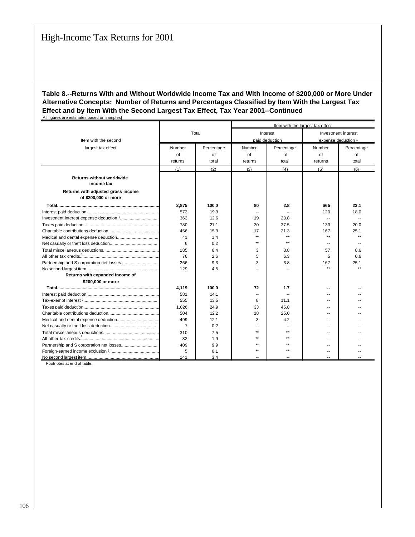|                                                            |                |            | Item with the largest tax effect |              |                          |                     |  |
|------------------------------------------------------------|----------------|------------|----------------------------------|--------------|--------------------------|---------------------|--|
|                                                            | Total          |            |                                  | Interest     |                          | Investment interest |  |
| Item with the second                                       |                |            | paid deduction                   |              | expense deduction 1      |                     |  |
| largest tax effect                                         | Number         | Percentage | Number                           | Percentage   | Number                   | Percentage          |  |
|                                                            | of             | οf         | of                               | of           | of                       | οf                  |  |
|                                                            | returns        | total      | returns                          | total        | returns                  | total               |  |
|                                                            | (1)            | (2)        | (3)                              | (4)          | (5)                      | (6)                 |  |
| <b>Returns without worldwide</b><br>income tax             |                |            |                                  |              |                          |                     |  |
| Returns with adjusted gross income<br>of \$200,000 or more |                |            |                                  |              |                          |                     |  |
|                                                            | 2,875          | 100.0      | 80                               | 2.8          | 665                      | 23.1                |  |
|                                                            | 573            | 19.9       |                                  |              | 120                      | 18.0                |  |
|                                                            | 363            | 12.6       | 19                               | 23.8         | $\overline{a}$           |                     |  |
|                                                            | 780            | 27.1       | 30                               | 37.5         | 133                      | 20.0                |  |
|                                                            | 456            | 15.9       | 17                               | 21.3         | 167                      | 25.1                |  |
|                                                            | 41             | 1.4        | $\star\star$                     | $\star\star$ | $\star\star$             | $\star\star$        |  |
|                                                            | 6              | 0.2        | $\star\star$                     | $\star\star$ | $\sim$                   | --                  |  |
|                                                            | 185            | 6.4        | 3                                | 3.8          | 57                       | 8.6                 |  |
|                                                            | 76             | 2.6        | 5                                | 6.3          | 5                        | 0.6                 |  |
|                                                            | 266            | 9.3        | 3                                | 3.8          | 167                      | 25.1                |  |
|                                                            | 129            | 4.5        |                                  |              | $\star \star$            | $\star\star$        |  |
| Returns with expanded income of                            |                |            |                                  |              |                          |                     |  |
| \$200,000 or more                                          |                |            |                                  |              |                          |                     |  |
|                                                            | 4,119          | 100.0      | 72                               | 1.7          |                          |                     |  |
|                                                            | 581            | 14.1       | -                                |              | $\overline{\phantom{a}}$ |                     |  |
|                                                            | 555            | 13.5       | 8                                | 11.1         |                          |                     |  |
|                                                            | 1,026          | 24.9       | 33                               | 45.8         |                          |                     |  |
|                                                            | 504            | 12.2       | 18                               | 25.0         | --                       |                     |  |
|                                                            | 499            | 12.1       | 3                                | 4.2          | --                       |                     |  |
|                                                            | $\overline{7}$ | 0.2        |                                  |              | $\sim$                   |                     |  |
|                                                            | 310            | 7.5        | $\ddot{\phantom{1}}$             | $\star\star$ | --                       |                     |  |
|                                                            | 82             | 1.9        | $\ddot{\phantom{1}}$             | $\star\star$ | --                       |                     |  |
|                                                            | 409            | 9.9        | $\ddot{\phantom{1}}$             | $\star\star$ |                          |                     |  |
|                                                            | 5              | 0.1        | $\star\star$                     | $\star\star$ | --                       |                     |  |
|                                                            | 141            | 3.4        |                                  |              |                          |                     |  |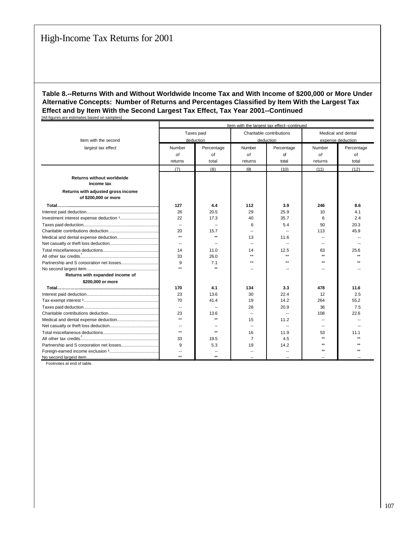|                                                            | Item with the largest tax effect--continued |              |                          |                          |                          |            |  |  |  |
|------------------------------------------------------------|---------------------------------------------|--------------|--------------------------|--------------------------|--------------------------|------------|--|--|--|
|                                                            |                                             | Taxes paid   |                          | Charitable contributions | Medical and dental       |            |  |  |  |
| Item with the second                                       |                                             | deduction    | deduction                |                          | expense deduction        |            |  |  |  |
| largest tax effect                                         | Number                                      | Percentage   | Number                   | Percentage               | Number                   | Percentage |  |  |  |
|                                                            | of                                          | of           | of                       | of                       | of                       | of         |  |  |  |
|                                                            | returns                                     | total        | returns                  | total                    | returns                  | total      |  |  |  |
|                                                            | (7)                                         | (8)          | (9)                      | (10)                     | (11)                     | (12)       |  |  |  |
| <b>Returns without worldwide</b><br>income tax             |                                             |              |                          |                          |                          |            |  |  |  |
| Returns with adjusted gross income<br>of \$200,000 or more |                                             |              |                          |                          |                          |            |  |  |  |
|                                                            | 127                                         | 4.4          | 112                      | 3.9                      | 246                      | 8.6        |  |  |  |
|                                                            | 26                                          | 20.5         | 29                       | 25.9                     | 10                       | 4.1        |  |  |  |
|                                                            | 22                                          | 17.3         | 40                       | 35.7                     | 6                        | 2.4        |  |  |  |
|                                                            | $\overline{\phantom{a}}$                    |              | 6                        | 5.4                      | 50                       | 20.3       |  |  |  |
|                                                            | 20                                          | 15.7         | $\sim$                   | --                       | 113                      | 45.9       |  |  |  |
|                                                            | $\star\star$                                | $\star\star$ | 13                       | 11.6                     |                          |            |  |  |  |
|                                                            | $\overline{\phantom{a}}$                    |              | $\overline{\phantom{a}}$ |                          |                          |            |  |  |  |
|                                                            | 14                                          | 11.0         | 14                       | 12.5                     | 63                       | 25.6       |  |  |  |
|                                                            | 33                                          | 26.0         | $***$                    | $\star\star$             | $\star\star$             |            |  |  |  |
|                                                            | 9                                           | 7.1          | $\star\star$             | $\star\star$             | **                       |            |  |  |  |
|                                                            | $\star\star$                                | $\star$      |                          |                          |                          |            |  |  |  |
| Returns with expanded income of                            |                                             |              |                          |                          |                          |            |  |  |  |
| \$200,000 or more                                          |                                             |              |                          |                          |                          |            |  |  |  |
|                                                            | 170                                         | 4.1          | 134                      | 3.3                      | 478                      | 11.6       |  |  |  |
|                                                            | 23                                          | 13.6         | 30                       | 22.4                     | 12                       | 2.5        |  |  |  |
|                                                            | 70                                          | 41.4         | 19                       | 14.2                     | 264                      | 55.2       |  |  |  |
|                                                            | ۰.                                          |              | 28                       | 20.9                     | 36                       | 7.5        |  |  |  |
|                                                            | 23                                          | 13.6         | $\overline{\phantom{a}}$ |                          | 108                      | 22.6       |  |  |  |
|                                                            | $\star\star$                                | $\star\star$ | 15                       | 11.2                     |                          |            |  |  |  |
|                                                            | --                                          |              | $\overline{\phantom{a}}$ | $\overline{\phantom{a}}$ | $\overline{\phantom{a}}$ |            |  |  |  |
|                                                            | $***$                                       | $\star\star$ | 16                       | 11.9                     | 53                       | 11.1       |  |  |  |
|                                                            | 33                                          | 19.5         | $\overline{7}$           | 4.5                      | $\star\star$             |            |  |  |  |
|                                                            | 9                                           | 5.3          | 19                       | 14.2                     | **                       |            |  |  |  |
|                                                            | $\overline{\phantom{a}}$                    |              |                          |                          |                          |            |  |  |  |
|                                                            | $\star\star$                                | $\star\star$ |                          |                          |                          |            |  |  |  |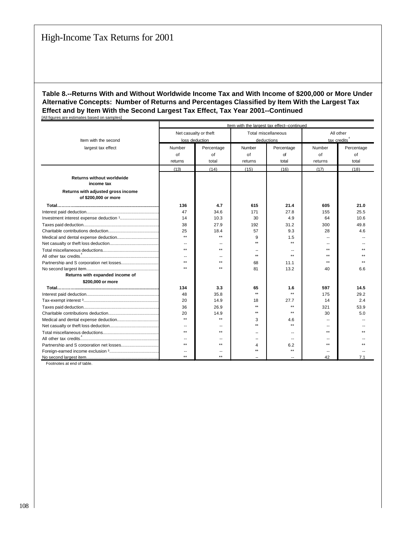|                                                            | Item with the largest tax effect--continued |                       |                      |                     |                          |            |  |
|------------------------------------------------------------|---------------------------------------------|-----------------------|----------------------|---------------------|--------------------------|------------|--|
|                                                            |                                             | Net casualty or theft |                      | Total miscellaneous | All other                |            |  |
| Item with the second                                       |                                             | loss deduction        | deductions           |                     | tax credits <sup>4</sup> |            |  |
| largest tax effect                                         | Number                                      | Percentage            | Number               | Percentage          | Number                   | Percentage |  |
|                                                            | of                                          | of                    | of                   | of                  | of                       | of         |  |
|                                                            | returns                                     | total                 | returns              | total               | returns                  | total      |  |
|                                                            | (13)                                        | (14)                  | (15)                 | (16)                | (17)                     | (18)       |  |
| <b>Returns without worldwide</b><br>income tax             |                                             |                       |                      |                     |                          |            |  |
| Returns with adjusted gross income<br>of \$200,000 or more |                                             |                       |                      |                     |                          |            |  |
|                                                            | 136                                         | 4.7                   | 615                  | 21.4                | 605                      | 21.0       |  |
|                                                            | 47                                          | 34.6                  | 171                  | 27.8                | 155                      | 25.5       |  |
|                                                            | 14                                          | 10.3                  | 30                   | 4.9                 | 64                       | 10.6       |  |
|                                                            | 38                                          | 27.9                  | 192                  | 31.2                | 300                      | 49.8       |  |
|                                                            | 25                                          | 18.4                  | 57                   | 9.3                 | 28                       | 4.6        |  |
|                                                            | $\star\star$                                | $\star\star$          | 9                    | 1.5                 |                          |            |  |
|                                                            | $\overline{\phantom{a}}$                    |                       | $\star\star$         | $\star\star$        |                          |            |  |
|                                                            | $\star\star$                                | $\star\star$          |                      |                     | $\star\star$             |            |  |
|                                                            | $\sim$                                      | --                    | $\star\star$         | $\star\star$        | $\star\star$             |            |  |
|                                                            | $\star\star$                                | $\star\star$          | 68                   | 11.1                | $\star\star$             |            |  |
|                                                            | $\star\star$                                | $\star\star$          | 81                   | 13.2                | 40                       | 6.6        |  |
| Returns with expanded income of                            |                                             |                       |                      |                     |                          |            |  |
| \$200,000 or more                                          |                                             |                       |                      |                     |                          |            |  |
|                                                            | 134                                         | 3.3                   | 65                   | 1.6                 | 597                      | 14.5       |  |
|                                                            | 48                                          | 35.8                  | $\star\star$         | $\star\star$        | 175                      | 29.2       |  |
|                                                            | 20                                          | 14.9                  | 18                   | 27.7                | 14                       | 2.4        |  |
|                                                            | 36                                          | 26.9                  | $\star\star$         | $***$               | 321                      | 53.9       |  |
|                                                            | 20                                          | 14.9                  | $\ddot{\phantom{1}}$ | $+ +$               | 30                       | 5.0        |  |
|                                                            | $\star\star$                                | $\star\star$          | 3                    | 4.6                 |                          |            |  |
|                                                            |                                             |                       | ÷÷                   | $\star\star$        |                          |            |  |
|                                                            | $\star\star$                                | $\star\star$          |                      | $\sim$              | $\star\star$             |            |  |
|                                                            | $\overline{\phantom{a}}$                    |                       |                      | $\overline{a}$      |                          |            |  |
|                                                            | $\star\star$                                | $\star\star$          | 4                    | 6.2                 | $\star\star$             |            |  |
|                                                            |                                             |                       | $\star\star$         | $***$               |                          |            |  |
|                                                            | $\star\star$                                | $\star\star$          |                      |                     | 42                       | 7.1        |  |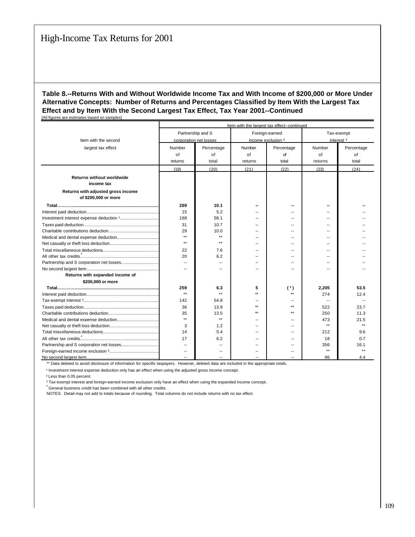|                                    | Item with the largest tax effect--continued |                   |                    |                          |                       |            |  |  |
|------------------------------------|---------------------------------------------|-------------------|--------------------|--------------------------|-----------------------|------------|--|--|
|                                    |                                             | Partnership and S |                    | Foreign-earned           | Tax-exempt            |            |  |  |
| Item with the second               | corporation net losses                      |                   | income exclusion 3 |                          | interest <sup>3</sup> |            |  |  |
| largest tax effect                 | Number                                      | Percentage        | Number             | Percentage               | Number                | Percentage |  |  |
|                                    | of                                          | of                | of                 | of                       | of                    | of         |  |  |
|                                    | returns                                     | total             | returns            | total                    | returns               | total      |  |  |
|                                    | (19)                                        | (20)              | (21)               | (22)                     | (23)                  | (24)       |  |  |
| <b>Returns without worldwide</b>   |                                             |                   |                    |                          |                       |            |  |  |
| income tax                         |                                             |                   |                    |                          |                       |            |  |  |
| Returns with adjusted gross income |                                             |                   |                    |                          |                       |            |  |  |
| of \$200,000 or more               |                                             |                   |                    |                          |                       |            |  |  |
|                                    | 289                                         | 10.1              |                    |                          |                       |            |  |  |
|                                    | 15                                          | 5.2               |                    |                          |                       |            |  |  |
|                                    | 168                                         | 58.1              |                    |                          |                       |            |  |  |
|                                    | 31                                          | 10.7              |                    |                          |                       |            |  |  |
|                                    | 29                                          | 10.0              |                    | $-$                      |                       |            |  |  |
|                                    | $\star\star$                                | $\star\star$      |                    |                          |                       |            |  |  |
|                                    | $\star\star$                                | $\star\star$      |                    | --                       |                       |            |  |  |
|                                    | 22                                          | 7.6               |                    |                          |                       |            |  |  |
|                                    | 20                                          | 6.2               | $\sim$             | $\overline{\phantom{a}}$ | $\sim$                |            |  |  |
|                                    | $\overline{a}$                              | --                |                    | $\overline{a}$           | --                    |            |  |  |
|                                    | $\overline{\phantom{a}}$                    |                   |                    |                          |                       |            |  |  |
| Returns with expanded income of    |                                             |                   |                    |                          |                       |            |  |  |
| \$200,000 or more                  |                                             |                   |                    |                          |                       |            |  |  |
|                                    | 259                                         | 6.3               | 5                  | (2)                      | 2,205                 | 53.5       |  |  |
|                                    | $\star\star$                                | $\star\star$      | $^{++}$            | $\star\star$             | 274                   | 12.4       |  |  |
|                                    | 142                                         | 54.8              |                    | ш.                       | $-$                   |            |  |  |
|                                    | 36                                          | 13.9              | $\star\star$       | $\star\star$             | 522                   | 23.7       |  |  |
|                                    | 35                                          | 13.5              | $\star\star$       | $***$                    | 250                   | 11.3       |  |  |
|                                    | $\star\star$                                | $***$             |                    | $\overline{a}$           | 473                   | 21.5       |  |  |
|                                    | 3                                           | 1.2               |                    |                          | $***$                 | بولو       |  |  |
|                                    | 14                                          | 5.4               | $\sim$             | $\overline{a}$           | 212                   | 9.6        |  |  |
|                                    | 17                                          | 6.2               |                    | $\overline{a}$           | 18                    | 0.7        |  |  |
|                                    | $\overline{\phantom{a}}$                    | $\overline{a}$    |                    | $\overline{a}$           | 356                   | 16.1       |  |  |
|                                    |                                             |                   |                    |                          | $***$                 |            |  |  |
|                                    |                                             |                   |                    |                          | 96                    | 44         |  |  |

\*\* Data deleted to avoid disclosure of information for specific taxpayers. However, deleted data are included in the appropriate totals.

<sup>1</sup> Investment interest expense deduction only has an effect when using the adjusted gross income concept.

² Less than 0.05 percent.

³ Tax-exempt interest and foreign-earned income exclusion only have an effect when using the expanded income concept.

 $4$  General business credit has been combined with all other credits.

NOTES: Detail may not add to totals because of rounding. Total columns do not include returns with no tax effect.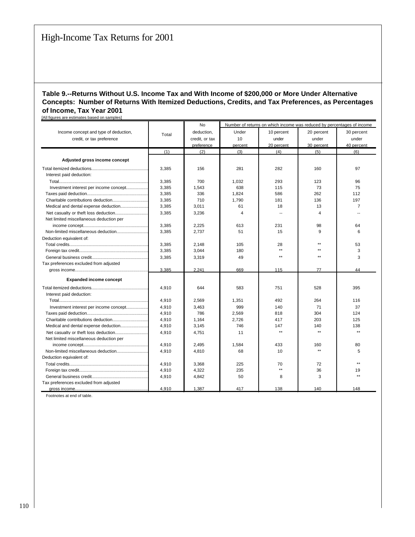#### **Table 9.--Returns Without U.S. Income Tax and With Income of \$200,000 or More Under Alternative Concepts: Number of Returns With Itemized Deductions, Credits, and Tax Preferences, as Percentages of Income, Tax Year 2001** [All figures are estimates based on samples]

| in rigardo are commateo babea on campioo |       | No             |                | Number of returns on which income was reduced by percentages of income |              |              |
|------------------------------------------|-------|----------------|----------------|------------------------------------------------------------------------|--------------|--------------|
| Income concept and type of deduction,    |       | deduction,     | Under          | 10 percent                                                             | 20 percent   | 30 percent   |
| credit, or tax preference                | Total | credit, or tax | 10             | under                                                                  | under        | under        |
|                                          |       | preference     | percent        | 20 percent                                                             | 30 percent   | 40 percent   |
|                                          | (1)   | (2)            | (3)            | (4)                                                                    | (5)          | (6)          |
|                                          |       |                |                |                                                                        |              |              |
| Adjusted gross income concept            |       |                |                |                                                                        |              |              |
|                                          | 3,385 | 156            | 281            | 282                                                                    | 160          | 97           |
| Interest paid deduction:                 |       |                |                |                                                                        |              |              |
|                                          | 3,385 | 700            | 1,032          | 293                                                                    | 123          | 96           |
| Investment interest per income concept   | 3,385 | 1,543          | 638            | 115                                                                    | 73           | 75           |
|                                          | 3,385 | 336            | 1,824          | 586                                                                    | 262          | 112          |
|                                          | 3,385 | 710            | 1,790          | 181                                                                    | 136          | 197          |
| Medical and dental expense deduction     | 3,385 | 3,011          | 61             | 18                                                                     | 13           | 7            |
|                                          | 3.385 | 3,236          | $\overline{4}$ | $\overline{\phantom{a}}$                                               | 4            |              |
| Net limited miscellaneous deduction per  |       |                |                |                                                                        |              |              |
|                                          | 3,385 | 2,225          | 613            | 231                                                                    | 98           | 64           |
|                                          | 3,385 | 2,737          | 51             | 15                                                                     | 9            | 6            |
| Deduction equivalent of:                 |       |                |                |                                                                        |              |              |
|                                          | 3.385 | 2.148          | 105            | 28                                                                     | $\star\star$ | 53           |
|                                          | 3,385 | 3,044          | 180            | $***$                                                                  | $\star\star$ | 3            |
|                                          | 3,385 | 3,319          | 49             | $\star\star$                                                           | $\star\star$ | 3            |
| Tax preferences excluded from adjusted   |       |                |                |                                                                        |              |              |
|                                          | 3.385 | 2.241          | 669            | 115                                                                    | 77           | 44           |
| <b>Expanded income concept</b>           |       |                |                |                                                                        |              |              |
|                                          | 4,910 | 644            | 583            | 751                                                                    | 528          | 395          |
| Interest paid deduction:                 |       |                |                |                                                                        |              |              |
|                                          | 4,910 | 2,569          | 1,351          | 492                                                                    | 264          | 116          |
| Investment interest per income concept   | 4,910 | 3,463          | 999            | 140                                                                    | 71           | 37           |
|                                          | 4,910 | 786            | 2,569          | 818                                                                    | 304          | 124          |
|                                          | 4,910 | 1,164          | 2,726          | 417                                                                    | 203          | 125          |
|                                          | 4,910 | 3,145          | 746            | 147                                                                    | 140          | 138          |
|                                          | 4.910 | 4.751          | 11             | $\star\star$                                                           | $***$        | $\star\star$ |
| Net limited miscellaneous deduction per  |       |                |                |                                                                        |              |              |
|                                          | 4,910 | 2,495          | 1,584          | 433                                                                    | 160          | 80           |
|                                          | 4,910 | 4,810          | 68             | 10                                                                     | $\star\star$ | 5            |
| Deduction equivalent of:                 |       |                |                |                                                                        |              |              |
|                                          | 4.910 | 3,368          | 225            | 70                                                                     | 72           | $\star\star$ |
|                                          | 4,910 | 4,322          | 235            | $\star\star$                                                           | 36           | 19           |
|                                          | 4,910 | 4,842          | 50             | 8                                                                      | 3            | $\star\star$ |
| Tax preferences excluded from adjusted   |       |                |                |                                                                        |              |              |
|                                          | 4.910 | 1.387          | 417            | 138                                                                    | 140          | 148          |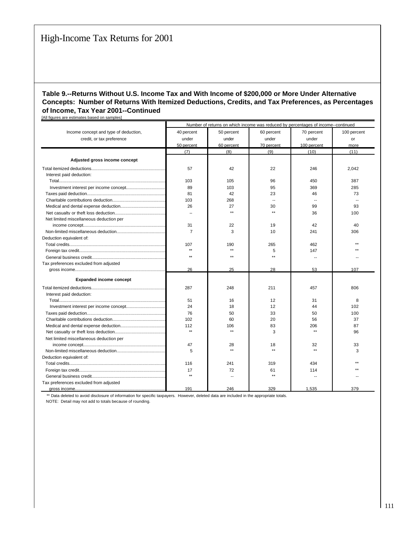#### **Table 9.--Returns Without U.S. Income Tax and With Income of \$200,000 or More Under Alternative Concepts: Number of Returns With Itemized Deductions, Credits, and Tax Preferences, as Percentages of Income, Tax Year 2001--Continued** [All figures are estimates based on samples]

|                                         | Number of returns on which income was reduced by percentages of income--continued |                          |              |              |             |  |  |  |  |
|-----------------------------------------|-----------------------------------------------------------------------------------|--------------------------|--------------|--------------|-------------|--|--|--|--|
| Income concept and type of deduction,   | 40 percent                                                                        | 50 percent               | 60 percent   | 70 percent   | 100 percent |  |  |  |  |
| credit, or tax preference               | under                                                                             | under                    | under        | under        | or          |  |  |  |  |
|                                         | 50 percent                                                                        | 60 percent               | 70 percent   | 100 percent  | more        |  |  |  |  |
|                                         | (7)                                                                               | (8)                      | (9)          | (10)         | (11)        |  |  |  |  |
|                                         |                                                                                   |                          |              |              |             |  |  |  |  |
| Adjusted gross income concept           |                                                                                   |                          |              |              |             |  |  |  |  |
|                                         | 57                                                                                | 42                       | 22           | 246          | 2,042       |  |  |  |  |
| Interest paid deduction:                |                                                                                   |                          |              |              |             |  |  |  |  |
|                                         | 103                                                                               | 105                      | 96           | 450          | 387         |  |  |  |  |
|                                         | 89                                                                                | 103                      | 95           | 369          | 285         |  |  |  |  |
|                                         | 81                                                                                | 42                       | 23           | 46           | 73          |  |  |  |  |
|                                         | 103                                                                               | 268                      |              |              |             |  |  |  |  |
|                                         | 26                                                                                | 27                       | 30           | 99           | 93          |  |  |  |  |
|                                         | $\overline{\phantom{a}}$                                                          | $\star\star$             | $\star\star$ | 36           | 100         |  |  |  |  |
| Net limited miscellaneous deduction per |                                                                                   |                          |              |              |             |  |  |  |  |
|                                         | 31                                                                                | 22                       | 19           | 42           | 40          |  |  |  |  |
|                                         | $\overline{7}$                                                                    | 3                        | 10           | 241          | 306         |  |  |  |  |
| Deduction equivalent of:                |                                                                                   |                          |              |              |             |  |  |  |  |
|                                         | 107                                                                               | 190                      | 265          | 462          |             |  |  |  |  |
|                                         | $\star\star$                                                                      | $\star\star$             | 5            | 147          |             |  |  |  |  |
|                                         | $\star\star$                                                                      | $\star\star$             | $\star\star$ | ۰.           |             |  |  |  |  |
| Tax preferences excluded from adjusted  |                                                                                   |                          |              |              |             |  |  |  |  |
|                                         | 26                                                                                | 25                       | 28           | 53           | 107         |  |  |  |  |
| <b>Expanded income concept</b>          |                                                                                   |                          |              |              |             |  |  |  |  |
|                                         |                                                                                   |                          |              |              |             |  |  |  |  |
|                                         | 287                                                                               | 248                      | 211          | 457          | 806         |  |  |  |  |
| Interest paid deduction:                |                                                                                   |                          |              |              |             |  |  |  |  |
|                                         | 51                                                                                | 16                       | 12           | 31           | 8           |  |  |  |  |
|                                         | 24                                                                                | 18                       | 12           | 44           | 102         |  |  |  |  |
|                                         | 76                                                                                | 50                       | 33           | 50           | 100         |  |  |  |  |
|                                         | 102                                                                               | 60                       | 20           | 56           | 37          |  |  |  |  |
|                                         | 112                                                                               | 106                      | 83           | 206          | 87          |  |  |  |  |
|                                         | $\star\star$                                                                      | $\star\star$             | 3            | $\star\star$ | 96          |  |  |  |  |
| Net limited miscellaneous deduction per |                                                                                   |                          |              |              |             |  |  |  |  |
|                                         | 47                                                                                | 28                       | 18           | 32           | 33          |  |  |  |  |
|                                         | 5                                                                                 | $\star\star$             |              | $\star\star$ | 3           |  |  |  |  |
| Deduction equivalent of:                |                                                                                   |                          |              |              |             |  |  |  |  |
|                                         | 116                                                                               | 241                      | 319          | 434          |             |  |  |  |  |
|                                         | 17                                                                                | 72                       | 61           | 114          |             |  |  |  |  |
|                                         | $\star\star$                                                                      | $\overline{\phantom{a}}$ | $\star\star$ | $\sim$       |             |  |  |  |  |
| Tax preferences excluded from adjusted  |                                                                                   |                          |              |              |             |  |  |  |  |
| gross income.                           | 191                                                                               | 246                      | 329          | 1.535        | 379         |  |  |  |  |

\*\* Data deleted to avoid disclosure of information for specific taxpayers. However, deleted data are included in the appropriate totals.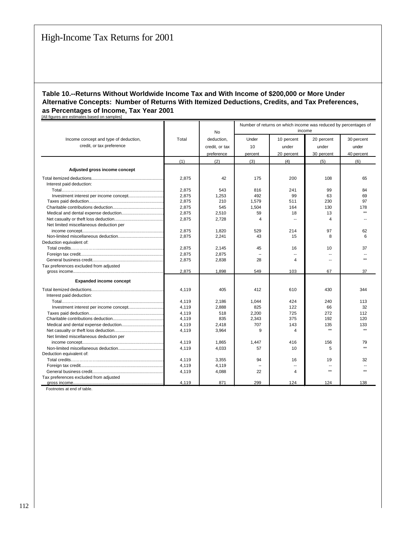#### **Table 10.--Returns Without Worldwide Income Tax and With Income of \$200,000 or More Under Alternative Concepts: Number of Returns With Itemized Deductions, Credits, and Tax Preferences, as Percentages of Income, Tax Year 2001** [All figures are estimates based on samples]

|                                         |       |                | Number of returns on which income was reduced by percentages of |                          |                          |              |  |
|-----------------------------------------|-------|----------------|-----------------------------------------------------------------|--------------------------|--------------------------|--------------|--|
|                                         |       | <b>No</b>      | income                                                          |                          |                          |              |  |
| Income concept and type of deduction,   | Total | deduction.     | Under                                                           | 10 percent               | 20 percent               | 30 percent   |  |
| credit, or tax preference               |       | credit, or tax | 10                                                              | under                    | under                    | under        |  |
|                                         |       | preference     | percent                                                         | 20 percent               | 30 percent               | 40 percent   |  |
|                                         | (1)   | (2)            | (3)                                                             | (4)                      | (5)                      | (6)          |  |
| Adjusted gross income concept           |       |                |                                                                 |                          |                          |              |  |
|                                         |       |                |                                                                 |                          |                          |              |  |
|                                         | 2.875 | 42             | 175                                                             | 200                      | 108                      | 65           |  |
| Interest paid deduction:                |       |                |                                                                 |                          |                          |              |  |
|                                         | 2,875 | 543            | 816                                                             | 241                      | 99                       | 84           |  |
|                                         | 2,875 | 1,253          | 492                                                             | 99                       | 63                       | 69           |  |
|                                         | 2,875 | 210            | 1.579                                                           | 511                      | 230                      | 97           |  |
|                                         | 2,875 | 545            | 1,504                                                           | 164                      | 130                      | 178          |  |
|                                         | 2.875 | 2,510          | 59                                                              | 18                       | 13                       | $**$         |  |
|                                         | 2,875 | 2,728          | 4                                                               | $\overline{\phantom{a}}$ | 4                        |              |  |
| Net limited miscellaneous deduction per |       |                |                                                                 |                          |                          |              |  |
|                                         | 2.875 | 1,820          | 529                                                             | 214                      | 97                       | 62           |  |
|                                         | 2,875 | 2,241          | 43                                                              | 15                       | 8                        | 6            |  |
| Deduction equivalent of:                |       |                |                                                                 |                          |                          |              |  |
|                                         | 2,875 | 2,145          | 45                                                              | 16                       | 10                       | 37           |  |
|                                         | 2.875 | 2.875          |                                                                 |                          | $\sim$                   |              |  |
|                                         | 2,875 | 2,838          | 28                                                              | $\overline{\mathbf{A}}$  | $\overline{\phantom{a}}$ |              |  |
| Tax preferences excluded from adjusted  |       |                |                                                                 |                          |                          |              |  |
|                                         | 2.875 | 1.898          | 549                                                             | 103                      | 67                       | 37           |  |
| <b>Expanded income concept</b>          |       |                |                                                                 |                          |                          |              |  |
|                                         | 4,119 | 405            | 412                                                             | 610                      | 430                      | 344          |  |
| Interest paid deduction:                |       |                |                                                                 |                          |                          |              |  |
|                                         | 4,119 | 2,186          | 1,044                                                           | 424                      | 240                      | 113          |  |
|                                         | 4,119 | 2.888          | 825                                                             | 122                      | 66                       | 32           |  |
|                                         | 4,119 | 518            | 2,200                                                           | 725                      | 272                      | 112          |  |
|                                         | 4,119 | 835            | 2,343                                                           | 375                      | 192                      | 120          |  |
|                                         | 4,119 | 2,418          | 707                                                             | 143                      | 135                      | 133          |  |
|                                         | 4,119 | 3,964          | 9                                                               | 4                        | $\star\star$             | $\star\star$ |  |
| Net limited miscellaneous deduction per |       |                |                                                                 |                          |                          |              |  |
|                                         | 4,119 | 1,865          | 1,447                                                           | 416                      | 156                      | 79           |  |
|                                         | 4.119 | 4,033          | 57                                                              | 10                       | 5                        | $\star\star$ |  |
| Deduction equivalent of:                |       |                |                                                                 |                          |                          |              |  |
|                                         | 4,119 | 3,355          | 94                                                              | 16                       | 19                       | 32           |  |
|                                         | 4,119 | 4,119          |                                                                 |                          | --                       |              |  |
|                                         | 4,119 | 4,088          | 22                                                              | 4                        | $\star\star$             |              |  |
| Tax preferences excluded from adjusted  |       |                |                                                                 |                          |                          |              |  |
|                                         | 4.119 | 871            | 299                                                             | 124                      | 124                      | 138          |  |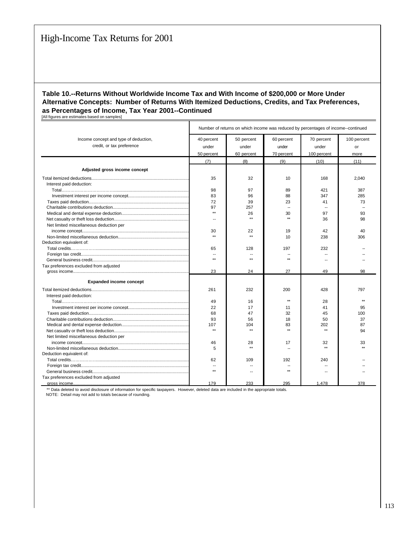## **Table 10.--Returns Without Worldwide Income Tax and With Income of \$200,000 or More Under Alternative Concepts: Number of Returns With Itemized Deductions, Credits, and Tax Preferences, as Percentages of Income, Tax Year 2001--Continued**

[All figures are estimates based on samples]

|                                                                    | Number of returns on which income was reduced by percentages of income--continued |                                   |                                   |                                    |                           |  |  |  |
|--------------------------------------------------------------------|-----------------------------------------------------------------------------------|-----------------------------------|-----------------------------------|------------------------------------|---------------------------|--|--|--|
| Income concept and type of deduction,<br>credit, or tax preference | 40 percent<br>under<br>50 percent                                                 | 50 percent<br>under<br>60 percent | 60 percent<br>under<br>70 percent | 70 percent<br>under<br>100 percent | 100 percent<br>or<br>more |  |  |  |
|                                                                    | (7)                                                                               | (8)                               | (9)                               | (10)                               | (11)                      |  |  |  |
| Adjusted gross income concept                                      |                                                                                   |                                   |                                   |                                    |                           |  |  |  |
|                                                                    | 35                                                                                | 32                                | 10                                | 168                                | 2.040                     |  |  |  |
| Interest paid deduction:                                           |                                                                                   |                                   |                                   |                                    |                           |  |  |  |
|                                                                    | 98                                                                                | 97                                | 89                                | 421                                | 387                       |  |  |  |
|                                                                    | 83                                                                                | 96                                | 88                                | 347                                | 285                       |  |  |  |
|                                                                    | 72                                                                                | 39                                | 23                                | 41                                 | 73                        |  |  |  |
|                                                                    | 97                                                                                | 257                               |                                   | $\overline{\phantom{a}}$           |                           |  |  |  |
|                                                                    | $***$                                                                             | 26                                | 30                                | 97                                 | 93                        |  |  |  |
|                                                                    | $\overline{\phantom{a}}$                                                          | $\star\star$                      | $\star\star$                      | 36                                 | 98                        |  |  |  |
| Net limited miscellaneous deduction per                            |                                                                                   |                                   |                                   |                                    |                           |  |  |  |
|                                                                    | 30                                                                                | 22                                | 19                                | 42                                 | 40                        |  |  |  |
|                                                                    | $***$                                                                             | $***$                             | 10                                | 238                                | 306                       |  |  |  |
| Deduction equivalent of:                                           |                                                                                   |                                   |                                   |                                    |                           |  |  |  |
|                                                                    | 65                                                                                | 128                               | 197                               | 232                                |                           |  |  |  |
|                                                                    | $\sim$                                                                            |                                   |                                   | $\sim$                             |                           |  |  |  |
|                                                                    | $***$                                                                             | $\star\star$                      | بديد                              | --                                 |                           |  |  |  |
| Tax preferences excluded from adjusted                             |                                                                                   |                                   |                                   |                                    |                           |  |  |  |
|                                                                    | 23                                                                                | 24                                | 27                                | 49                                 | 98                        |  |  |  |
| <b>Expanded income concept</b>                                     |                                                                                   |                                   |                                   |                                    |                           |  |  |  |
|                                                                    | 261                                                                               | 232                               | 200                               | 428                                | 797                       |  |  |  |
| Interest paid deduction:                                           |                                                                                   |                                   |                                   |                                    |                           |  |  |  |
|                                                                    | 49                                                                                | 16                                | $\star\star$                      | 28                                 |                           |  |  |  |
|                                                                    | 22                                                                                | 17                                | 11                                | 41                                 | 95                        |  |  |  |
|                                                                    | 68                                                                                | 47                                | 32                                | 45                                 | 100                       |  |  |  |
|                                                                    | 93                                                                                | 56                                | 18                                | 50                                 | 37                        |  |  |  |
|                                                                    | 107                                                                               | 104                               | 83                                | 202                                | 87                        |  |  |  |
|                                                                    | $\star\star$                                                                      | $***$                             | $\star\star$                      | $\star\star$                       | 94                        |  |  |  |
| Net limited miscellaneous deduction per                            |                                                                                   |                                   |                                   |                                    |                           |  |  |  |
|                                                                    | 46                                                                                | 28                                | 17                                | 32                                 | 33                        |  |  |  |
|                                                                    | 5                                                                                 |                                   |                                   | $\star\star$                       |                           |  |  |  |
| Deduction equivalent of:                                           |                                                                                   |                                   |                                   |                                    |                           |  |  |  |
|                                                                    | 62                                                                                | 109                               | 192                               | 240                                |                           |  |  |  |
|                                                                    |                                                                                   |                                   |                                   | --                                 |                           |  |  |  |
|                                                                    | $\star\star$                                                                      |                                   |                                   |                                    |                           |  |  |  |
| Tax preferences excluded from adjusted                             |                                                                                   |                                   |                                   |                                    |                           |  |  |  |
| gross income.                                                      | 179                                                                               | 233                               | 295                               | 1.478                              | 378                       |  |  |  |

\*\* Data deleted to avoid disclosure of information for specific taxpayers. However, deleted data are included in the appropriate totals.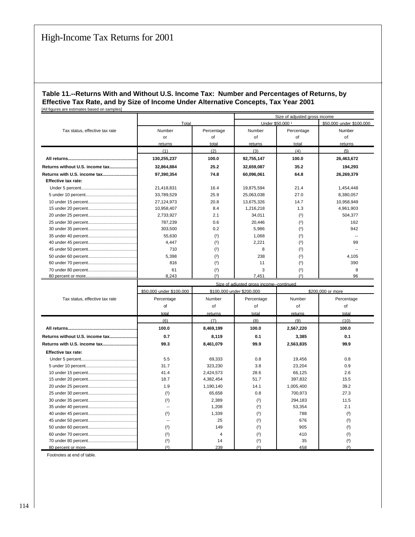#### **Table 11.--Returns With and Without U.S. Income Tax: Number and Percentages of Returns, by Effective Tax Rate, and by Size of Income Under Alternative Concepts, Tax Year 2001** [All figures are estimates based on samples]

|                                 |                                                       |                | Size of adjusted gross income            |                                              |              |  |
|---------------------------------|-------------------------------------------------------|----------------|------------------------------------------|----------------------------------------------|--------------|--|
|                                 | Total                                                 |                |                                          | Under \$50,000 1<br>\$50,000 under \$100,000 |              |  |
| Tax status, effective tax rate  | Number                                                | Percentage     | Number                                   | Percentage                                   | Number       |  |
|                                 | or                                                    | of             | of                                       | of                                           | of           |  |
|                                 | returns                                               | total          | returns                                  | total                                        | returns      |  |
|                                 | (1)                                                   | (2)            | (3)                                      | (4)                                          | (5)          |  |
|                                 | 130,255,237                                           | 100.0          | 92,755,147                               | 100.0                                        | 26,463,672   |  |
| Returns without U.S. income tax | 32,864,884                                            | 25.2           | 32,659,087                               | 35.2                                         | 194,293      |  |
| Returns with U.S. income tax    | 97,390,354                                            | 74.8           | 60,096,061                               | 64.8                                         | 26,269,379   |  |
| <b>Effective tax rate:</b>      |                                                       |                |                                          |                                              |              |  |
|                                 | 21,418,831                                            | 16.4           | 19,875,594                               | 21.4                                         | 1,454,448    |  |
|                                 | 33,789,529                                            | 25.9           | 25,063,038                               | 27.0                                         | 8,380,057    |  |
|                                 | 27,124,973                                            | 20.8           | 13,675,326                               | 14.7                                         | 10,958,949   |  |
|                                 | 10,958,407                                            | 8.4            | 1,216,218                                | 1.3                                          | 4,961,903    |  |
|                                 | 2,733,927                                             | 2.1            | 34,011                                   | (2)                                          | 504,377      |  |
|                                 | 787,239                                               | 0.6            | 20,446                                   | (2)                                          | 162          |  |
|                                 | 303,500                                               | 0.2            | 5,986                                    |                                              | 942          |  |
|                                 |                                                       |                |                                          | (2)                                          |              |  |
|                                 | 55,630                                                | (2)            | 1,068                                    | (2)                                          | $\sim$       |  |
|                                 | 4,447                                                 | (2)            | 2,221                                    | (2)                                          | 99<br>$\sim$ |  |
|                                 | 710                                                   | (2)            | 8                                        | (2)                                          |              |  |
|                                 | 5,398                                                 | (2)            | 238                                      | (2)                                          | 4,105        |  |
|                                 | 816                                                   | (2)            | 11                                       | (2)                                          | 390          |  |
|                                 | 61                                                    | (2)            | 3                                        | (2)                                          | 8            |  |
|                                 | 8,243                                                 | (2)            | 7,451                                    | (2)                                          | 96           |  |
|                                 |                                                       |                | Size of adiusted gross income--continued |                                              |              |  |
|                                 | \$50,000 under \$100,000<br>\$100,000 under \$200,000 |                |                                          | \$200,000 or more                            |              |  |
| Tax status, effective tax rate  | Percentage                                            | Number         | Percentage                               | Number                                       | Percentage   |  |
|                                 | of                                                    | of             | of                                       | of                                           | of           |  |
|                                 | total                                                 | returns        | total                                    | returns                                      | total        |  |
|                                 | (6)                                                   | (7)            | (8)                                      | (9)                                          | (10)         |  |
|                                 | 100.0                                                 | 8,469,199      | 100.0                                    | 2,567,220                                    | 100.0        |  |
| Returns without U.S. income tax | 0.7                                                   | 8,119          | 0.1                                      | 3,385                                        | 0.1          |  |
| Returns with U.S. income tax    | 99.3                                                  | 8,461,079      | 99.9                                     | 2,563,835                                    | 99.9         |  |
| <b>Effective tax rate:</b>      |                                                       |                |                                          |                                              |              |  |
|                                 | 5.5                                                   | 69,333         | 0.8                                      | 19,456                                       | 0.8          |  |
|                                 | 31.7                                                  | 323,230        | 3.8                                      | 23,204                                       | 0.9          |  |
|                                 | 41.4                                                  | 2,424,573      | 28.6                                     | 66,125                                       | 2.6          |  |
|                                 | 18.7                                                  | 4,382,454      | 51.7                                     | 397,832                                      | 15.5         |  |
|                                 | 1.9                                                   | 1,190,140      | 14.1                                     | 1,005,400                                    | 39.2         |  |
|                                 | (2)                                                   | 65,658         | 0.8                                      | 700,973                                      | 27.3         |  |
|                                 | (2)                                                   | 2,389          | (2)                                      | 294,183                                      | 11.5         |  |
|                                 | $\overline{\phantom{a}}$                              | 1,208          | (2)                                      | 53,354                                       | 2.1          |  |
|                                 | (2)                                                   | 1,339          | (2)                                      | 788                                          | (2)          |  |
|                                 | Ξ.                                                    | 25             |                                          | 676                                          |              |  |
|                                 | (2)                                                   | 149            | (2)                                      | 905                                          | (2)          |  |
|                                 |                                                       |                | (2)                                      |                                              | (2)          |  |
|                                 | (2)                                                   | $\overline{4}$ | (2)                                      | 410                                          | (2)          |  |
|                                 | (2)                                                   | 14             | (2)                                      | 35                                           | (2)          |  |
| 80 percent or more              | (2)                                                   | 239            | (2)                                      | 458                                          | (2)          |  |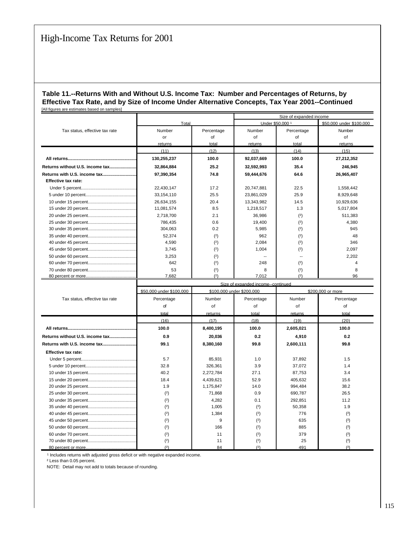#### **Table 11.--Returns With and Without U.S. Income Tax: Number and Percentages of Returns, by Effective Tax Rate, and by Size of Income Under Alternative Concepts, Tax Year 2001--Continued** [All figures are estimates based on samples]

|                                 |             |            |                  | Size of expanded income |                          |  |  |
|---------------------------------|-------------|------------|------------------|-------------------------|--------------------------|--|--|
|                                 | Total       |            | Under \$50,000 1 |                         | \$50,000 under \$100,000 |  |  |
| Tax status, effective tax rate  | Number      | Percentage | Number           | Percentage              | Number                   |  |  |
|                                 | or          | of         | of               | οf                      | of                       |  |  |
|                                 | returns     | total      | returns          | total                   | returns                  |  |  |
|                                 | (11)        | (12)       | (13)             | (14)                    | (15)                     |  |  |
|                                 | 130,255,237 | 100.0      | 92,037,669       | 100.0                   | 27,212,352               |  |  |
| Returns without U.S. income tax | 32,864,884  | 25.2       | 32,592,993       | 35.4                    | 246,945                  |  |  |
| Returns with U.S. income tax    | 97,390,354  | 74.8       | 59,444,676       | 64.6                    | 26,965,407               |  |  |
| <b>Effective tax rate:</b>      |             |            |                  |                         |                          |  |  |
|                                 | 22,430,147  | 17.2       | 20.747.881       | 22.5                    | 1,558,442                |  |  |
|                                 | 33,154,110  | 25.5       | 23,861,029       | 25.9                    | 8,929,648                |  |  |
|                                 | 26,634,155  | 20.4       | 13,343,982       | 14.5                    | 10,929,636               |  |  |
|                                 | 11,081,574  | 8.5        | 1,218,517        | 1.3                     | 5,017,804                |  |  |
|                                 | 2,718,700   | 2.1        | 36.986           | (2)                     | 511,383                  |  |  |
|                                 | 786.435     | 0.6        | 19.400           | (2)                     | 4.380                    |  |  |
|                                 | 304,063     | 0.2        | 5.985            | (2)                     | 945                      |  |  |
|                                 | 52.374      | (2)        | 962              | (2)                     | 48                       |  |  |
|                                 | 4,590       | (2)        | 2,084            | (2)                     | 346                      |  |  |
|                                 | 3,745       | (2)        | 1,004            | (2)                     | 2,097                    |  |  |
|                                 | 3,253       | (2)        |                  | --                      | 2,202                    |  |  |
|                                 | 642         | (2)        | 248              | (2)                     |                          |  |  |
|                                 | 53          | (2)        | 8                | (2)                     | 8                        |  |  |
|                                 | 7.682       | (2)        | 7.012            | (2)                     | 96                       |  |  |

|                                 | Size of expanded income--continued |                           |            |           |                   |  |  |
|---------------------------------|------------------------------------|---------------------------|------------|-----------|-------------------|--|--|
|                                 | \$50,000 under \$100,000           | \$100,000 under \$200,000 |            |           | \$200,000 or more |  |  |
| Tax status, effective tax rate  | Percentage                         | Number                    | Percentage | Number    | Percentage        |  |  |
|                                 | of                                 | of                        | of         | of        | of                |  |  |
|                                 | total                              | returns                   | total      | returns   | total             |  |  |
|                                 | (16)                               | (17)                      | (18)       | (19)      | (20)              |  |  |
|                                 | 100.0                              | 8,400,195                 | 100.0      | 2,605,021 | 100.0             |  |  |
| Returns without U.S. income tax | 0.9                                | 20,036                    | 0.2        | 4,910     | 0.2               |  |  |
| Returns with U.S. income tax    | 99.1                               | 8,380,160                 | 99.8       | 2,600,111 | 99.8              |  |  |
| <b>Effective tax rate:</b>      |                                    |                           |            |           |                   |  |  |
|                                 | 5.7                                | 85.931                    | 1.0        | 37,892    | 1.5               |  |  |
|                                 | 32.8                               | 326.361                   | 3.9        | 37.072    | 1.4               |  |  |
|                                 | 40.2                               | 2,272,784                 | 27.1       | 87.753    | 3.4               |  |  |
|                                 | 18.4                               | 4,439,621                 | 52.9       | 405,632   | 15.6              |  |  |
|                                 | 1.9                                | 1,175,847                 | 14.0       | 994.484   | 38.2              |  |  |
|                                 | (2)                                | 71,868                    | 0.9        | 690,787   | 26.5              |  |  |
|                                 | (2)                                | 4.282                     | 0.1        | 292.851   | 11.2              |  |  |
|                                 | (2)                                | 1,005                     | (2)        | 50,358    | 1.9               |  |  |
|                                 | (2)                                | 1.384                     | (2)        | 776       | (2)               |  |  |
|                                 | (2)                                | 9                         | (2)        | 635       | (2)               |  |  |
|                                 | (2)                                | 166                       | (2)        | 885       | (2)               |  |  |
|                                 | (2)                                | 11                        | (2)        | 379       | (2)               |  |  |
|                                 | (2)                                | 11                        | (2)        | 25        | (2)               |  |  |
|                                 | (2)                                | 84                        | (2)        | 491       | (2)               |  |  |

<sup>1</sup> Includes returns with adjusted gross deficit or with negative expanded income.

² Less than 0.05 percent.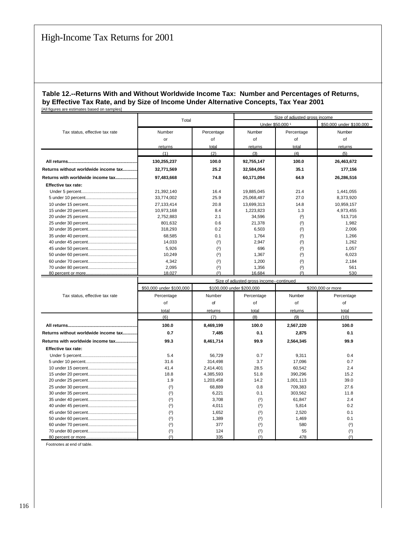#### **Table 12.--Returns With and Without Worldwide Income Tax: Number and Percentages of Returns, by Effective Tax Rate, and by Size of Income Under Alternative Concepts, Tax Year 2001** [All figures are estimates based on samples]

|                                      | Total       |            | Size of adjusted gross income           |            |                          |  |
|--------------------------------------|-------------|------------|-----------------------------------------|------------|--------------------------|--|
|                                      |             |            | Under \$50,000 1                        |            | \$50,000 under \$100,000 |  |
| Tax status, effective tax rate       | Number      | Percentage | Number                                  | Percentage | Number                   |  |
|                                      | or          | of         | of                                      | of         | of                       |  |
|                                      | returns     | total      | returns                                 | total      | returns                  |  |
|                                      | (1)         | (2)        | (3)                                     | (4)        | (5)                      |  |
|                                      | 130,255,237 | 100.0      | 92,755,147                              | 100.0      | 26,463,672               |  |
| Returns without worldwide income tax | 32,771,569  | 25.2       | 32,584,054                              | 35.1       | 177,156                  |  |
| Returns with worldwide income tax    | 97,483,668  | 74.8       | 60,171,094                              | 64.9       | 26,286,516               |  |
| Effective tax rate:                  |             |            |                                         |            |                          |  |
|                                      | 21,392,140  | 16.4       | 19,885,045                              | 21.4       | 1,441,055                |  |
|                                      | 33,774,002  | 25.9       | 25,068,487                              | 27.0       | 8,373,920                |  |
|                                      | 27.133.414  | 20.8       | 13.699.313                              | 14.8       | 10,959,157               |  |
|                                      | 10,973,168  | 8.4        | 1,223,823                               | 1.3        | 4,973,455                |  |
|                                      | 2,752,883   | 2.1        | 34.596                                  | (2)        | 513,716                  |  |
|                                      | 801.632     | 0.6        | 21.378                                  | (2)        | 1,982                    |  |
|                                      | 318,293     | 0.2        | 6,503                                   | (2)        | 2,006                    |  |
|                                      | 68.585      | 0.1        | 1.764                                   | (2)        | 1,266                    |  |
|                                      | 14,033      | (2)        | 2.947                                   | (2)        | 1,262                    |  |
|                                      | 5.926       | (2)        | 696                                     | (2)        | 1.057                    |  |
|                                      | 10,249      | (2)        | 1.367                                   | (2)        | 6,023                    |  |
|                                      | 4.342       | (2)        | 1.200                                   | (2)        | 2,184                    |  |
|                                      | 2,095       | (2)        | 1,356                                   | (2)        | 561                      |  |
|                                      | 18,027      | (2)        | 16.684                                  | (2)        | 530                      |  |
|                                      |             |            | Size of adjusted gross income-continued |            |                          |  |

|                                      | Size of adjusted dross income--continued |                           |            |                   |            |  |  |
|--------------------------------------|------------------------------------------|---------------------------|------------|-------------------|------------|--|--|
|                                      | \$50,000 under \$100,000                 | \$100,000 under \$200,000 |            | \$200,000 or more |            |  |  |
| Tax status, effective tax rate       | Percentage                               | Number                    | Percentage | Number            | Percentage |  |  |
|                                      | οf                                       | οf                        | οf         | of                | of         |  |  |
|                                      | total                                    | returns                   | total      | returns           | total      |  |  |
|                                      | (6)                                      | (7)                       | (8)        | (9)               | (10)       |  |  |
|                                      | 100.0                                    | 8,469,199                 | 100.0      | 2,567,220         | 100.0      |  |  |
| Returns without worldwide income tax | 0.7                                      | 7,485                     | 0.1        | 2.875             | 0.1        |  |  |
| Returns with worldwide income tax    | 99.3                                     | 8,461,714                 | 99.9       | 2,564,345         | 99.9       |  |  |
| <b>Effective tax rate:</b>           |                                          |                           |            |                   |            |  |  |
|                                      | 5.4                                      | 56.729                    | 0.7        | 9.311             | 0.4        |  |  |
|                                      | 31.6                                     | 314,498                   | 3.7        | 17,096            | 0.7        |  |  |
|                                      | 41.4                                     | 2,414,401                 | 28.5       | 60,542            | 2.4        |  |  |
|                                      | 18.8                                     | 4,385,593                 | 51.8       | 390,296           | 15.2       |  |  |
|                                      | 1.9                                      | 1,203,458                 | 14.2       | 1,001,113         | 39.0       |  |  |
|                                      | (2)                                      | 68.889                    | 0.8        | 709.383           | 27.6       |  |  |
|                                      | (2)                                      | 6.221                     | 0.1        | 303.562           | 11.8       |  |  |
|                                      | (2)                                      | 3.708                     | (2)        | 61.847            | 2.4        |  |  |
|                                      | (2)                                      | 4,011                     | (2)        | 5,814             | 0.2        |  |  |
|                                      | (2)                                      | 1.652                     | (2)        | 2,520             | 0.1        |  |  |
|                                      | (2)                                      | 1.389                     | (2)        | 1.469             | 0.1        |  |  |
|                                      | (2)                                      | 377                       | (2)        | 580               | (2)        |  |  |
|                                      | (2)                                      | 124                       | (2)        | 55                | (2)        |  |  |
|                                      | (2)                                      | 335                       | (2)        | 478               | (2)        |  |  |